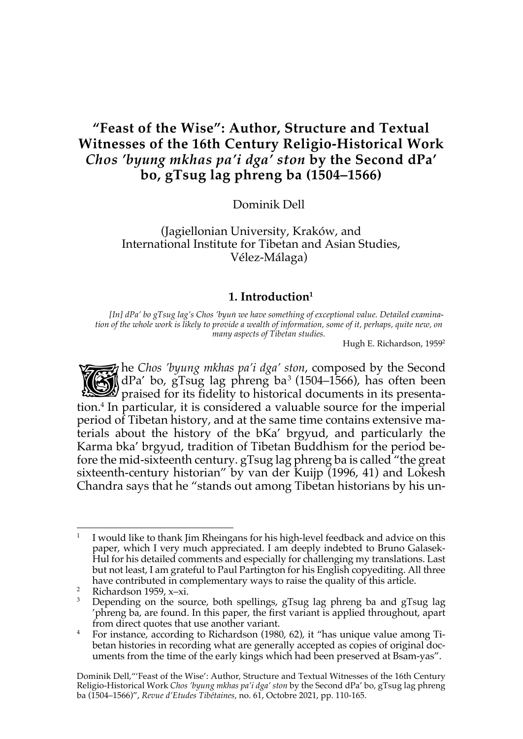# **"Feast of the Wise": Author, Structure and Textual Witnesses of the 16th Century Religio-Historical Work**  *Chos 'byung mkhas pa'i dga' ston* **by the Second dPa' bo, gTsug lag phreng ba (1504–1566)**

Dominik Dell

(Jagiellonian University, Kraków, and International Institute for Tibetan and Asian Studies, Vélez-Málaga)

## **1. Introduction1**

*[In] dPa' bo gTsug lag's Chos 'byuṅ we have something of exceptional value. Detailed examination of the whole work is likely to provide a wealth of information, some of it, perhaps, quite new, on many aspects of Tibetan studies.*

Hugh E. Richardson, 19592

he *Chos 'byung mkhas pa'i dga' ston*, composed by the Second dPa' bo, gTsug lag phreng ba<sup>3</sup> (1504–1566), has often been the Chos 'byung mkhas pa'i dga' ston, composed by the Second<br>dPa' bo, gTsug lag phreng ba<sup>3</sup> (1504–1566), has often been<br>praised for its fidelity to historical documents in its presentation.4 In particular, it is considered a valuable source for the imperial period of Tibetan history, and at the same time contains extensive materials about the history of the bKa' brgyud, and particularly the Karma bka' brgyud, tradition of Tibetan Buddhism for the period before the mid-sixteenth century. gTsug lag phreng ba is called "the great sixteenth-century historian" by van der Kuijp (1996, 41) and Lokesh Chandra says that he "stands out among Tibetan historians by his un-

 $1$  I would like to thank Jim Rheingans for his high-level feedback and advice on this paper, which I very much appreciated. I am deeply indebted to Bruno Galasek-Hul for his detailed comments and especially for challenging my translations. Last but not least, I am grateful to Paul Partington for his English copyediting. All three have contributed in complementary ways to raise the quality of this article.

<sup>2</sup> Richardson 1959, x–xi.

<sup>&</sup>lt;sup>3</sup> Depending on the source, both spellings, gTsug lag phreng ba and gTsug lag 'phreng ba, are found. In this paper, the first variant is applied throughout, apart from direct quotes that use another variant.

<sup>&</sup>lt;sup>4</sup> For instance, according to Richardson (1980, 62), it "has unique value among Tibetan histories in recording what are generally accepted as copies of original documents from the time of the early kings which had been preserved at Bsam-yas".

Dominik Dell,"'Feast of the Wise': Author, Structure and Textual Witnesses of the 16th Century Religio-Historical Work *Chos 'byung mkhas pa'i dga' ston* by the Second dPa' bo, gTsug lag phreng ba (1504–1566)", *Revue d'Etudes Tibétaines*, no. 61, Octobre 2021, pp. 110-165.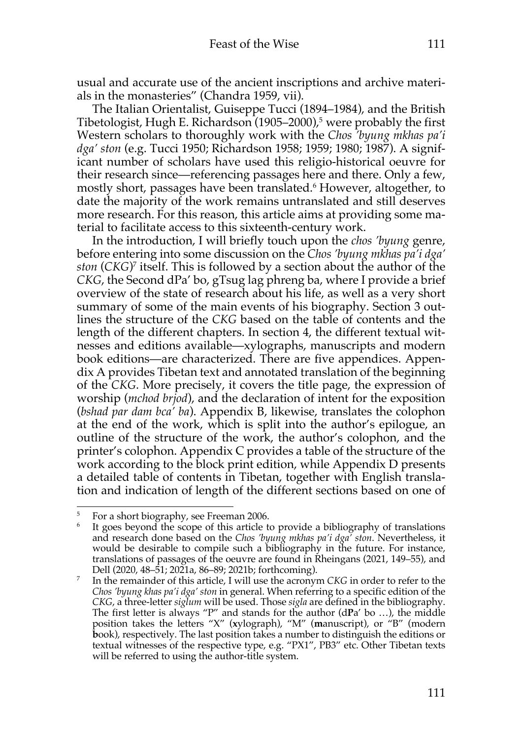usual and accurate use of the ancient inscriptions and archive materials in the monasteries" (Chandra 1959, vii).

The Italian Orientalist, Guiseppe Tucci (1894–1984), and the British Tibetologist, Hugh E. Richardson (1905–2000), <sup>5</sup> were probably the first Western scholars to thoroughly work with the *Chos 'byung mkhas pa'i dga' ston* (e.g. Tucci 1950; Richardson 1958; 1959; 1980; 1987). A significant number of scholars have used this religio-historical oeuvre for their research since—referencing passages here and there. Only a few, mostly short, passages have been translated.6 However, altogether, to date the majority of the work remains untranslated and still deserves more research. For this reason, this article aims at providing some material to facilitate access to this sixteenth-century work.

In the introduction, I will briefly touch upon the *chos 'byung* genre, before entering into some discussion on the *Chos 'byung mkhas pa'i dga' ston* (*CKG*) <sup>7</sup> itself. This is followed by a section about the author of the *CKG*, the Second dPa' bo, gTsug lag phreng ba, where I provide a brief overview of the state of research about his life, as well as a very short summary of some of the main events of his biography. Section 3 outlines the structure of the *CKG* based on the table of contents and the length of the different chapters. In section 4, the different textual witnesses and editions available—xylographs, manuscripts and modern book editions—are characterized. There are five appendices. Appendix A provides Tibetan text and annotated translation of the beginning of the *CKG*. More precisely, it covers the title page, the expression of worship (*mchod brjod*), and the declaration of intent for the exposition (*bshad par dam bca' ba*). Appendix B, likewise, translates the colophon at the end of the work, which is split into the author's epilogue, an outline of the structure of the work, the author's colophon, and the printer's colophon. Appendix C provides a table of the structure of the work according to the block print edition, while Appendix D presents a detailed table of contents in Tibetan, together with English translation and indication of length of the different sections based on one of

<sup>5</sup> For a short biography, see Freeman 2006.

It goes beyond the scope of this article to provide a bibliography of translations and research done based on the *Chos 'byung mkhas pa'i dga' ston*. Nevertheless, it would be desirable to compile such a bibliography in the future. For instance, translations of passages of the oeuvre are found in Rheingans (2021, 149–55), and Dell (2020, 48–51; 2021a, 86–89; 2021b; forthcoming).

<sup>7</sup> In the remainder of this article, I will use the acronym *CKG* in order to refer to the *Chos 'byung khas pa'i dga' ston* in general. When referring to a specific edition of the *CKG*, a three-letter *siglum* will be used. Those *sigla* are defined in the bibliography. The first letter is always "P" and stands for the author (d**P**a' bo …), the middle position takes the letters "X" (**x**ylograph), "M" (**m**anuscript), or "B" (modern **b**ook), respectively. The last position takes a number to distinguish the editions or textual witnesses of the respective type, e.g. "PX1", PB3" etc. Other Tibetan texts will be referred to using the author-title system.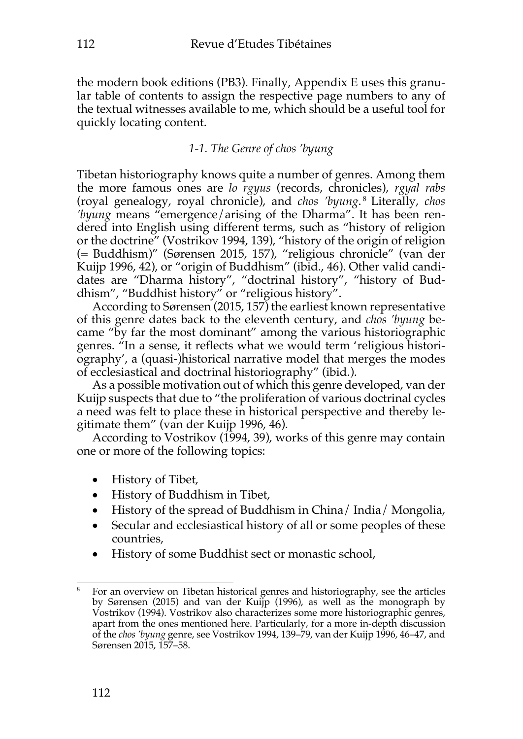the modern book editions (PB3). Finally, Appendix E uses this granular table of contents to assign the respective page numbers to any of the textual witnesses available to me, which should be a useful tool for quickly locating content.

## *1-1. The Genre of chos 'byung*

Tibetan historiography knows quite a number of genres. Among them the more famous ones are *lo rgyus* (records, chronicles), *rgyal rabs*  (royal genealogy, royal chronicle), and *chos 'byung*. <sup>8</sup> Literally, *chos 'byung* means "emergence/arising of the Dharma". It has been rendered into English using different terms, such as "history of religion or the doctrine" (Vostrikov 1994, 139), "history of the origin of religion (= Buddhism)" (Sørensen 2015, 157), "religious chronicle" (van der Kuijp 1996, 42), or "origin of Buddhism" (ibid., 46). Other valid candidates are "Dharma history", "doctrinal history", "history of Buddhism", "Buddhist history" or "religious history".

According to Sørensen (2015, 157) the earliest known representative of this genre dates back to the eleventh century, and *chos 'byung* became "by far the most dominant" among the various historiographic genres. "In a sense, it reflects what we would term 'religious historiography', a (quasi-)historical narrative model that merges the modes of ecclesiastical and doctrinal historiography" (ibid.).

As a possible motivation out of which this genre developed, van der Kuijp suspects that due to "the proliferation of various doctrinal cycles a need was felt to place these in historical perspective and thereby legitimate them" (van der Kuijp 1996, 46).

According to Vostrikov (1994, 39), works of this genre may contain one or more of the following topics:

- History of Tibet,
- History of Buddhism in Tibet,
- History of the spread of Buddhism in China/ India/ Mongolia,
- Secular and ecclesiastical history of all or some peoples of these countries,
- History of some Buddhist sect or monastic school,

<sup>8</sup> For an overview on Tibetan historical genres and historiography, see the articles by Sørensen (2015) and van der Kuijp (1996), as well as the monograph by Vostrikov (1994). Vostrikov also characterizes some more historiographic genres, apart from the ones mentioned here. Particularly, for a more in-depth discussion of the *chos 'byung* genre, see Vostrikov 1994, 139–79, van der Kuijp 1996, 46–47, and Sørensen 2015, 157–58.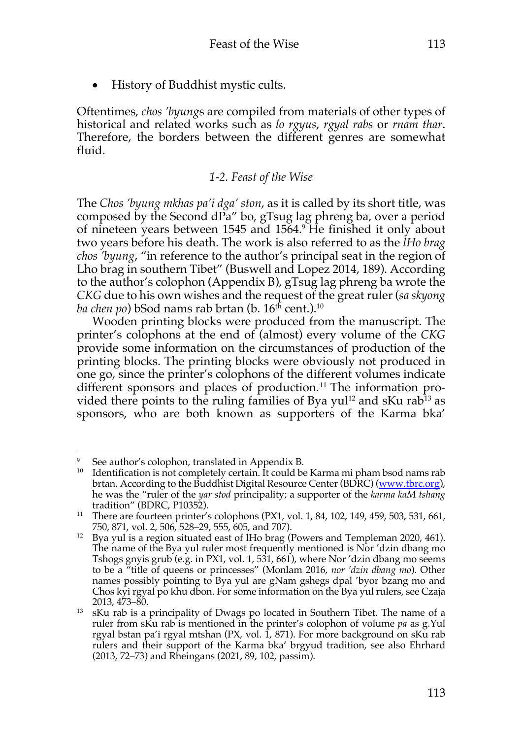• History of Buddhist mystic cults.

Oftentimes, *chos 'byung*s are compiled from materials of other types of historical and related works such as *lo rgyus*, *rgyal rabs* or *rnam thar*. Therefore, the borders between the different genres are somewhat fluid.

### *1-2. Feast of the Wise*

The *Chos 'byung mkhas pa'i dga' ston*, as it is called by its short title, was composed by the Second dPa" bo, gTsug lag phreng ba, over a period of nineteen years between 1545 and 1564.9 He finished it only about two years before his death. The work is also referred to as the *lHo brag chos 'byung*, "in reference to the author's principal seat in the region of Lho brag in southern Tibet" (Buswell and Lopez 2014, 189). According to the author's colophon (Appendix B), gTsug lag phreng ba wrote the *CKG* due to his own wishes and the request of the great ruler (*sa skyong ba chen po*) bSod nams rab brtan (b. 16<sup>th</sup> cent.).<sup>10</sup>

Wooden printing blocks were produced from the manuscript. The printer's colophons at the end of (almost) every volume of the *CKG* provide some information on the circumstances of production of the printing blocks. The printing blocks were obviously not produced in one go, since the printer's colophons of the different volumes indicate different sponsors and places of production.<sup>11</sup> The information provided there points to the ruling families of Bya yul<sup>12</sup> and sKu rab<sup>13</sup> as sponsors, who are both known as supporters of the Karma bka'

See author's colophon, translated in Appendix B.

<sup>&</sup>lt;sup>10</sup> Identification is not completely certain. It could be Karma mi pham bsod nams rab brtan. According to the Buddhist Digital Resource Center (BDRC) (www.tbrc.org), he was the "ruler of the *yar stod* principality; a supporter of the *karma kaM tshang*

<sup>&</sup>lt;sup>11</sup> There are fourteen printer's colophons (PX1, vol. 1, 84, 102, 149, 459, 503, 531, 661, 750, 871, vol. 2, 506, 528–29, 555, 605, and 707).

<sup>&</sup>lt;sup>12</sup> Bya yul is a region situated east of lHo brag (Powers and Templeman 2020, 461). The name of the Bya yul ruler most frequently mentioned is Nor 'dzin dbang mo Tshogs gnyis grub (e.g. in PX1, vol. 1, 531, 661), where Nor 'dzin dbang mo seems to be a "title of queens or princesses" (Monlam 2016, *nor 'dzin dbang mo*). Other names possibly pointing to Bya yul are gNam gshegs dpal 'byor bzang mo and Chos kyi rgyal po khu dbon. For some information on the Bya yul rulers, see Czaja 2013, 473–80.

<sup>&</sup>lt;sup>13</sup> sKu rab is a principality of Dwags po located in Southern Tibet. The name of a ruler from sKu rab is mentioned in the printer's colophon of volume *pa* as g.Yul rgyal bstan pa'i rgyal mtshan (PX, vol. 1, 871). For more background on sKu rab rulers and their support of the Karma bka' brgyud tradition, see also Ehrhard (2013, 72–73) and Rheingans (2021, 89, 102, passim).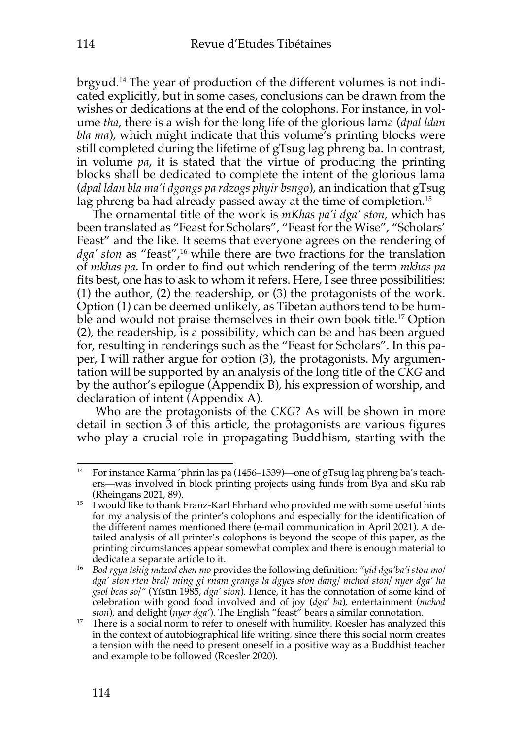brgyud.14 The year of production of the different volumes is not indicated explicitly, but in some cases, conclusions can be drawn from the wishes or dedications at the end of the colophons. For instance, in volume *tha*, there is a wish for the long life of the glorious lama (*dpal ldan bla ma*), which might indicate that this volume's printing blocks were still completed during the lifetime of gTsug lag phreng ba. In contrast, in volume *pa*, it is stated that the virtue of producing the printing blocks shall be dedicated to complete the intent of the glorious lama (*dpal ldan bla ma'i dgongs pa rdzogs phyir bsngo*), an indication that gTsug lag phreng ba had already passed away at the time of completion.<sup>15</sup>

The ornamental title of the work is *mKhas pa'i dga' ston*, which has been translated as "Feast for Scholars", "Feast forthe Wise", "Scholars' Feast" and the like. It seems that everyone agrees on the rendering of *dga' ston* as "feast", <sup>16</sup> while there are two fractions for the translation of *mkhas pa*. In order to find out which rendering of the term *mkhas pa* fits best, one has to ask to whom it refers. Here, I see three possibilities: (1) the author, (2) the readership, or (3) the protagonists of the work. Option (1) can be deemed unlikely, as Tibetan authors tend to be humble and would not praise themselves in their own book title.<sup>17</sup> Option (2), the readership, is a possibility, which can be and has been argued for, resulting in renderings such as the "Feast for Scholars". In this paper, I will rather argue for option (3), the protagonists. My argumentation will be supported by an analysis of the long title of the *CKG* and by the author's epilogue (Appendix B), his expression of worship, and declaration of intent (Appendix A).

Who are the protagonists of the *CKG*? As will be shown in more detail in section 3 of this article, the protagonists are various figures who play a crucial role in propagating Buddhism, starting with the

<sup>14</sup> For instance Karma 'phrin las pa (1456–1539)—one of gTsug lag phreng ba's teachers—was involved in block printing projects using funds from Bya and sKu rab (Rheingans 2021, 89).

<sup>&</sup>lt;sup>15</sup> I would like to thank Franz-Karl Ehrhard who provided me with some useful hints for my analysis of the printer's colophons and especially for the identification of the different names mentioned there (e-mail communication in April 2021). A detailed analysis of all printer's colophons is beyond the scope of this paper, as the printing circumstances appear somewhat complex and there is enough material to dedicate a separate article to it.

<sup>16</sup> *Bod rgya tshig mdzod chen mo* provides the following definition: *"yid dga'ba'i ston mo/ dga' ston rten brel/ ming gi rnam grangs la dgyes ston dang/ mchod ston/ nyer dga' ha gsol bcas so/"* (Yísūn 1985, *dga' ston*). Hence, it has the connotation of some kind of celebration with good food involved and of joy (*dga' ba*), entertainment (*mchod ston*), and delight (*nyer dga'*). The English "feast" bears a similar connotation.

<sup>&</sup>lt;sup>17</sup> There is a social norm to refer to oneself with humility. Roesler has analyzed this in the context of autobiographical life writing, since there this social norm creates a tension with the need to present oneself in a positive way as a Buddhist teacher and example to be followed (Roesler 2020).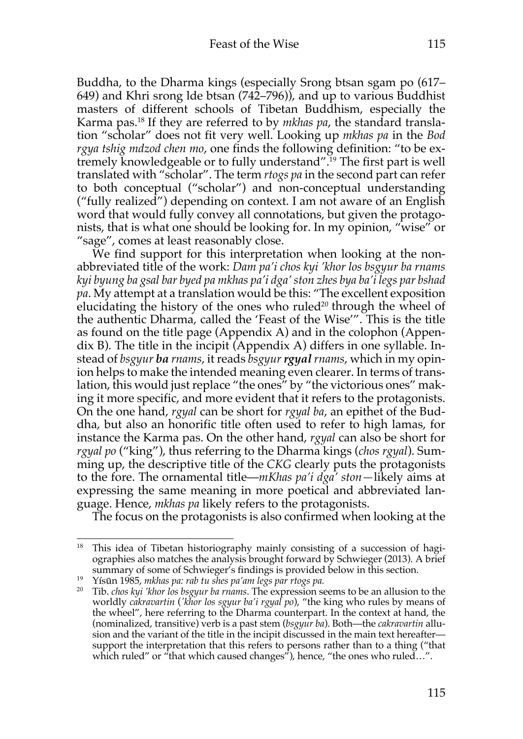Buddha, to the Dharma kings (especially Srong btsan sgam po (617– 649) and Khri srong lde btsan (742–796)), and up to various Buddhist masters of different schools of Tibetan Buddhism, especially the Karma pas.18 If they are referred to by *mkhas pa*, the standard translation "scholar" does not fit very well. Looking up *mkhas pa* in the *Bod rgya tshig mdzod chen mo*, one finds the following definition: "to be extremely knowledgeable or to fully understand".19 The first part is well translated with "scholar". The term *rtogs pa* in the second part can refer to both conceptual ("scholar") and non-conceptual understanding ("fully realized") depending on context. I am not aware of an English word that would fully convey all connotations, but given the protagonists, that is what one should be looking for. In my opinion, "wise" or "sage", comes at least reasonably close.

We find support for this interpretation when looking at the nonabbreviated title of the work: *Dam pa'i chos kyi 'khor los bsgyur ba rnams kyi byung ba gsal bar byed pa mkhas pa'i dga' ston zhes bya ba'i legs par bshad pa*. My attempt at a translation would be this: "The excellent exposition elucidating the history of the ones who ruled<sup>20</sup> through the wheel of the authentic Dharma, called the 'Feast of the Wise'". This is the title as found on the title page (Appendix A) and in the colophon (Appendix B). The title in the incipit (Appendix A) differs in one syllable. Instead of *bsgyur ba rnams*, it reads *bsgyur rgyal rnams*, which in my opinion helps to make the intended meaning even clearer. In terms of translation, this would just replace "the ones" by "the victorious ones" making it more specific, and more evident that it refers to the protagonists. On the one hand, *rgyal* can be short for *rgyal ba*, an epithet of the Buddha, but also an honorific title often used to refer to high lamas, for instance the Karma pas. On the other hand, *rgyal* can also be short for *rgyal po* ("king"), thus referring to the Dharma kings (*chos rgyal*). Summing up, the descriptive title of the *CKG* clearly puts the protagonists to the fore. The ornamental title—*mKhas pa'i dga' ston—*likely aims at expressing the same meaning in more poetical and abbreviated language. Hence, *mkhas pa* likely refers to the protagonists.

The focus on the protagonists is also confirmed when looking at the

<sup>19</sup> Yísūn 1985, *mkhas pa: rab tu shes pa'am legs par rtogs pa.*

<sup>&</sup>lt;sup>18</sup> This idea of Tibetan historiography mainly consisting of a succession of hagiographies also matches the analysis brought forward by Schwieger (2013). A brief summary of some of Schwieger's findings is provided below in this section.

<sup>20</sup> Tib. *chos kyi 'khor los bsgyur ba rnams*. The expression seems to be an allusion to the worldly *cakravartin* (*'khor los sgyur ba'i rgyal po*), "the king who rules by means of the wheel", here referring to the Dharma counterpart. In the context at hand, the (nominalized, transitive) verb is a past stem (*bsgyur ba*). Both—the *cakravartin* allusion and the variant of the title in the incipit discussed in the main text hereafter support the interpretation that this refers to persons rather than to a thing ("that which ruled" or "that which caused changes"), hence, "the ones who ruled...".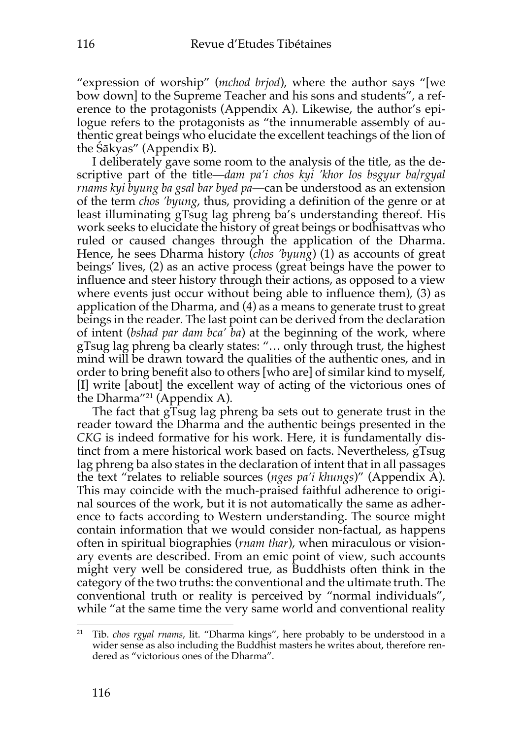"expression of worship" (*mchod brjod*), where the author says "[we bow down] to the Supreme Teacher and his sons and students", a reference to the protagonists (Appendix A). Likewise, the author's epilogue refers to the protagonists as "the innumerable assembly of authentic great beings who elucidate the excellent teachings of the lion of the Śākyas" (Appendix B).

I deliberately gave some room to the analysis of the title, as the descriptive part of the title—*dam pa'i chos kyi 'khor los bsgyur ba/rgyal rnams kyi byung ba gsal bar byed pa*—can be understood as an extension of the term *chos 'byung*, thus, providing a definition of the genre or at least illuminating gTsug lag phreng ba's understanding thereof. His work seeks to elucidate the history of great beings or bodhisattvas who ruled or caused changes through the application of the Dharma. Hence, he sees Dharma history (*chos 'byung*) (1) as accounts of great beings' lives, (2) as an active process (great beings have the power to influence and steer history through their actions, as opposed to a view where events just occur without being able to influence them), (3) as application of the Dharma, and (4) as a means to generate trust to great beings in the reader. The last point can be derived from the declaration of intent (*bshad par dam bca' ba*) at the beginning of the work, where gTsug lag phreng ba clearly states: "… only through trust, the highest mind will be drawn toward the qualities of the authentic ones, and in order to bring benefit also to others [who are] of similar kind to myself, [I] write [about] the excellent way of acting of the victorious ones of the Dharma"<sup>21</sup> (Appendix A).

The fact that gTsug lag phreng ba sets out to generate trust in the reader toward the Dharma and the authentic beings presented in the *CKG* is indeed formative for his work. Here, it is fundamentally distinct from a mere historical work based on facts. Nevertheless, gTsug lag phreng ba also states in the declaration of intent that in all passages the text "relates to reliable sources (*nges pa'i khungs*)" (Appendix A). This may coincide with the much-praised faithful adherence to original sources of the work, but it is not automatically the same as adherence to facts according to Western understanding. The source might contain information that we would consider non-factual, as happens often in spiritual biographies (*rnam thar*), when miraculous or visionary events are described. From an emic point of view, such accounts might very well be considered true, as Buddhists often think in the category of the two truths: the conventional and the ultimate truth. The conventional truth or reality is perceived by "normal individuals", while "at the same time the very same world and conventional reality

<sup>21</sup> Tib. *chos rgyal rnams*, lit. "Dharma kings", here probably to be understood in a wider sense as also including the Buddhist masters he writes about, therefore rendered as "victorious ones of the Dharma".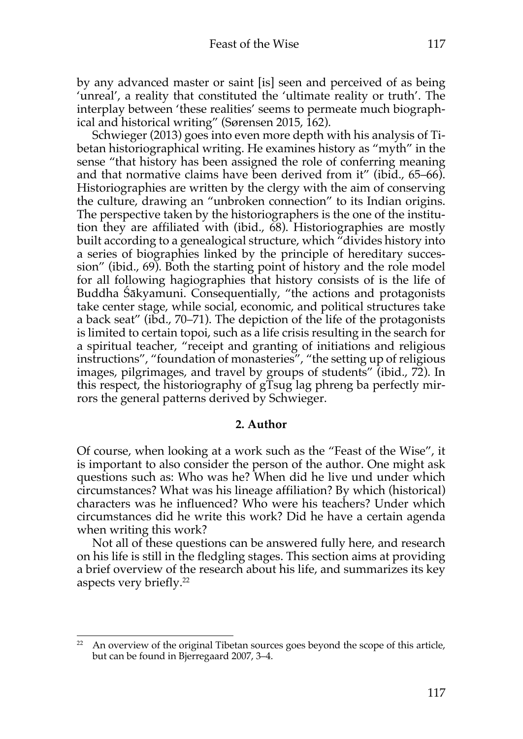by any advanced master or saint [is] seen and perceived of as being 'unreal', a reality that constituted the 'ultimate reality or truth'. The interplay between 'these realities' seems to permeate much biographical and historical writing" (Sørensen 2015, 162).

Schwieger (2013) goes into even more depth with his analysis of Tibetan historiographical writing. He examines history as "myth" in the sense "that history has been assigned the role of conferring meaning and that normative claims have been derived from it" (ibid., 65–66). Historiographies are written by the clergy with the aim of conserving the culture, drawing an "unbroken connection" to its Indian origins. The perspective taken by the historiographers is the one of the institution they are affiliated with (ibid., 68). Historiographies are mostly built according to a genealogical structure, which "divides history into a series of biographies linked by the principle of hereditary succession" (ibid., 69). Both the starting point of history and the role model for all following hagiographies that history consists of is the life of Buddha Śākyamuni. Consequentially, "the actions and protagonists take center stage, while social, economic, and political structures take a back seat" (ibd., 70–71). The depiction of the life of the protagonists is limited to certain topoi, such as a life crisis resulting in the search for a spiritual teacher, "receipt and granting of initiations and religious instructions", "foundation of monasteries", "the setting up of religious images, pilgrimages, and travel by groups of students" (ibid., 72). In this respect, the historiography of gTsug lag phreng ba perfectly mirrors the general patterns derived by Schwieger.

### **2. Author**

Of course, when looking at a work such as the "Feast of the Wise", it is important to also consider the person of the author. One might ask questions such as: Who was he? When did he live und under which circumstances? What was his lineage affiliation? By which (historical) characters was he influenced? Who were his teachers? Under which circumstances did he write this work? Did he have a certain agenda when writing this work?

Not all of these questions can be answered fully here, and research on his life is still in the fledgling stages. This section aims at providing a brief overview of the research about his life, and summarizes its key aspects very briefly.22

<sup>&</sup>lt;sup>22</sup> An overview of the original Tibetan sources goes beyond the scope of this article, but can be found in Bjerregaard 2007, 3–4.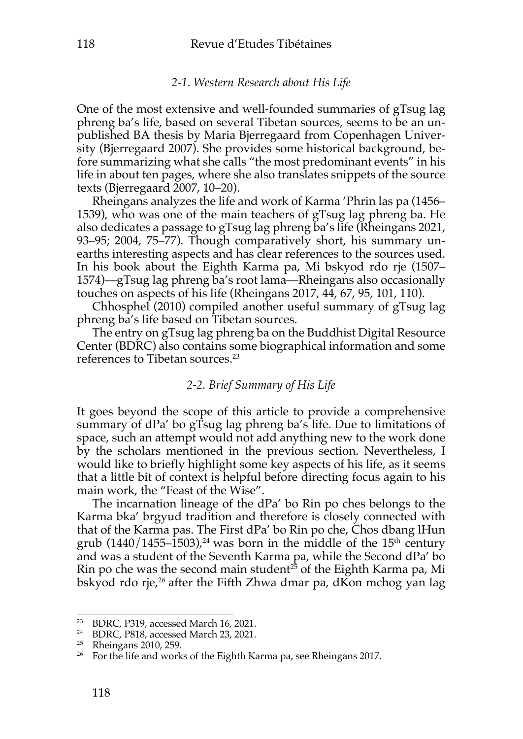#### *2-1. Western Research about His Life*

One of the most extensive and well-founded summaries of gTsug lag phreng ba's life, based on several Tibetan sources, seems to be an unpublished BA thesis by Maria Bjerregaard from Copenhagen University (Bjerregaard 2007). She provides some historical background, before summarizing what she calls "the most predominant events" in his life in about ten pages, where she also translates snippets of the source texts (Bjerregaard 2007, 10–20).

Rheingans analyzes the life and work of Karma 'Phrin las pa (1456– 1539), who was one of the main teachers of gTsug lag phreng ba. He also dedicates a passage to gTsug lag phreng ba's life (Rheingans 2021, 93–95; 2004, 75–77). Though comparatively short, his summary unearths interesting aspects and has clear references to the sources used. In his book about the Eighth Karma pa, Mi bskyod rdo rje (1507– 1574)—gTsug lag phreng ba's root lama—Rheingans also occasionally touches on aspects of his life (Rheingans 2017, 44, 67, 95, 101, 110).

Chhosphel (2010) compiled another useful summary of gTsug lag phreng ba's life based on Tibetan sources.

The entry on gTsug lag phreng ba on the Buddhist Digital Resource Center (BDRC) also contains some biographical information and some references to Tibetan sources. 23

## *2-2. Brief Summary of His Life*

It goes beyond the scope of this article to provide a comprehensive summary of dPa' bo gTsug lag phreng ba's life. Due to limitations of space, such an attempt would not add anything new to the work done by the scholars mentioned in the previous section. Nevertheless, I would like to briefly highlight some key aspects of his life, as it seems that a little bit of context is helpful before directing focus again to his main work, the "Feast of the Wise".

The incarnation lineage of the dPa' bo Rin po ches belongs to the Karma bka' brgyud tradition and therefore is closely connected with that of the Karma pas. The First dPa' bo Rin po che, Chos dbang lHun grub  $(1440/1455-1503)$ ,<sup>24</sup> was born in the middle of the 15<sup>th</sup> century and was a student of the Seventh Karma pa, while the Second dPa' bo Rin po che was the second main student<sup>25</sup> of the Eighth Karma pa, Mi bskyod rdo rje, <sup>26</sup> after the Fifth Zhwa dmar pa, dKon mchog yan lag

<sup>23</sup> BDRC, P319, accessed March 16, 2021.

<sup>24</sup> BDRC, P818, accessed March 23, 2021.

<sup>25</sup> Rheingans 2010, 259.

<sup>&</sup>lt;sup>26</sup> For the life and works of the Eighth Karma pa, see Rheingans 2017.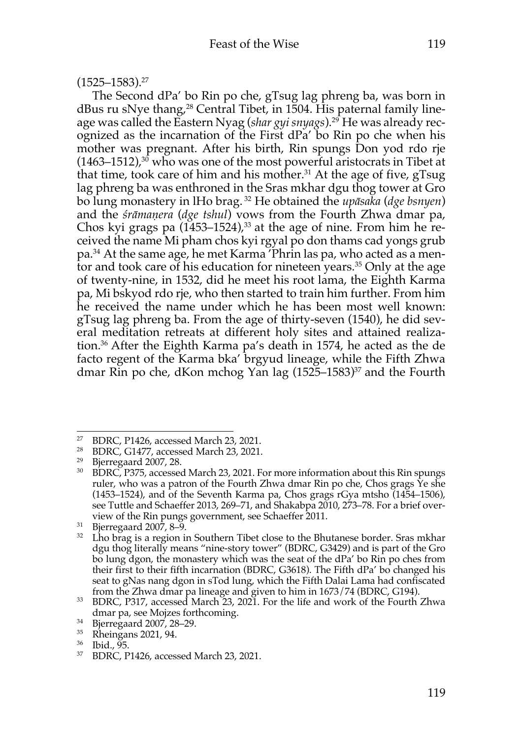## (1525–1583). 27

The Second dPa' bo Rin po che, gTsug lag phreng ba, was born in dBus ru sNye thang, <sup>28</sup> Central Tibet, in 1504. His paternal family lineage was called the Eastern Nyag (*shar gyi snyags*).29 He was already recognized as the incarnation of the First dPa' bo Rin po che when his mother was pregnant. After his birth, Rin spungs Don yod rdo rje (1463–1512), <sup>30</sup> who was one of the most powerful aristocrats in Tibet at that time, took care of him and his mother. <sup>31</sup> At the age of five, gTsug lag phreng ba was enthroned in the Sras mkhar dgu thog tower at Gro bo lung monastery in lHo brag. <sup>32</sup> He obtained the *upāsaka* (*dge bsnyen*) and the *śrāmaṇera* (*dge tshul*) vows from the Fourth Zhwa dmar pa, Chos kyi grags pa (1453–1524), <sup>33</sup> at the age of nine. From him he received the name Mi pham chos kyi rgyal po don thams cad yongs grub pa.34 At the same age, he met Karma 'Phrin las pa, who acted as a mentor and took care of his education for nineteen years.<sup>35</sup> Only at the age of twenty-nine, in 1532, did he meet his root lama, the Eighth Karma pa, Mi bskyod rdo rje, who then started to train him further. From him he received the name under which he has been most well known: gTsug lag phreng ba. From the age of thirty-seven (1540), he did several meditation retreats at different holy sites and attained realization.36 After the Eighth Karma pa's death in 1574, he acted as the de facto regent of the Karma bka' brgyud lineage, while the Fifth Zhwa dmar Rin po che, dKon mchog Yan lag (1525-1583)<sup>37</sup> and the Fourth

<sup>27</sup> BDRC, P1426, accessed March 23, 2021.

<sup>28</sup> BDRC, G1477, accessed March 23, 2021.

<sup>29</sup> Bjerregaard 2007, 28.

<sup>&</sup>lt;sup>30</sup> BDRC, P375, accessed March 23, 2021. For more information about this Rin spungs ruler, who was a patron of the Fourth Zhwa dmar Rin po che, Chos grags Ye she (1453–1524), and of the Seventh Karma pa, Chos grags rGya mtsho (1454–1506), see Tuttle and Schaeffer 2013, 269–71, and Shakabpa 2010, 273–78. For a brief overview of the Rin pungs government, see Schaeffer 2011.

 $31$  Bjerregaard 2007, 8-9.

<sup>&</sup>lt;sup>32</sup> Lho brag is a region in Southern Tibet close to the Bhutanese border. Sras mkhar dgu thog literally means "nine-story tower" (BDRC, G3429) and is part of the Gro bo lung dgon, the monastery which was the seat of the dPa' bo Rin po ches from their first to their fifth incarnation (BDRC, G3618). The Fifth dPa' bo changed his seat to gNas nang dgon in sTod lung, which the Fifth Dalai Lama had confiscated from the Zhwa dmar pa lineage and given to him in 1673/74 (BDRC, G194).

<sup>33</sup> BDRC, P317, accessed March 23, 2021. For the life and work of the Fourth Zhwa dmar pa, see Mojzes forthcoming.

<sup>34</sup> Bjerregaard 2007, 28–29.

<sup>35</sup> Rheingans 2021, 94.

<sup>36</sup> Ibid., 95.

<sup>37</sup> BDRC, P1426, accessed March 23, 2021.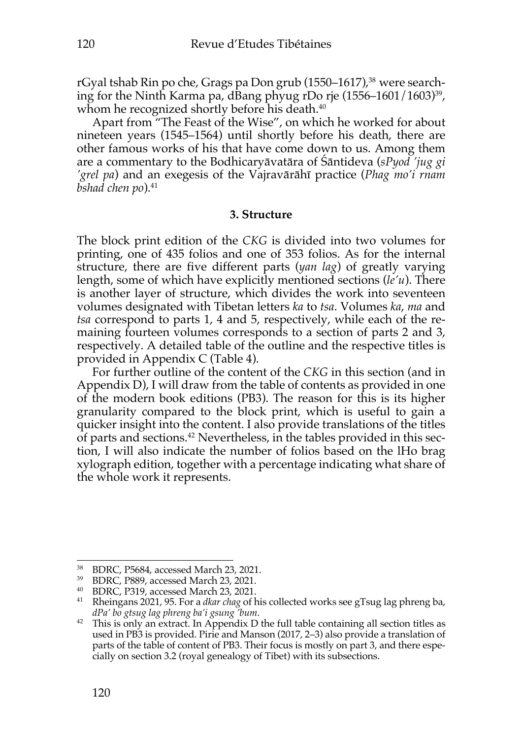rGyal tshab Rin po che, Grags pa Don grub (1550–1617), <sup>38</sup> were searching for the Ninth Karma pa, dBang phyug rDo rje (1556–1601/1603)39, whom he recognized shortly before his death. 40

Apart from "The Feast of the Wise", on which he worked for about nineteen years (1545–1564) until shortly before his death, there are other famous works of his that have come down to us. Among them are a commentary to the Bodhicaryāvatāra of Śāntideva (*sPyod 'jug gi 'grel pa*) and an exegesis of the Vajravārāhī practice (*Phag mo'i rnam bshad chen po*).<sup>41</sup>

#### **3. Structure**

The block print edition of the *CKG* is divided into two volumes for printing, one of 435 folios and one of 353 folios. As for the internal structure, there are five different parts (*yan lag*) of greatly varying length, some of which have explicitly mentioned sections (*le'u*). There is another layer of structure, which divides the work into seventeen volumes designated with Tibetan letters *ka* to *tsa*. Volumes *ka*, *ma* and *tsa* correspond to parts 1, 4 and 5, respectively, while each of the remaining fourteen volumes corresponds to a section of parts 2 and 3, respectively. A detailed table of the outline and the respective titles is provided in Appendix C (Table 4).

For further outline of the content of the *CKG* in this section (and in Appendix D), I will draw from the table of contents as provided in one of the modern book editions (PB3). The reason for this is its higher granularity compared to the block print, which is useful to gain a quicker insight into the content. I also provide translations of the titles of parts and sections. <sup>42</sup> Nevertheless, in the tables provided in this section, I will also indicate the number of folios based on the lHo brag xylograph edition, together with a percentage indicating what share of the whole work it represents.

<sup>38</sup> BDRC, P5684, accessed March 23, 2021.

<sup>39</sup> BDRC, P889, accessed March 23, 2021.

<sup>40</sup> BDRC, P319, accessed March 23, 2021.

<sup>41</sup> Rheingans 2021, 95. For a *dkar chag* of his collected works see gTsug lag phreng ba, *dPa' bo gtsug lag phreng ba'i gsung 'bum*.

<sup>&</sup>lt;sup>42</sup> This is only an extract. In Appendix D the full table containing all section titles as used in PB3 is provided. Pirie and Manson (2017, 2–3) also provide a translation of parts of the table of content of PB3. Their focus is mostly on part 3, and there especially on section 3.2 (royal genealogy of Tibet) with its subsections.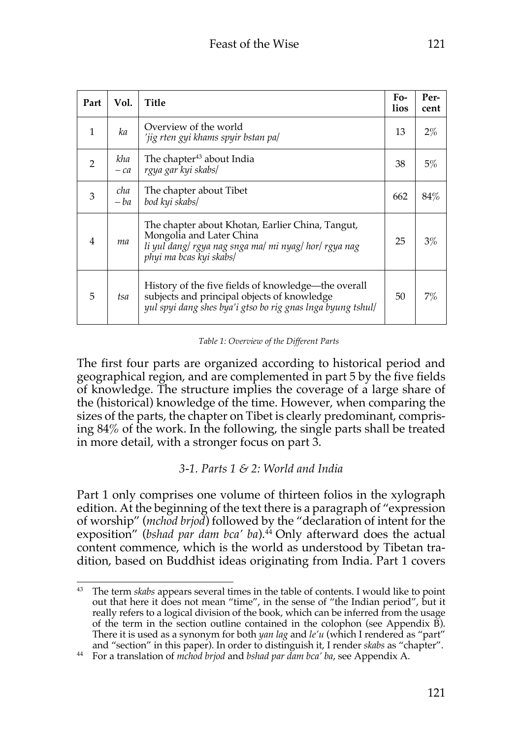| Part           | Vol.         | Title                                                                                                                                                             | Fo-<br>lios | Per-<br>cent |
|----------------|--------------|-------------------------------------------------------------------------------------------------------------------------------------------------------------------|-------------|--------------|
| 1              | ka           | Overview of the world<br>'jig rten gyi khams spyir bstan pa/                                                                                                      | 13          | $2\%$        |
| 2              | kha<br>$-ca$ | The chapter <sup>43</sup> about India<br>rgya gar kyi skabs/                                                                                                      | 38          | 5%           |
| 3              | cha<br>$-ba$ | The chapter about Tibet<br>bod kyi skabs/                                                                                                                         | 662         | 84%          |
| $\overline{4}$ | ma           | The chapter about Khotan, Earlier China, Tangut,<br>Mongolia and Later China<br>li yul dang/rgya nag snga ma/mi nyag/hor/rgya nag<br>phyi ma bcas kyi skabs/      | 25          | $3\%$        |
| 5              | tsa          | History of the five fields of knowledge-the overall<br>subjects and principal objects of knowledge<br>yul spyi dang shes bya'i gtso bo rig gnas lnga byung tshul/ | 50          | 7%           |

*Table 1: Overview of the Different Parts*

The first four parts are organized according to historical period and geographical region, and are complemented in part 5 by the five fields of knowledge. The structure implies the coverage of a large share of the (historical) knowledge of the time. However, when comparing the sizes of the parts, the chapter on Tibet is clearly predominant, comprising 84% of the work. In the following, the single parts shall be treated in more detail, with a stronger focus on part 3.

# *3-1. Parts 1 & 2: World and India*

Part 1 only comprises one volume of thirteen folios in the xylograph edition. At the beginning of the text there is a paragraph of "expression of worship" (*mchod brjod*) followed by the "declaration of intent for the exposition" (*bshad par dam bca' ba*). <sup>44</sup> Only afterward does the actual content commence, which is the world as understood by Tibetan tradition, based on Buddhist ideas originating from India. Part 1 covers

<sup>43</sup> The term *skabs* appears several times in the table of contents. I would like to point out that here it does not mean "time", in the sense of "the Indian period", but it really refers to a logical division of the book, which can be inferred from the usage of the term in the section outline contained in the colophon (see Appendix B). There it is used as a synonym for both *yan lag* and *le'u* (which I rendered as "part" and "section" in this paper). In order to distinguish it, I render *skabs* as "chapter".

<sup>44</sup> For a translation of *mchod brjod* and *bshad par dam bca' ba*, see Appendix A.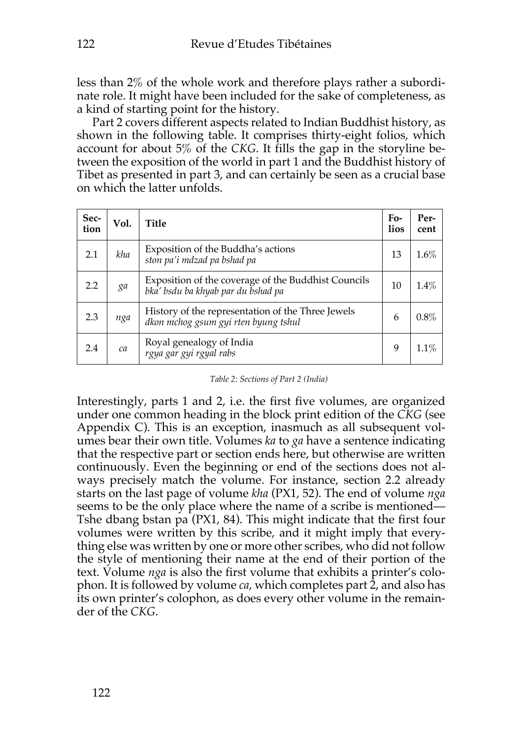less than 2% of the whole work and therefore plays rather a subordinate role. It might have been included for the sake of completeness, as a kind of starting point for the history.

Part 2 covers different aspects related to Indian Buddhist history, as shown in the following table. It comprises thirty-eight folios, which account for about 5% of the *CKG*. It fills the gap in the storyline between the exposition of the world in part 1 and the Buddhist history of Tibet as presented in part 3, and can certainly be seen as a crucial base on which the latter unfolds.

| Sec-<br>tion | Vol. | Title                                                                                     | $F_{0}$ -<br>lios | Per-<br>cent |
|--------------|------|-------------------------------------------------------------------------------------------|-------------------|--------------|
| 2.1          | kha  | Exposition of the Buddha's actions<br>ston pa'i mdzad pa bshad pa                         | 13                | $1.6\%$      |
| 2.2          | ga   | Exposition of the coverage of the Buddhist Councils<br>bka' bsdu ba khyab par du bshad pa | 10                | $1.4\%$      |
| 2.3          | nga  | History of the representation of the Three Jewels<br>dkon mchog gsum gyi rten byung tshul | 6                 | 0.8%         |
| 2.4          | ca   | Royal genealogy of India<br>rgya gar gyi rgyal rabs                                       | 9                 | 1.1%         |

*Table 2: Sections of Part 2 (India)*

Interestingly, parts 1 and 2, i.e. the first five volumes, are organized under one common heading in the block print edition of the *CKG* (see Appendix C). This is an exception, inasmuch as all subsequent volumes bear their own title. Volumes *ka* to *ga* have a sentence indicating that the respective part or section ends here, but otherwise are written continuously. Even the beginning or end of the sections does not always precisely match the volume. For instance, section 2.2 already starts on the last page of volume *kha* (PX1, 52). The end of volume *nga*  seems to be the only place where the name of a scribe is mentioned— Tshe dbang bstan pa (PX1, 84). This might indicate that the first four volumes were written by this scribe, and it might imply that everything else was written by one or more other scribes, who did not follow the style of mentioning their name at the end of their portion of the text. Volume *nga* is also the first volume that exhibits a printer's colophon. It is followed by volume *ca*, which completes part 2, and also has its own printer's colophon, as does every other volume in the remainder of the *CKG*.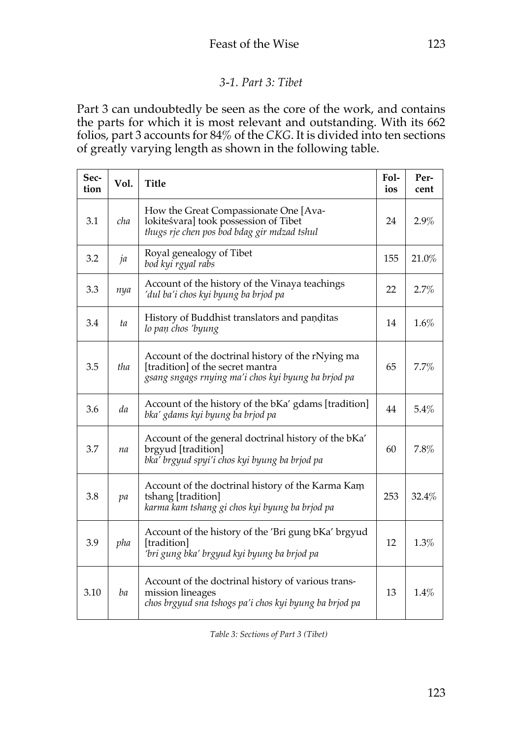## *3-1. Part 3: Tibet*

Part 3 can undoubtedly be seen as the core of the work, and contains the parts for which it is most relevant and outstanding. With its 662 folios, part 3 accounts for 84% of the *CKG*. It is divided into ten sections of greatly varying length as shown in the following table.

| Sec-<br>tion | Vol. | <b>Title</b>                                                                                                                                 | Fol-<br>ios | Per-<br>cent |
|--------------|------|----------------------------------------------------------------------------------------------------------------------------------------------|-------------|--------------|
| 3.1          | cha  | How the Great Compassionate One [Ava-<br>lokiteśvara] took possession of Tibet<br>thugs rje chen pos bod bdag gir mdzad tshul                | 24          | 2.9%         |
| 3.2          | ja   | Royal genealogy of Tibet<br>bod kyi rgyal rabs                                                                                               | 155         | 21.0%        |
| 3.3          | nya  | Account of the history of the Vinaya teachings<br>'dul ba'i chos kyi byung ba brjod pa                                                       | 22          | 2.7%         |
| 3.4          | ta   | History of Buddhist translators and panditas<br>lo pan chos 'byung                                                                           | 14          | 1.6%         |
| 3.5          | tha  | Account of the doctrinal history of the rNying ma<br>[tradition] of the secret mantra<br>gsang sngags rnying ma'i chos kyi byung ba brjod pa | 65          | 7.7%         |
| 3.6          | da   | Account of the history of the bKa' gdams [tradition]<br>bka' gdams kyi byung ba brjod pa                                                     | 44          | 5.4%         |
| 3.7          | na   | Account of the general doctrinal history of the bKa'<br>brgyud [tradition]<br>bka' brgyud spyi'i chos kyi byung ba brjod pa                  | 60          | 7.8%         |
| 3.8          | pa   | Account of the doctrinal history of the Karma Kam<br>tshang [tradition]<br>karma kam tshang gi chos kyi byung ba brjod pa                    | 253         | 32.4%        |
| 3.9          | pha  | Account of the history of the 'Bri gung bKa' brgyud<br>[tradition]<br>'bri gung bka' brgyud kyi byung ba brjod pa                            | 12          | 1.3%         |
| 3.10         | ba   | Account of the doctrinal history of various trans-<br>mission lineages<br>chos brgyud sna tshogs pa'i chos kyi byung ba brjod pa             | 13          | 1.4%         |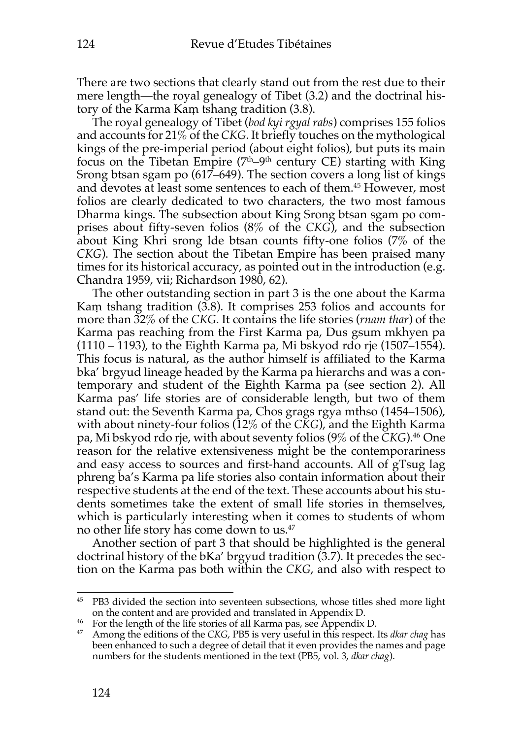There are two sections that clearly stand out from the rest due to their mere length—the royal genealogy of Tibet (3.2) and the doctrinal history of the Karma Kaṃ tshang tradition (3.8).

The royal genealogy of Tibet (*bod kyi rgyal rabs*) comprises 155 folios and accounts for 21% of the *CKG*. It briefly touches on the mythological kings of the pre-imperial period (about eight folios), but puts its main focus on the Tibetan Empire  $(7<sup>th</sup>-9<sup>th</sup>$  century CE) starting with King Srong btsan sgam po (617–649). The section covers a long list of kings and devotes at least some sentences to each of them. <sup>45</sup> However, most folios are clearly dedicated to two characters, the two most famous Dharma kings. The subsection about King Srong btsan sgam po comprises about fifty-seven folios (8% of the *CKG*), and the subsection about King Khri srong lde btsan counts fifty-one folios (7% of the *CKG*). The section about the Tibetan Empire has been praised many times for its historical accuracy, as pointed out in the introduction (e.g. Chandra 1959, vii; Richardson 1980, 62).

The other outstanding section in part 3 is the one about the Karma Kaṃ tshang tradition (3.8). It comprises 253 folios and accounts for more than 32% of the *CKG*. It contains the life stories (*rnam thar*) of the Karma pas reaching from the First Karma pa, Dus gsum mkhyen pa (1110 – 1193), to the Eighth Karma pa, Mi bskyod rdo rje (1507–1554). This focus is natural, as the author himself is affiliated to the Karma bka' brgyud lineage headed by the Karma pa hierarchs and was a contemporary and student of the Eighth Karma pa (see section 2). All Karma pas' life stories are of considerable length, but two of them stand out: the Seventh Karma pa, Chos grags rgya mthso (1454–1506), with about ninety-four folios (12% of the *CKG*), and the Eighth Karma pa, Mi bskyod rdo rje, with about seventy folios (9% of the *CKG*).46 One reason for the relative extensiveness might be the contemporariness and easy access to sources and first-hand accounts. All of gTsug lag phreng ba's Karma pa life stories also contain information about their respective students at the end of the text. These accounts about his students sometimes take the extent of small life stories in themselves, which is particularly interesting when it comes to students of whom no other life story has come down to us.47

Another section of part 3 that should be highlighted is the general doctrinal history of the bKa' brgyud tradition (3.7). It precedes the section on the Karma pas both within the *CKG*, and also with respect to

<sup>45</sup> PB3 divided the section into seventeen subsections, whose titles shed more light on the content and are provided and translated in Appendix D.

<sup>&</sup>lt;sup>46</sup> For the length of the life stories of all Karma pas, see Appendix D.

<sup>47</sup> Among the editions of the *CKG*, PB5 is very useful in this respect. Its *dkar chag* has been enhanced to such a degree of detail that it even provides the names and page numbers for the students mentioned in the text (PB5, vol. 3, *dkar chag*).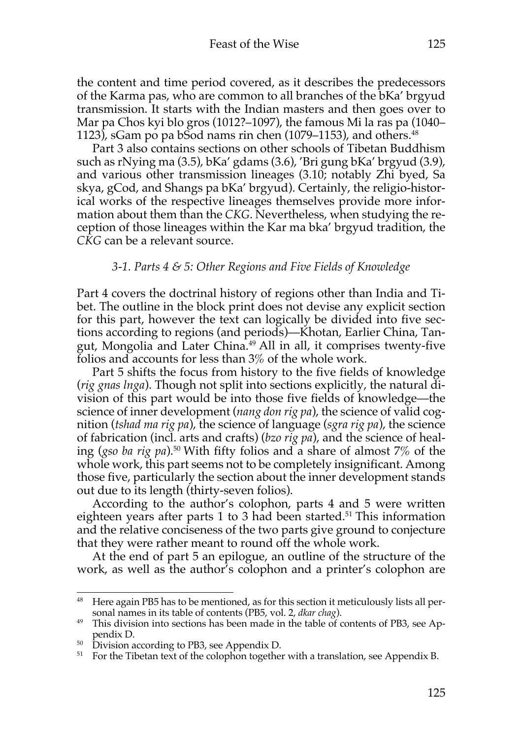the content and time period covered, as it describes the predecessors of the Karma pas, who are common to all branches of the bKa' brgyud transmission. It starts with the Indian masters and then goes over to Mar pa Chos kyi blo gros (1012?–1097), the famous Mi la ras pa (1040– 1123), sGam po pa bSod nams rin chen  $(1079-1153)$ , and others.<sup>48</sup>

Part 3 also contains sections on other schools of Tibetan Buddhism such as rNying ma (3.5), bKa' gdams (3.6), 'Bri gung bKa' brgyud (3.9), and various other transmission lineages (3.10; notably Zhi byed, Sa skya, gCod, and Shangs pa bKa' brgyud). Certainly, the religio-historical works of the respective lineages themselves provide more information about them than the *CKG*. Nevertheless, when studying the reception of those lineages within the Kar ma bka' brgyud tradition, the *CKG* can be a relevant source.

### *3-1. Parts 4 & 5: Other Regions and Five Fields of Knowledge*

Part 4 covers the doctrinal history of regions other than India and Tibet. The outline in the block print does not devise any explicit section for this part, however the text can logically be divided into five sections according to regions (and periods)—Khotan, Earlier China, Tangut, Mongolia and Later China.<sup>49</sup> All in all, it comprises twenty-five folios and accounts for less than 3% of the whole work.

Part 5 shifts the focus from history to the five fields of knowledge (*rig gnas lnga*). Though not split into sections explicitly, the natural division of this part would be into those five fields of knowledge—the science of inner development (*nang don rig pa*), the science of valid cognition (*tshad ma rig pa*), the science of language (*sgra rig pa*), the science of fabrication (incl. arts and crafts) (*bzo rig pa*), and the science of healing (*gso ba rig pa*).50 With fifty folios and a share of almost 7% of the whole work, this part seems not to be completely insignificant. Among those five, particularly the section about the inner development stands out due to its length (thirty-seven folios).

According to the author's colophon, parts 4 and 5 were written eighteen years after parts 1 to 3 had been started.<sup>51</sup> This information and the relative conciseness of the two parts give ground to conjecture that they were rather meant to round off the whole work.

At the end of part 5 an epilogue, an outline of the structure of the work, as well as the author's colophon and a printer's colophon are

<sup>&</sup>lt;sup>48</sup> Here again PB5 has to be mentioned, as for this section it meticulously lists all personal names in its table of contents (PB5, vol. 2, *dkar chag*).

<sup>&</sup>lt;sup>49</sup> This division into sections has been made in the table of contents of PB3, see Appendix D.

 $50$  Division according to PB3, see Appendix D.

 $51$  For the Tibetan text of the colophon together with a translation, see Appendix B.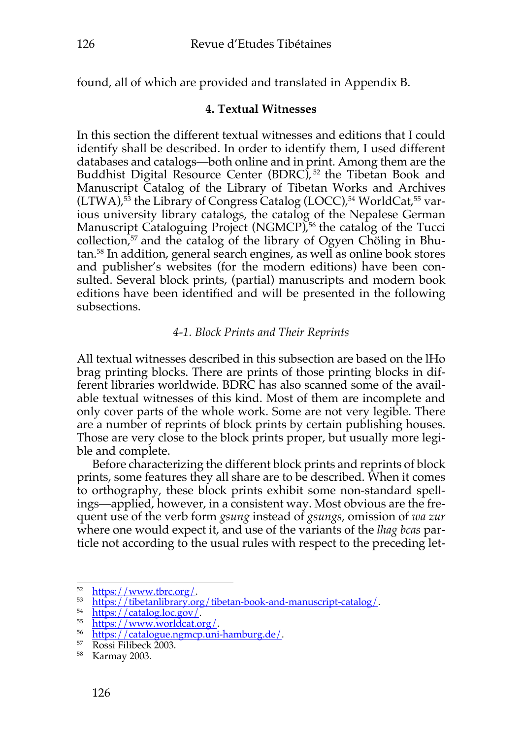found, all of which are provided and translated in Appendix B.

## **4. Textual Witnesses**

In this section the different textual witnesses and editions that I could identify shall be described. In order to identify them, I used different databases and catalogs—both online and in print. Among them are the Buddhist Digital Resource Center (BDRC),<sup>52</sup> the Tibetan Book and Manuscript Catalog of the Library of Tibetan Works and Archives (LTWA), <sup>53</sup> the Library of Congress Catalog (LOCC), <sup>54</sup> WorldCat, <sup>55</sup> various university library catalogs, the catalog of the Nepalese German Manuscript Cataloguing Project (NGMCP), <sup>56</sup> the catalog of the Tucci collection, <sup>57</sup> and the catalog of the library of Ogyen Chöling in Bhutan. <sup>58</sup> In addition, general search engines, as well as online book stores and publisher's websites (for the modern editions) have been consulted. Several block prints, (partial) manuscripts and modern book editions have been identified and will be presented in the following subsections.

## *4-1. Block Prints and Their Reprints*

All textual witnesses described in this subsection are based on the lHo brag printing blocks. There are prints of those printing blocks in different libraries worldwide. BDRC has also scanned some of the available textual witnesses of this kind. Most of them are incomplete and only cover parts of the whole work. Some are not very legible. There are a number of reprints of block prints by certain publishing houses. Those are very close to the block prints proper, but usually more legible and complete.

Before characterizing the different block prints and reprints of block prints, some features they all share are to be described. When it comes to orthography, these block prints exhibit some non-standard spellings—applied, however, in a consistent way. Most obvious are the frequent use of the verb form *gsung* instead of *gsungs*, omission of *wa zur* where one would expect it, and use of the variants of the *lhag bcas* particle not according to the usual rules with respect to the preceding let-

<sup>52</sup> https://www.tbrc.org/.

<sup>53</sup> https://tibetanlibrary.org/tibetan-book-and-manuscript-catalog/.

<sup>54</sup> https://catalog.loc.gov/.

<sup>55</sup> https://www.worldcat.org/.

 $\frac{56}{57}$  https://catalogue.ngmcp.uni-hamburg.de/.

<sup>57</sup> Rossi Filibeck 2003.

<sup>58</sup> Karmay 2003.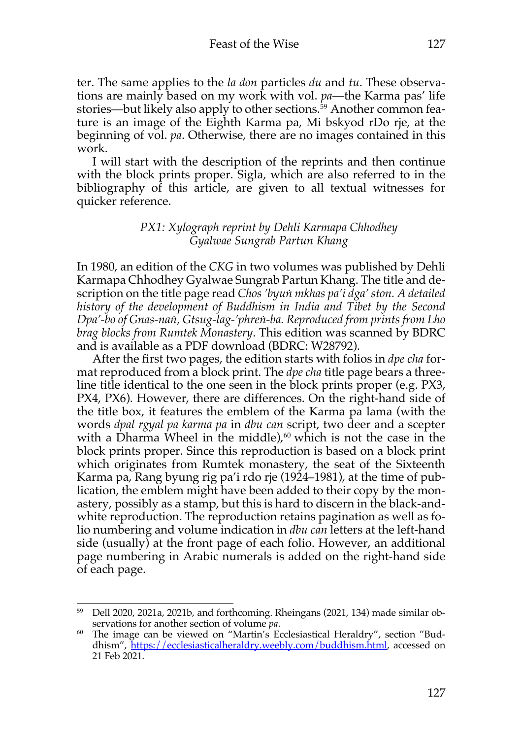ter. The same applies to the *la don* particles *du* and *tu*. These observations are mainly based on my work with vol. *pa*—the Karma pas' life stories—but likely also apply to other sections. <sup>59</sup> Another common feature is an image of the Eighth Karma pa, Mi bskyod rDo rje, at the beginning of vol. *pa*. Otherwise, there are no images contained in this work.

I will start with the description of the reprints and then continue with the block prints proper. Sigla, which are also referred to in the bibliography of this article, are given to all textual witnesses for quicker reference.

### *PX1: Xylograph reprint by Dehli Karmapa Chhodhey Gyalwae Sungrab Partun Khang*

In 1980, an edition of the *CKG* in two volumes was published by Dehli Karmapa Chhodhey Gyalwae Sungrab Partun Khang. The title and description on the title page read *Chos 'byuṅ mkhas pa'i dga' ston. A detailed history of the development of Buddhism in India and Tibet by the Second Dpa'-bo of Gnas-naṅ, Gtsug-lag-'phreṅ-ba. Reproduced from prints from Lho brag blocks from Rumtek Monastery*. This edition was scanned by BDRC and is available as a PDF download (BDRC: W28792).

After the first two pages, the edition starts with folios in *dpe cha* format reproduced from a block print. The *dpe cha* title page bears a threeline title identical to the one seen in the block prints proper (e.g. PX3, PX4, PX6). However, there are differences. On the right-hand side of the title box, it features the emblem of the Karma pa lama (with the words *dpal rgyal pa karma pa* in *dbu can* script, two deer and a scepter with a Dharma Wheel in the middle), <sup>60</sup> which is not the case in the block prints proper. Since this reproduction is based on a block print which originates from Rumtek monastery, the seat of the Sixteenth Karma pa, Rang byung rig pa'i rdo rje (1924–1981), at the time of publication, the emblem might have been added to their copy by the monastery, possibly as a stamp, but this is hard to discern in the black-andwhite reproduction. The reproduction retains pagination as well as folio numbering and volume indication in *dbu can* letters at the left-hand side (usually) at the front page of each folio. However, an additional page numbering in Arabic numerals is added on the right-hand side of each page.

<sup>59</sup> Dell 2020, 2021a, 2021b, and forthcoming. Rheingans (2021, 134) made similar observations for another section of volume *pa*.

<sup>60</sup> The image can be viewed on "Martin's Ecclesiastical Heraldry", section "Buddhism", https://ecclesiasticalheraldry.weebly.com/buddhism.html, accessed on 21 Feb 2021.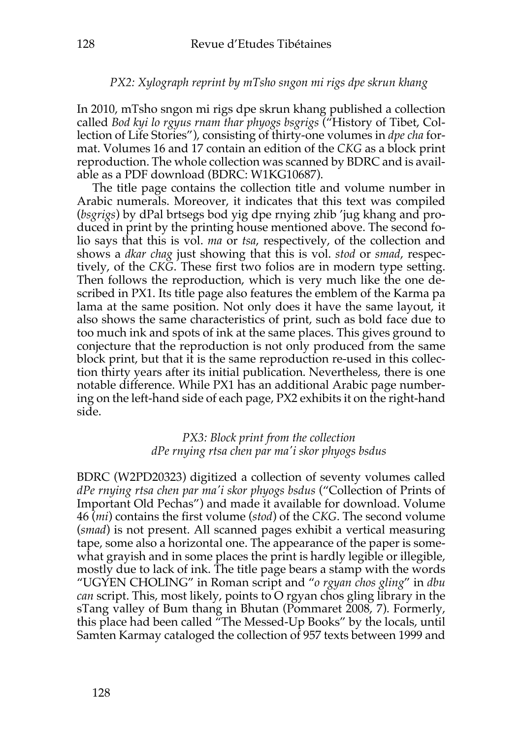### *PX2: Xylograph reprint by mTsho sngon mi rigs dpe skrun khang*

In 2010, mTsho sngon mi rigs dpe skrun khang published a collection called *Bod kyi lo rgyus rnam thar phyogs bsgrigs* ("History of Tibet, Collection of Life Stories"), consisting of thirty-one volumes in *dpe cha* format. Volumes 16 and 17 contain an edition of the *CKG* as a block print reproduction. The whole collection was scanned by BDRC and is available as a PDF download (BDRC: W1KG10687).

The title page contains the collection title and volume number in Arabic numerals. Moreover, it indicates that this text was compiled (*bsgrigs*) by dPal brtsegs bod yig dpe rnying zhib 'jug khang and produced in print by the printing house mentioned above. The second folio says that this is vol. *ma* or *tsa*, respectively, of the collection and shows a *dkar chag* just showing that this is vol. *stod* or *smad*, respectively, of the *CKG*. These first two folios are in modern type setting. Then follows the reproduction, which is very much like the one described in PX1. Its title page also features the emblem of the Karma pa lama at the same position. Not only does it have the same layout, it also shows the same characteristics of print, such as bold face due to too much ink and spots of ink at the same places. This gives ground to conjecture that the reproduction is not only produced from the same block print, but that it is the same reproduction re-used in this collection thirty years after its initial publication. Nevertheless, there is one notable difference. While PX1 has an additional Arabic page numbering on the left-hand side of each page, PX2 exhibits it on the right-hand side.

### *PX3: Block print from the collection dPe rnying rtsa chen par ma'i skor phyogs bsdus*

BDRC (W2PD20323) digitized a collection of seventy volumes called *dPe rnying rtsa chen par ma'i skor phyogs bsdus* ("Collection of Prints of Important Old Pechas") and made it available for download. Volume 46 (*mi*) contains the first volume (*stod*) of the *CKG*. The second volume (*smad*) is not present. All scanned pages exhibit a vertical measuring tape, some also a horizontal one. The appearance of the paper is somewhat grayish and in some places the print is hardly legible or illegible, mostly due to lack of ink. The title page bears a stamp with the words "UGYEN CHOLING" in Roman script and "*o rgyan chos gling*" in *dbu can* script. This, most likely, points to O rgyan chos gling library in the sTang valley of Bum thang in Bhutan (Pommaret 2008, 7). Formerly, this place had been called "The Messed-Up Books" by the locals, until Samten Karmay cataloged the collection of 957 texts between 1999 and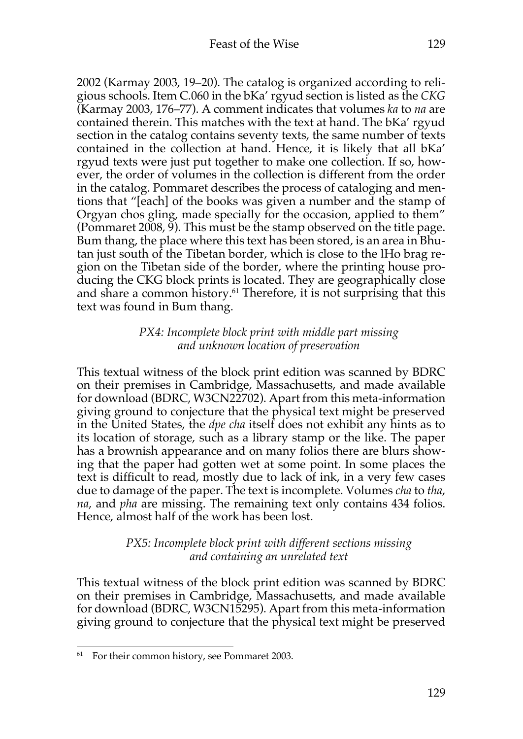2002 (Karmay 2003, 19–20). The catalog is organized according to religious schools. Item C.060 in the bKa' rgyud section is listed as the *CKG* (Karmay 2003, 176–77). A comment indicates that volumes *ka* to *na* are contained therein. This matches with the text at hand. The bKa' rgyud section in the catalog contains seventy texts, the same number of texts contained in the collection at hand. Hence, it is likely that all bKa' rgyud texts were just put together to make one collection. If so, however, the order of volumes in the collection is different from the order in the catalog. Pommaret describes the process of cataloging and mentions that "[each] of the books was given a number and the stamp of Orgyan chos gling, made specially for the occasion, applied to them" (Pommaret 2008, 9). This must be the stamp observed on the title page. Bum thang, the place where this text has been stored, is an area in Bhutan just south of the Tibetan border, which is close to the lHo brag region on the Tibetan side of the border, where the printing house producing the CKG block prints is located. They are geographically close and share a common history.<sup>61</sup> Therefore, it is not surprising that this text was found in Bum thang.

### *PX4: Incomplete block print with middle part missing and unknown location of preservation*

This textual witness of the block print edition was scanned by BDRC on their premises in Cambridge, Massachusetts, and made available for download (BDRC, W3CN22702). Apart from this meta-information giving ground to conjecture that the physical text might be preserved in the United States, the *dpe cha* itself does not exhibit any hints as to its location of storage, such as a library stamp or the like. The paper has a brownish appearance and on many folios there are blurs showing that the paper had gotten wet at some point. In some places the text is difficult to read, mostly due to lack of ink, in a very few cases due to damage of the paper. The text is incomplete. Volumes *cha* to *tha*, *na*, and *pha* are missing. The remaining text only contains 434 folios. Hence, almost half of the work has been lost.

## *PX5: Incomplete block print with different sections missing and containing an unrelated text*

This textual witness of the block print edition was scanned by BDRC on their premises in Cambridge, Massachusetts, and made available for download (BDRC, W3CN15295). Apart from this meta-information giving ground to conjecture that the physical text might be preserved

<sup>&</sup>lt;sup>61</sup> For their common history, see Pommaret 2003.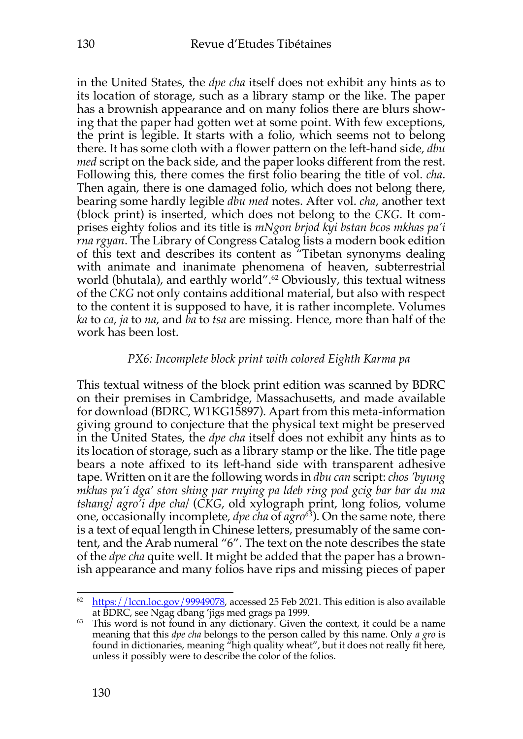in the United States, the *dpe cha* itself does not exhibit any hints as to its location of storage, such as a library stamp or the like. The paper has a brownish appearance and on many folios there are blurs showing that the paper had gotten wet at some point. With few exceptions, the print is legible. It starts with a folio, which seems not to belong there. It has some cloth with a flower pattern on the left-hand side, *dbu med* script on the back side, and the paper looks different from the rest. Following this, there comes the first folio bearing the title of vol. *cha*. Then again, there is one damaged folio, which does not belong there, bearing some hardly legible *dbu med* notes. After vol. *cha*, another text (block print) is inserted, which does not belong to the *CKG*. It comprises eighty folios and its title is *mNgon brjod kyi bstan bcos mkhas pa'i rna rgyan*. The Library of Congress Catalog lists a modern book edition of this text and describes its content as "Tibetan synonyms dealing with animate and inanimate phenomena of heaven, subterrestrial world (bhutala), and earthly world". <sup>62</sup> Obviously, this textual witness of the *CKG* not only contains additional material, but also with respect to the content it is supposed to have, it is rather incomplete. Volumes *ka* to *ca*, *ja* to *na*, and *ba* to *tsa* are missing. Hence, more than half of the work has been lost.

### *PX6: Incomplete block print with colored Eighth Karma pa*

This textual witness of the block print edition was scanned by BDRC on their premises in Cambridge, Massachusetts, and made available for download (BDRC, W1KG15897). Apart from this meta-information giving ground to conjecture that the physical text might be preserved in the United States, the *dpe cha* itself does not exhibit any hints as to its location of storage, such as a library stamp or the like. The title page bears a note affixed to its left-hand side with transparent adhesive tape. Written on it are the following words in *dbu can* script: *chos 'byung mkhas pa'i dga' ston shing par rnying pa ldeb ring pod gcig bar bar du ma tshang/ agro'i dpe cha/* (*CKG*, old xylograph print, long folios, volume one, occasionally incomplete, *dpe cha* of *agro63*). On the same note, there is a text of equal length in Chinese letters, presumably of the same content, and the Arab numeral "6". The text on the note describes the state of the *dpe cha* quite well. It might be added that the paper has a brownish appearance and many folios have rips and missing pieces of paper

<sup>&</sup>lt;sup>62</sup> https://lccn.loc.gov/99949078, accessed 25 Feb 2021. This edition is also available at BDRC, see Ngag dbang 'jigs med grags pa 1999.

 $63$  This word is not found in any dictionary. Given the context, it could be a name meaning that this *dpe cha* belongs to the person called by this name. Only *a gro* is found in dictionaries, meaning "high quality wheat", but it does not really fit here, unless it possibly were to describe the color of the folios.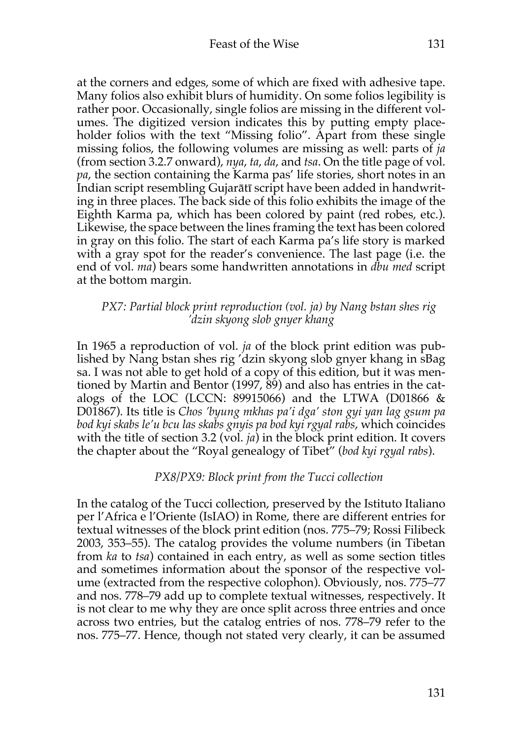at the corners and edges, some of which are fixed with adhesive tape. Many folios also exhibit blurs of humidity. On some folios legibility is rather poor. Occasionally, single folios are missing in the different volumes. The digitized version indicates this by putting empty placeholder folios with the text "Missing folio". Apart from these single missing folios, the following volumes are missing as well: parts of *ja* (from section 3.2.7 onward), *nya*, *ta*, *da*, and *tsa*. On the title page of vol. *pa*, the section containing the Karma pas' life stories, short notes in an Indian script resembling Gujarātī script have been added in handwriting in three places. The back side of this folio exhibits the image of the Eighth Karma pa, which has been colored by paint (red robes, etc.). Likewise, the space between the lines framing the text has been colored in gray on this folio. The start of each Karma pa's life story is marked with a gray spot for the reader's convenience. The last page (i.e. the end of vol. *ma*) bears some handwritten annotations in *dbu med* script at the bottom margin.

## *PX7: Partial block print reproduction (vol. ja) by Nang bstan shes rig 'dzin skyong slob gnyer khang*

In 1965 a reproduction of vol. *ja* of the block print edition was published by Nang bstan shes rig 'dzin skyong slob gnyer khang in sBag sa. I was not able to get hold of a copy of this edition, but it was mentioned by Martin and Bentor (1997, 89) and also has entries in the catalogs of the LOC (LCCN: 89915066) and the LTWA (D01866  $&$ D01867). Its title is *Chos 'byung mkhas pa'i dga' ston gyi yan lag gsum pa bod kyi skabs le'u bcu las skabs gnyis pa bod kyi rgyal rabs*, which coincides with the title of section 3.2 (vol. *ja*) in the block print edition. It covers the chapter about the "Royal genealogy of Tibet" (*bod kyi rgyal rabs*).

## *PX8/PX9: Block print from the Tucci collection*

In the catalog of the Tucci collection, preserved by the Istituto Italiano per l'Africa e l'Oriente (IsIAO) in Rome, there are different entries for textual witnesses of the block print edition (nos. 775–79; Rossi Filibeck 2003, 353–55). The catalog provides the volume numbers (in Tibetan from *ka* to *tsa*) contained in each entry, as well as some section titles and sometimes information about the sponsor of the respective volume (extracted from the respective colophon). Obviously, nos. 775–77 and nos. 778–79 add up to complete textual witnesses, respectively. It is not clear to me why they are once split across three entries and once across two entries, but the catalog entries of nos. 778–79 refer to the nos. 775–77. Hence, though not stated very clearly, it can be assumed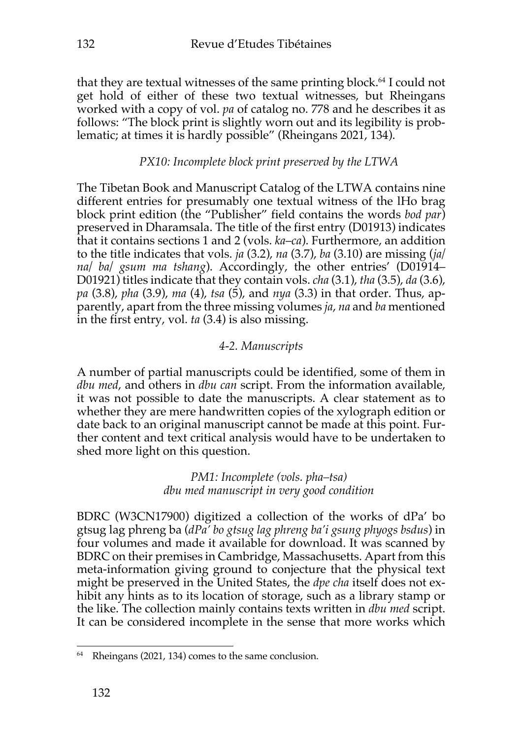that they are textual witnesses of the same printing block. <sup>64</sup> I could not get hold of either of these two textual witnesses, but Rheingans worked with a copy of vol. *pa* of catalog no. 778 and he describes it as follows: "The block print is slightly worn out and its legibility is problematic; at times it is hardly possible" (Rheingans 2021, 134).

# *PX10: Incomplete block print preserved by the LTWA*

The Tibetan Book and Manuscript Catalog of the LTWA contains nine different entries for presumably one textual witness of the lHo brag block print edition (the "Publisher" field contains the words *bod par*) preserved in Dharamsala. The title of the first entry (D01913) indicates that it contains sections 1 and 2 (vols. *ka*–*ca*). Furthermore, an addition to the title indicates that vols. *ja* (3.2), *na* (3.7), *ba* (3.10) are missing (*ja/ na/ ba/ gsum ma tshang*). Accordingly, the other entries' (D01914– D01921) titles indicate that they contain vols. *cha* (3.1), *tha* (3.5), *da* (3.6), *pa* (3.8), *pha* (3.9), *ma* (4), *tsa* (5), and *nya* (3.3) in that order. Thus, apparently, apart from the three missing volumes *ja*, *na* and *ba* mentioned in the first entry, vol. *ta* (3.4) is also missing.

# *4-2. Manuscripts*

A number of partial manuscripts could be identified, some of them in *dbu med*, and others in *dbu can* script. From the information available, it was not possible to date the manuscripts. A clear statement as to whether they are mere handwritten copies of the xylograph edition or date back to an original manuscript cannot be made at this point. Further content and text critical analysis would have to be undertaken to shed more light on this question.

> *PM1: Incomplete (vols. pha–tsa) dbu med manuscript in very good condition*

BDRC (W3CN17900) digitized a collection of the works of dPa' bo gtsug lag phreng ba (*dPa' bo gtsug lag phreng ba'i gsung phyogs bsdus*) in four volumes and made it available for download. It was scanned by BDRC on their premises in Cambridge, Massachusetts. Apart from this meta-information giving ground to conjecture that the physical text might be preserved in the United States, the *dpe cha* itself does not exhibit any hints as to its location of storage, such as a library stamp or the like. The collection mainly contains texts written in *dbu med* script. It can be considered incomplete in the sense that more works which

<sup>64</sup> Rheingans (2021, 134) comes to the same conclusion.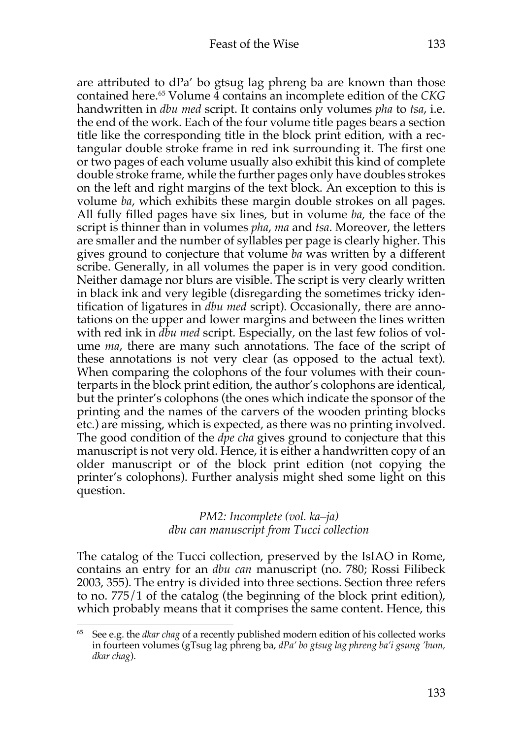are attributed to dPa' bo gtsug lag phreng ba are known than those contained here. <sup>65</sup> Volume 4 contains an incomplete edition of the *CKG* handwritten in *dbu med* script. It contains only volumes *pha* to *tsa*, i.e. the end of the work. Each of the four volume title pages bears a section title like the corresponding title in the block print edition, with a rectangular double stroke frame in red ink surrounding it. The first one or two pages of each volume usually also exhibit this kind of complete double stroke frame, while the further pages only have doubles strokes on the left and right margins of the text block. An exception to this is volume *ba*, which exhibits these margin double strokes on all pages. All fully filled pages have six lines, but in volume *ba*, the face of the script is thinner than in volumes *pha*, *ma* and *tsa*. Moreover, the letters are smaller and the number of syllables per page is clearly higher. This gives ground to conjecture that volume *ba* was written by a different scribe. Generally, in all volumes the paper is in very good condition. Neither damage nor blurs are visible. The script is very clearly written in black ink and very legible (disregarding the sometimes tricky identification of ligatures in *dbu med* script). Occasionally, there are annotations on the upper and lower margins and between the lines written with red ink in *dbu med* script. Especially, on the last few folios of volume *ma*, there are many such annotations. The face of the script of these annotations is not very clear (as opposed to the actual text). When comparing the colophons of the four volumes with their counterparts in the block print edition, the author's colophons are identical, but the printer's colophons (the ones which indicate the sponsor of the printing and the names of the carvers of the wooden printing blocks etc.) are missing, which is expected, as there was no printing involved. The good condition of the *dpe cha* gives ground to conjecture that this manuscript is not very old. Hence, it is either a handwritten copy of an older manuscript or of the block print edition (not copying the printer's colophons). Further analysis might shed some light on this question.

### *PM2: Incomplete (vol. ka–ja) dbu can manuscript from Tucci collection*

The catalog of the Tucci collection, preserved by the IsIAO in Rome, contains an entry for an *dbu can* manuscript (no. 780; Rossi Filibeck 2003, 355). The entry is divided into three sections. Section three refers to no. 775/1 of the catalog (the beginning of the block print edition), which probably means that it comprises the same content. Hence, this

<sup>65</sup> See e.g. the *dkar chag* of a recently published modern edition of his collected works in fourteen volumes (gTsug lag phreng ba, *dPa' bo gtsug lag phreng ba'i gsung 'bum, dkar chag*).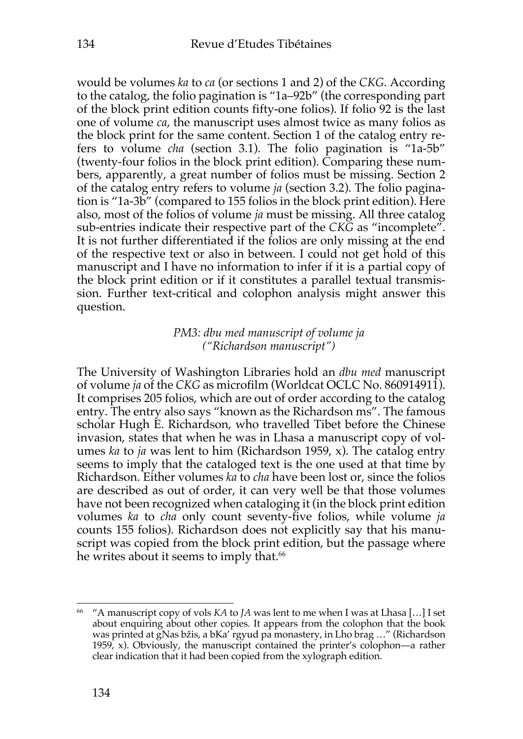would be volumes *ka* to *ca* (or sections 1 and 2) of the *CKG*. According to the catalog, the folio pagination is "1a–92b" (the corresponding part of the block print edition counts fifty-one folios). If folio 92 is the last one of volume *ca*, the manuscript uses almost twice as many folios as the block print for the same content. Section 1 of the catalog entry refers to volume *cha* (section 3.1). The folio pagination is "1a-5b" (twenty-four folios in the block print edition). Comparing these numbers, apparently, a great number of folios must be missing. Section 2 of the catalog entry refers to volume *ja* (section 3.2). The folio pagination is "1a-3b" (compared to 155 folios in the block print edition). Here also, most of the folios of volume *ja* must be missing. All three catalog sub-entries indicate their respective part of the *CKG* as "incomplete". It is not further differentiated if the folios are only missing at the end of the respective text or also in between. I could not get hold of this manuscript and I have no information to infer if it is a partial copy of the block print edition or if it constitutes a parallel textual transmission. Further text-critical and colophon analysis might answer this question.

## *PM3: dbu med manuscript of volume ja ("Richardson manuscript")*

The University of Washington Libraries hold an *dbu med* manuscript of volume *ja* of the *CKG* as microfilm (Worldcat OCLC No. 860914911). It comprises 205 folios, which are out of order according to the catalog entry. The entry also says "known as the Richardson ms". The famous scholar Hugh E. Richardson, who travelled Tibet before the Chinese invasion, states that when he was in Lhasa a manuscript copy of volumes *ka* to *ja* was lent to him (Richardson 1959, x). The catalog entry seems to imply that the cataloged text is the one used at that time by Richardson. Either volumes *ka* to *cha* have been lost or, since the folios are described as out of order, it can very well be that those volumes have not been recognized when cataloging it (in the block print edition volumes *ka* to *cha* only count seventy-five folios, while volume *ja* counts 155 folios). Richardson does not explicitly say that his manuscript was copied from the block print edition, but the passage where he writes about it seems to imply that. 66

<sup>66</sup> "A manuscript copy of vols *KA* to *JA* was lent to me when I was at Lhasa […] I set about enquiring about other copies. It appears from the colophon that the book was printed at gNas bžis, a bKa' rgyud pa monastery, in Lho brag …" (Richardson 1959, x). Obviously, the manuscript contained the printer's colophon—a rather clear indication that it had been copied from the xylograph edition.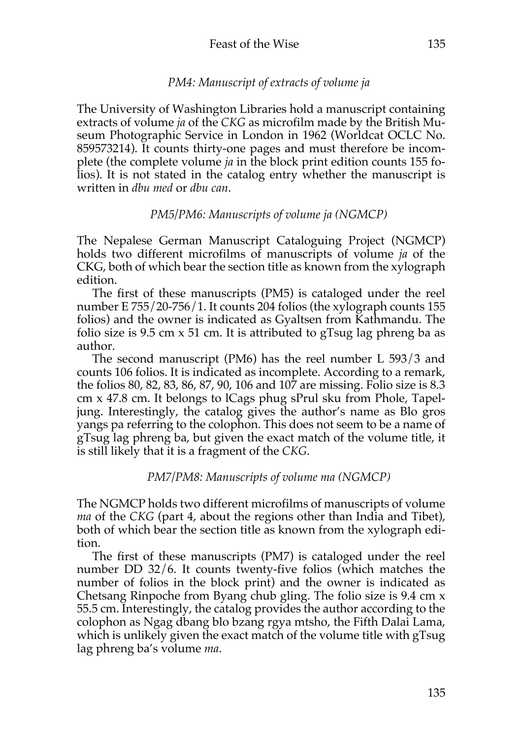## *PM4: Manuscript of extracts of volume ja*

The University of Washington Libraries hold a manuscript containing extracts of volume *ja* of the *CKG* as microfilm made by the British Museum Photographic Service in London in 1962 (Worldcat OCLC No. 859573214). It counts thirty-one pages and must therefore be incomplete (the complete volume *ja* in the block print edition counts 155 folios). It is not stated in the catalog entry whether the manuscript is written in *dbu med* or *dbu can*.

## *PM5/PM6: Manuscripts of volume ja (NGMCP)*

The Nepalese German Manuscript Cataloguing Project (NGMCP) holds two different microfilms of manuscripts of volume *ja* of the CKG, both of which bear the section title as known from the xylograph edition.

The first of these manuscripts (PM5) is cataloged under the reel number E 755/20-756/1. It counts 204 folios (the xylograph counts 155 folios) and the owner is indicated as Gyaltsen from Kathmandu. The folio size is 9.5 cm x 51 cm. It is attributed to gTsug lag phreng ba as author.

The second manuscript (PM6) has the reel number L 593/3 and counts 106 folios. It is indicated as incomplete. According to a remark, the folios 80, 82, 83, 86, 87, 90, 106 and 107 are missing. Folio size is 8.3 cm x 47.8 cm. It belongs to lCags phug sPrul sku from Phole, Tapeljung. Interestingly, the catalog gives the author's name as Blo gros yangs pa referring to the colophon. This does not seem to be a name of gTsug lag phreng ba, but given the exact match of the volume title, it is still likely that it is a fragment of the *CKG*.

### *PM7/PM8: Manuscripts of volume ma (NGMCP)*

The NGMCP holds two different microfilms of manuscripts of volume *ma* of the *CKG* (part 4, about the regions other than India and Tibet), both of which bear the section title as known from the xylograph edition.

The first of these manuscripts (PM7) is cataloged under the reel number DD 32/6. It counts twenty-five folios (which matches the number of folios in the block print) and the owner is indicated as Chetsang Rinpoche from Byang chub gling. The folio size is 9.4 cm x 55.5 cm. Interestingly, the catalog provides the author according to the colophon as Ngag dbang blo bzang rgya mtsho, the Fifth Dalai Lama, which is unlikely given the exact match of the volume title with gTsug lag phreng ba's volume *ma*.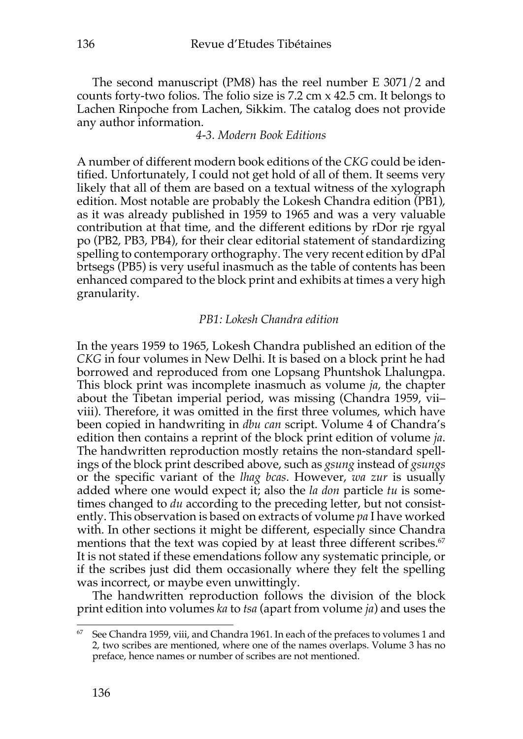The second manuscript (PM8) has the reel number E 3071/2 and counts forty-two folios. The folio size is 7.2 cm x 42.5 cm. It belongs to Lachen Rinpoche from Lachen, Sikkim. The catalog does not provide any author information.

### *4-3. Modern Book Editions*

A number of different modern book editions of the *CKG* could be identified. Unfortunately, I could not get hold of all of them. It seems very likely that all of them are based on a textual witness of the xylograph edition. Most notable are probably the Lokesh Chandra edition (PB1), as it was already published in 1959 to 1965 and was a very valuable contribution at that time, and the different editions by rDor rje rgyal po (PB2, PB3, PB4), for their clear editorial statement of standardizing spelling to contemporary orthography. The very recent edition by dPal brtsegs (PB5) is very useful inasmuch as the table of contents has been enhanced compared to the block print and exhibits at times a very high granularity.

### *PB1: Lokesh Chandra edition*

In the years 1959 to 1965, Lokesh Chandra published an edition of the *CKG* in four volumes in New Delhi. It is based on a block print he had borrowed and reproduced from one Lopsang Phuntshok Lhalungpa. This block print was incomplete inasmuch as volume *ja*, the chapter about the Tibetan imperial period, was missing (Chandra 1959, vii– viii). Therefore, it was omitted in the first three volumes, which have been copied in handwriting in *dbu can* script. Volume 4 of Chandra's edition then contains a reprint of the block print edition of volume *ja*. The handwritten reproduction mostly retains the non-standard spellings of the block print described above, such as *gsung* instead of *gsungs* or the specific variant of the *lhag bcas*. However, *wa zur* is usually added where one would expect it; also the *la don* particle *tu* is sometimes changed to *du* according to the preceding letter, but not consistently. This observation is based on extracts of volume *pa* I have worked with. In other sections it might be different, especially since Chandra mentions that the text was copied by at least three different scribes. 67 It is not stated if these emendations follow any systematic principle, or if the scribes just did them occasionally where they felt the spelling was incorrect, or maybe even unwittingly.

The handwritten reproduction follows the division of the block print edition into volumes *ka* to *tsa* (apart from volume *ja*) and uses the

 $67$  See Chandra 1959, viii, and Chandra 1961. In each of the prefaces to volumes 1 and 2, two scribes are mentioned, where one of the names overlaps. Volume 3 has no preface, hence names or number of scribes are not mentioned.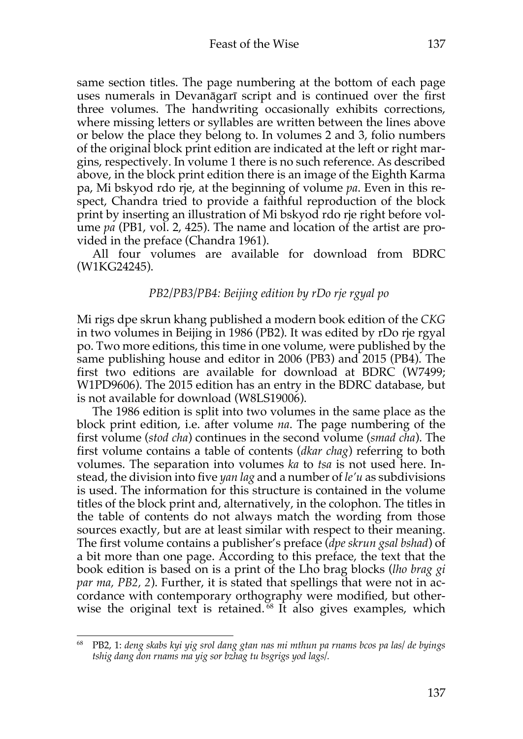same section titles. The page numbering at the bottom of each page uses numerals in Devanāgarī script and is continued over the first three volumes. The handwriting occasionally exhibits corrections, where missing letters or syllables are written between the lines above or below the place they belong to. In volumes 2 and 3, folio numbers of the original block print edition are indicated at the left or right margins, respectively. In volume 1 there is no such reference. As described above, in the block print edition there is an image of the Eighth Karma pa, Mi bskyod rdo rje, at the beginning of volume *pa*. Even in this respect, Chandra tried to provide a faithful reproduction of the block print by inserting an illustration of Mi bskyod rdo rje right before volume *pa* (PB1, vol. 2, 425). The name and location of the artist are provided in the preface (Chandra 1961).

All four volumes are available for download from BDRC (W1KG24245).

### *PB2/PB3/PB4: Beijing edition by rDo rje rgyal po*

Mi rigs dpe skrun khang published a modern book edition of the *CKG* in two volumes in Beijing in 1986 (PB2). It was edited by rDo rje rgyal po. Two more editions, this time in one volume, were published by the same publishing house and editor in 2006 (PB3) and 2015 (PB4). The first two editions are available for download at BDRC (W7499; W1PD9606). The 2015 edition has an entry in the BDRC database, but is not available for download (W8LS19006).

The 1986 edition is split into two volumes in the same place as the block print edition, i.e. after volume *na*. The page numbering of the first volume (*stod cha*) continues in the second volume (*smad cha*). The first volume contains a table of contents (*dkar chag*) referring to both volumes. The separation into volumes *ka* to *tsa* is not used here. Instead, the division into five *yan lag* and a number of *le'u* as subdivisions is used. The information for this structure is contained in the volume titles of the block print and, alternatively, in the colophon. The titles in the table of contents do not always match the wording from those sources exactly, but are at least similar with respect to their meaning. The first volume contains a publisher's preface (*dpe skrun gsal bshad*) of a bit more than one page. According to this preface, the text that the book edition is based on is a print of the Lho brag blocks (*lho brag gi par ma, PB2, 2*). Further, it is stated that spellings that were not in accordance with contemporary orthography were modified, but otherwise the original text is retained.<sup> $68$ </sup> It also gives examples, which

<sup>68</sup> PB2, 1: *deng skabs kyi yig srol dang gtan nas mi mthun pa rnams bcos pa las/ de byings tshig dang don rnams ma yig sor bzhag tu bsgrigs yod lags/.*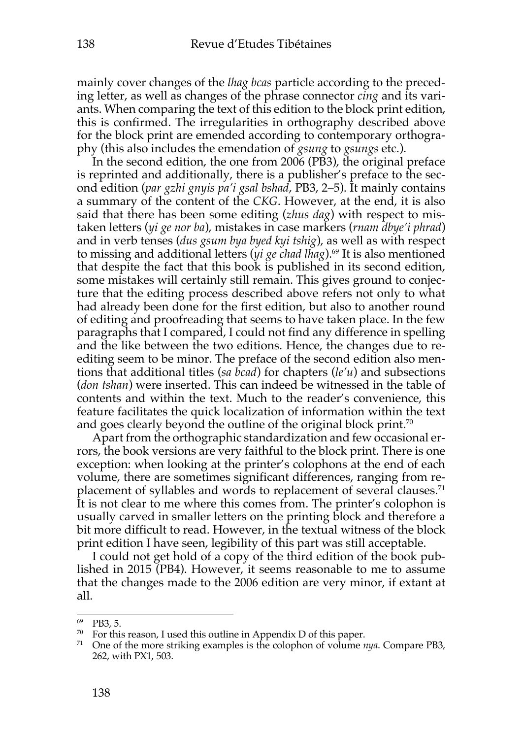mainly cover changes of the *lhag bcas* particle according to the preceding letter, as well as changes of the phrase connector *cing* and its variants. When comparing the text of this edition to the block print edition, this is confirmed. The irregularities in orthography described above for the block print are emended according to contemporary orthography (this also includes the emendation of *gsung* to *gsungs* etc.).

In the second edition, the one from 2006 (PB3), the original preface is reprinted and additionally, there is a publisher's preface to the second edition (*par gzhi gnyis pa'i gsal bshad*, PB3, 2–5). It mainly contains a summary of the content of the *CKG*. However, at the end, it is also said that there has been some editing (*zhus dag*) with respect to mistaken letters (*yi ge nor ba*), mistakes in case markers (*rnam dbye'i phrad*) and in verb tenses (*dus gsum bya byed kyi tshig*), as well as with respect to missing and additional letters (*yi ge chad lhag*).<sup>69</sup> It is also mentioned that despite the fact that this book is published in its second edition, some mistakes will certainly still remain. This gives ground to conjecture that the editing process described above refers not only to what had already been done for the first edition, but also to another round of editing and proofreading that seems to have taken place. In the few paragraphs that I compared, I could not find any difference in spelling and the like between the two editions. Hence, the changes due to reediting seem to be minor. The preface of the second edition also mentions that additional titles (*sa bcad*) for chapters (*le'u*) and subsections (*don tshan*) were inserted. This can indeed be witnessed in the table of contents and within the text. Much to the reader's convenience, this feature facilitates the quick localization of information within the text and goes clearly beyond the outline of the original block print.<sup>70</sup>

Apart from the orthographic standardization and few occasional errors, the book versions are very faithful to the block print. There is one exception: when looking at the printer's colophons at the end of each volume, there are sometimes significant differences, ranging from replacement of syllables and words to replacement of several clauses.<sup>71</sup> It is not clear to me where this comes from. The printer's colophon is usually carved in smaller letters on the printing block and therefore a bit more difficult to read. However, in the textual witness of the block print edition I have seen, legibility of this part was still acceptable.

I could not get hold of a copy of the third edition of the book published in 2015 (PB4). However, it seems reasonable to me to assume that the changes made to the 2006 edition are very minor, if extant at all.

<sup>69</sup> PB3, 5.

<sup>&</sup>lt;sup>70</sup> For this reason, I used this outline in Appendix D of this paper.

<sup>71</sup> One of the more striking examples is the colophon of volume *nya*. Compare PB3, 262, with PX1, 503.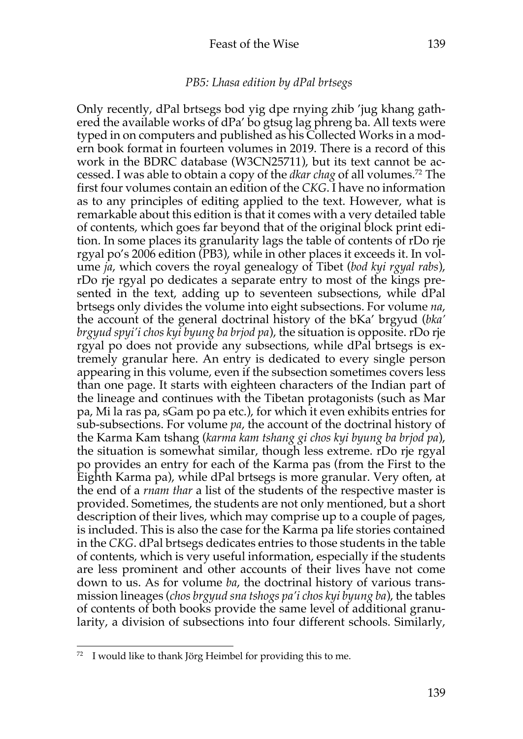### *PB5: Lhasa edition by dPal brtsegs*

Only recently, dPal brtsegs bod yig dpe rnying zhib 'jug khang gathered the available works of dPa' bo gtsug lag phreng ba. All texts were typed in on computers and published as his Collected Works in a modern book format in fourteen volumes in 2019. There is a record of this work in the BDRC database (W3CN25711), but its text cannot be accessed. I was able to obtain a copy of the *dkar chag* of all volumes.72 The first four volumes contain an edition of the *CKG*. I have no information as to any principles of editing applied to the text. However, what is remarkable about this edition is that it comes with a very detailed table of contents, which goes far beyond that of the original block print edition. In some places its granularity lags the table of contents of rDo rje rgyal po's 2006 edition (PB3), while in other places it exceeds it. In volume *ja*, which covers the royal genealogy of Tibet (*bod kyi rgyal rabs*), rDo rje rgyal po dedicates a separate entry to most of the kings presented in the text, adding up to seventeen subsections, while dPal brtsegs only divides the volume into eight subsections. For volume *na*, the account of the general doctrinal history of the bKa' brgyud (*bka' brgyud spyi'i chos kyi byung ba brjod pa*), the situation is opposite. rDo rje rgyal po does not provide any subsections, while dPal brtsegs is extremely granular here. An entry is dedicated to every single person appearing in this volume, even if the subsection sometimes covers less than one page. It starts with eighteen characters of the Indian part of the lineage and continues with the Tibetan protagonists (such as Mar pa, Mi la ras pa, sGam po pa etc.), for which it even exhibits entries for sub-subsections. For volume *pa*, the account of the doctrinal history of the Karma Kam tshang (*karma kam tshang gi chos kyi byung ba brjod pa*), the situation is somewhat similar, though less extreme. rDo rje rgyal po provides an entry for each of the Karma pas (from the First to the Eighth Karma pa), while dPal brtsegs is more granular. Very often, at the end of a *rnam thar* a list of the students of the respective master is provided. Sometimes, the students are not only mentioned, but a short description of their lives, which may comprise up to a couple of pages, is included. This is also the case for the Karma pa life stories contained in the *CKG*. dPal brtsegs dedicates entries to those students in the table of contents, which is very useful information, especially if the students are less prominent and other accounts of their lives have not come down to us. As for volume *ba*, the doctrinal history of various transmission lineages (*chos brgyud sna tshogs pa'i chos kyi byung ba*), the tables of contents of both books provide the same level of additional granularity, a division of subsections into four different schools. Similarly,

<sup>72</sup> I would like to thank Jörg Heimbel for providing this to me.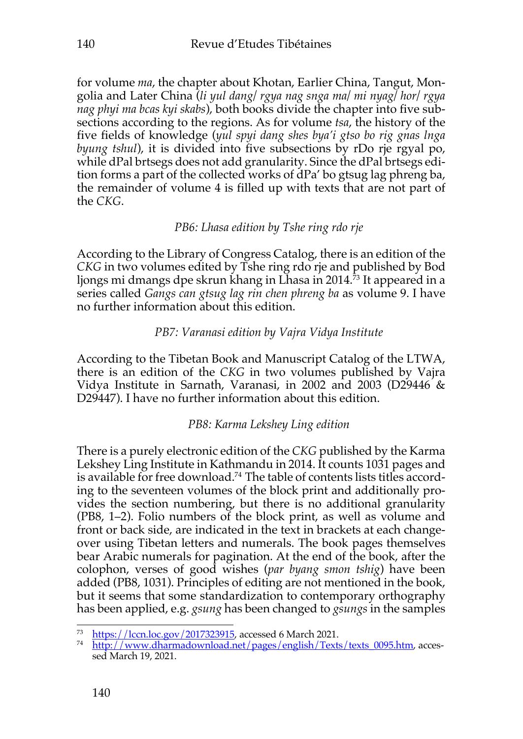for volume *ma*, the chapter about Khotan, Earlier China, Tangut, Mongolia and Later China (*li yul dang/ rgya nag snga ma/ mi nyag/ hor/ rgya nag phyi ma bcas kyi skabs*), both books divide the chapter into five subsections according to the regions. As for volume *tsa*, the history of the five fields of knowledge (*yul spyi dang shes bya'i gtso bo rig gnas lnga byung tshul*), it is divided into five subsections by rDo rie rgyal po, while dPal brtsegs does not add granularity. Since the dPal brtsegs edition forms a part of the collected works of dPa' bo gtsug lag phreng ba, the remainder of volume 4 is filled up with texts that are not part of the *CKG*.

# *PB6: Lhasa edition by Tshe ring rdo rje*

According to the Library of Congress Catalog, there is an edition of the *CKG* in two volumes edited by Tshe ring rdo rje and published by Bod ljongs mi dmangs dpe skrun khang in Lhasa in 2014. <sup>73</sup> It appeared in a series called *Gangs can gtsug lag rin chen phreng ba* as volume 9. I have no further information about this edition.

# *PB7: Varanasi edition by Vajra Vidya Institute*

According to the Tibetan Book and Manuscript Catalog of the LTWA, there is an edition of the *CKG* in two volumes published by Vajra Vidya Institute in Sarnath, Varanasi, in 2002 and 2003 (D29446 & D29447). I have no further information about this edition.

# *PB8: Karma Lekshey Ling edition*

There is a purely electronic edition of the *CKG* published by the Karma Lekshey Ling Institute in Kathmandu in 2014. It counts 1031 pages and is available for free download.<sup>74</sup> The table of contents lists titles according to the seventeen volumes of the block print and additionally provides the section numbering, but there is no additional granularity (PB8, 1–2). Folio numbers of the block print, as well as volume and front or back side, are indicated in the text in brackets at each changeover using Tibetan letters and numerals. The book pages themselves bear Arabic numerals for pagination. At the end of the book, after the colophon, verses of good wishes (*par byang smon tshig*) have been added (PB8, 1031). Principles of editing are not mentioned in the book, but it seems that some standardization to contemporary orthography has been applied, e.g. *gsung* has been changed to *gsungs* in the samples

<sup>73</sup> https://lccn.loc.gov/2017323915, accessed 6 March 2021.

<sup>&</sup>lt;sup>74</sup> http://www.dharmadownload.net/pages/english/Texts/texts\_0095.htm, accessed March 19, 2021.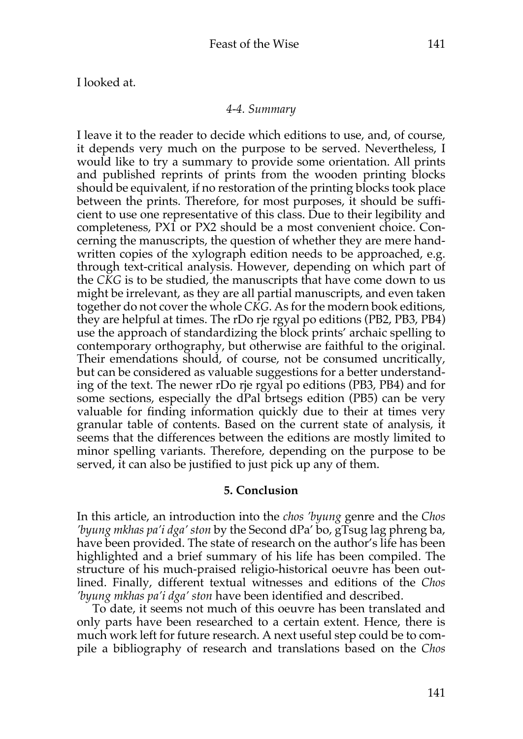I looked at.

#### *4-4. Summary*

I leave it to the reader to decide which editions to use, and, of course, it depends very much on the purpose to be served. Nevertheless, I would like to try a summary to provide some orientation. All prints and published reprints of prints from the wooden printing blocks should be equivalent, if no restoration of the printing blocks took place between the prints. Therefore, for most purposes, it should be sufficient to use one representative of this class. Due to their legibility and completeness, PX1 or PX2 should be a most convenient choice. Concerning the manuscripts, the question of whether they are mere handwritten copies of the xylograph edition needs to be approached, e.g. through text-critical analysis. However, depending on which part of the *CKG* is to be studied, the manuscripts that have come down to us might be irrelevant, as they are all partial manuscripts, and even taken together do not cover the whole *CKG*. As for the modern book editions, they are helpful at times. The rDo rje rgyal po editions (PB2, PB3, PB4) use the approach of standardizing the block prints' archaic spelling to contemporary orthography, but otherwise are faithful to the original. Their emendations should, of course, not be consumed uncritically, but can be considered as valuable suggestions for a better understanding of the text. The newer rDo rje rgyal po editions (PB3, PB4) and for some sections, especially the dPal brtsegs edition (PB5) can be very valuable for finding information quickly due to their at times very granular table of contents. Based on the current state of analysis, it seems that the differences between the editions are mostly limited to minor spelling variants. Therefore, depending on the purpose to be served, it can also be justified to just pick up any of them.

### **5. Conclusion**

In this article, an introduction into the *chos 'byung* genre and the *Chos 'byung mkhas pa'i dga' ston* by the Second dPa' bo, gTsug lag phreng ba, have been provided. The state of research on the author's life has been highlighted and a brief summary of his life has been compiled. The structure of his much-praised religio-historical oeuvre has been outlined. Finally, different textual witnesses and editions of the *Chos 'byung mkhas pa'i dga' ston* have been identified and described.

To date, it seems not much of this oeuvre has been translated and only parts have been researched to a certain extent. Hence, there is much work left for future research. A next useful step could be to compile a bibliography of research and translations based on the *Chos*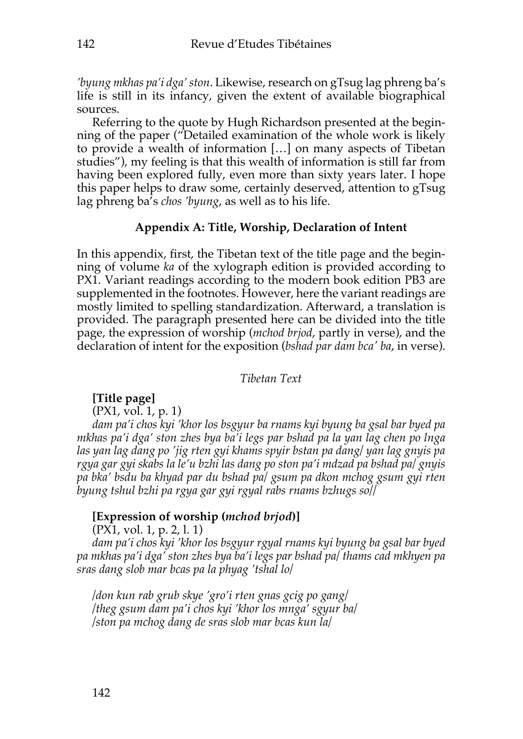*'byung mkhas pa'i dga' ston*. Likewise, research on gTsug lag phreng ba's life is still in its infancy, given the extent of available biographical sources.

Referring to the quote by Hugh Richardson presented at the beginning of the paper ("Detailed examination of the whole work is likely to provide a wealth of information […] on many aspects of Tibetan studies"), my feeling is that this wealth of information is still far from having been explored fully, even more than sixty years later. I hope this paper helps to draw some, certainly deserved, attention to gTsug lag phreng ba's *chos 'byung*, as well as to his life.

### **Appendix A: Title, Worship, Declaration of Intent**

In this appendix, first, the Tibetan text of the title page and the beginning of volume *ka* of the xylograph edition is provided according to PX1. Variant readings according to the modern book edition PB3 are supplemented in the footnotes. However, here the variant readings are mostly limited to spelling standardization. Afterward, a translation is provided. The paragraph presented here can be divided into the title page, the expression of worship (*mchod brjod*, partly in verse), and the declaration of intent for the exposition (*bshad par dam bca' ba*, in verse).

*Tibetan Text*

### **[Title page]**

(PX1, vol. 1, p. 1)

*dam pa'i chos kyi 'khor los bsgyur ba rnams kyi byung ba gsal bar byed pa mkhas pa'i dga' ston zhes bya ba'i legs par bshad pa la yan lag chen po lnga las yan lag dang po 'jig rten gyi khams spyir bstan pa dang/ yan lag gnyis pa rgya gar gyi skabs la le'u bzhi las dang po ston pa'i mdzad pa bshad pa/ gnyis pa bka' bsdu ba khyad par du bshad pa/ gsum pa dkon mchog gsum gyi rten byung tshul bzhi pa rgya gar gyi rgyal rabs rnams bzhugs so//*

### **[Expression of worship (***mchod brjod***)]**

(PX1, vol. 1, p. 2, l. 1)

*dam pa'i chos kyi 'khor los bsgyur rgyal rnams kyi byung ba gsal bar byed pa mkhas pa'i dga' ston zhes bya ba'i legs par bshad pa/ thams cad mkhyen pa sras dang slob mar bcas pa la phyag 'tshal lo/*

*/don kun rab grub skye 'gro'i rten gnas gcig po gang/ /theg gsum dam pa'i chos kyi 'khor los mnga' sgyur ba/ /ston pa mchog dang de sras slob mar bcas kun la/*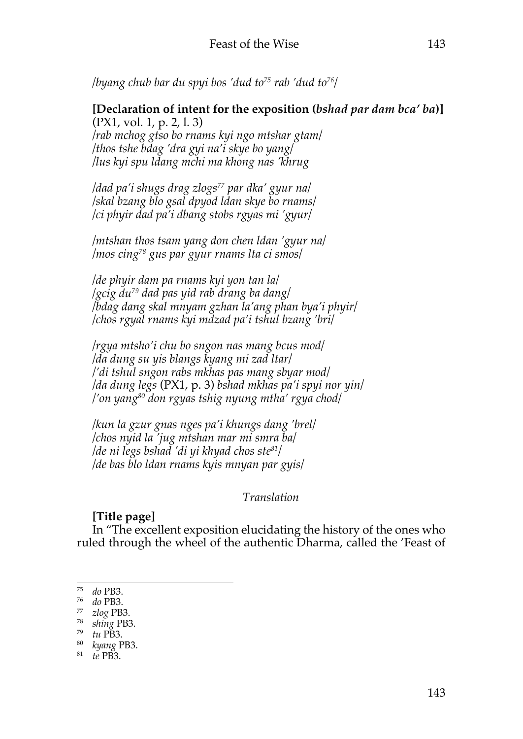*/byang chub bar du spyi bos 'dud to75 rab 'dud to76/*

## **[Declaration of intent for the exposition (***bshad par dam bca' ba***)]** (PX1, vol. 1, p. 2, l. 3)

*/rab mchog gtso bo rnams kyi ngo mtshar gtam/ /thos tshe bdag 'dra gyi na'i skye bo yang/ /lus kyi spu ldang mchi ma khong nas 'khrug*

*/dad pa'i shugs drag zlogs77 par dka' gyur na/ /skal bzang blo gsal dpyod ldan skye bo rnams/ /ci phyir dad pa'i dbang stobs rgyas mi 'gyur/*

*/mtshan thos tsam yang don chen ldan 'gyur na/ /mos cing78 gus par gyur rnams lta ci smos/*

*/de phyir dam pa rnams kyi yon tan la/ /gcig du79 dad pas yid rab drang ba dang/ /bdag dang skal mnyam gzhan la'ang phan bya'i phyir/ /chos rgyal rnams kyi mdzad pa'i tshul bzang 'bri/*

*/rgya mtsho'i chu bo sngon nas mang bcus mod/ /da dung su yis blangs kyang mi zad ltar/ /'di tshul sngon rabs mkhas pas mang sbyar mod/ /da dung legs* (PX1, p. 3) *bshad mkhas pa'i spyi nor yin/ /'on yang80 don rgyas tshig nyung mtha' rgya chod/*

*/kun la gzur gnas nges pa'i khungs dang 'brel/ /chos nyid la 'jug mtshan mar mi smra ba/ /de ni legs bshad 'di yi khyad chos ste81/ /de bas blo ldan rnams kyis mnyan par gyis/*

*Translation*

## **[Title page]**

In "The excellent exposition elucidating the history of the ones who ruled through the wheel of the authentic Dharma, called the 'Feast of

<sup>75</sup> *do* PB3.

<sup>76</sup> *do* PB3.

<sup>77</sup> *zlog* PB3.

<sup>78</sup> *shing* PB3.

<sup>79</sup> *tu* PB3.

<sup>80</sup> *kyang* PB3.

<sup>81</sup> *te* PB3.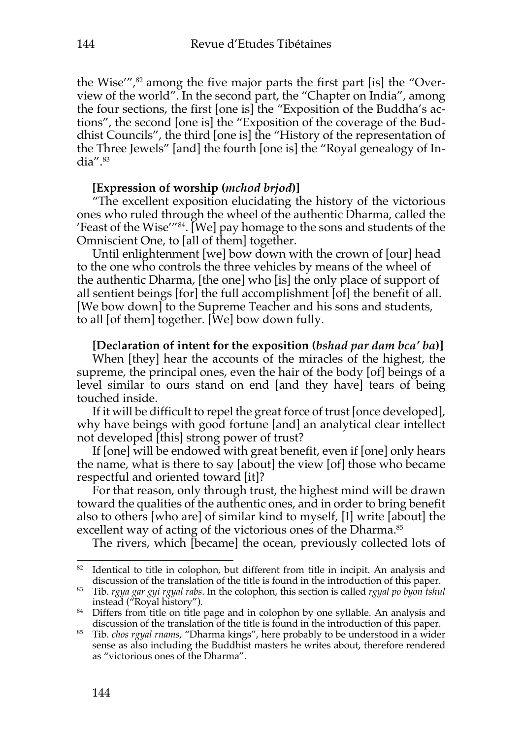the Wise'", <sup>82</sup> among the five major parts the first part [is] the "Overview of the world". In the second part, the "Chapter on India", among the four sections, the first [one is] the "Exposition of the Buddha's actions", the second [one is] the "Exposition of the coverage of the Buddhist Councils", the third [one is] the "History of the representation of the Three Jewels" [and] the fourth [one is] the "Royal genealogy of India". 83

### **[Expression of worship (***mchod brjod***)]**

"The excellent exposition elucidating the history of the victorious ones who ruled through the wheel of the authentic Dharma, called the 'Feast of the Wise'"84. [We] pay homage to the sons and students of the Omniscient One, to [all of them] together.

Until enlightenment [we] bow down with the crown of [our] head to the one who controls the three vehicles by means of the wheel of the authentic Dharma, [the one] who [is] the only place of support of all sentient beings [for] the full accomplishment [of] the benefit of all. [We bow down] to the Supreme Teacher and his sons and students, to all [of them] together. [We] bow down fully.

### **[Declaration of intent for the exposition (***bshad par dam bca' ba***)]**

When [they] hear the accounts of the miracles of the highest, the supreme, the principal ones, even the hair of the body [of] beings of a level similar to ours stand on end [and they have] tears of being touched inside.

If it will be difficult to repel the great force of trust [once developed], why have beings with good fortune [and] an analytical clear intellect not developed [this] strong power of trust?

If [one] will be endowed with great benefit, even if [one] only hears the name, what is there to say [about] the view [of] those who became respectful and oriented toward [it]?

For that reason, only through trust, the highest mind will be drawn toward the qualities of the authentic ones, and in order to bring benefit also to others [who are] of similar kind to myself, [I] write [about] the excellent way of acting of the victorious ones of the Dharma. 85

The rivers, which [became] the ocean, previously collected lots of

<sup>&</sup>lt;sup>82</sup> Identical to title in colophon, but different from title in incipit. An analysis and discussion of the translation of the title is found in the introduction of this paper.

<sup>83</sup> Tib. *rgya gar gyi rgyal rabs*. In the colophon, this section is called *rgyal po byon tshul* instead ("Royal history").

<sup>&</sup>lt;sup>84</sup> Differs from title on title page and in colophon by one syllable. An analysis and discussion of the translation of the title is found in the introduction of this paper.

<sup>85</sup> Tib. *chos rgyal rnams*, "Dharma kings", here probably to be understood in a wider sense as also including the Buddhist masters he writes about, therefore rendered as "victorious ones of the Dharma".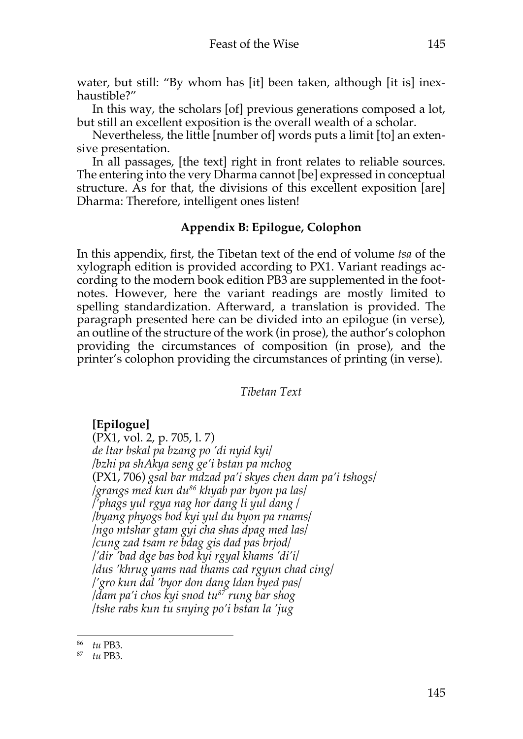water, but still: "By whom has [it] been taken, although [it is] inexhaustible?"

In this way, the scholars [of] previous generations composed a lot, but still an excellent exposition is the overall wealth of a scholar.

Nevertheless, the little [number of] words puts a limit [to] an extensive presentation.

In all passages, [the text] right in front relates to reliable sources. The entering into the very Dharma cannot [be] expressed in conceptual structure. As for that, the divisions of this excellent exposition [are] Dharma: Therefore, intelligent ones listen!

# **Appendix B: Epilogue, Colophon**

In this appendix, first, the Tibetan text of the end of volume *tsa* of the xylograph edition is provided according to PX1. Variant readings according to the modern book edition PB3 are supplemented in the footnotes. However, here the variant readings are mostly limited to spelling standardization. Afterward, a translation is provided. The paragraph presented here can be divided into an epilogue (in verse), an outline of the structure of the work (in prose), the author's colophon providing the circumstances of composition (in prose), and the printer's colophon providing the circumstances of printing (in verse).

*Tibetan Text*

## **[Epilogue]**

(PX1, vol. 2, p. 705, l. 7) *de ltar bskal pa bzang po 'di nyid kyi/ /bzhi pa shAkya seng ge'i bstan pa mchog* (PX1, 706) *gsal bar mdzad pa'i skyes chen dam pa'i tshogs/ /grangs med kun du86 khyab par byon pa las/ /'phags yul rgya nag hor dang li yul dang / /byang phyogs bod kyi yul du byon pa rnams/ /ngo mtshar gtam gyi cha shas dpag med las/ /cung zad tsam re bdag gis dad pas brjod/ /'dir 'bad dge bas bod kyi rgyal khams 'di'i/ /dus 'khrug yams nad thams cad rgyun chad cing/ /'gro kun dal 'byor don dang ldan byed pas/ /dam pa'i chos kyi snod tu87 rung bar shog /tshe rabs kun tu snying po'i bstan la 'jug*

<sup>86</sup> *tu* PB3.

<sup>87</sup> *tu* PB3.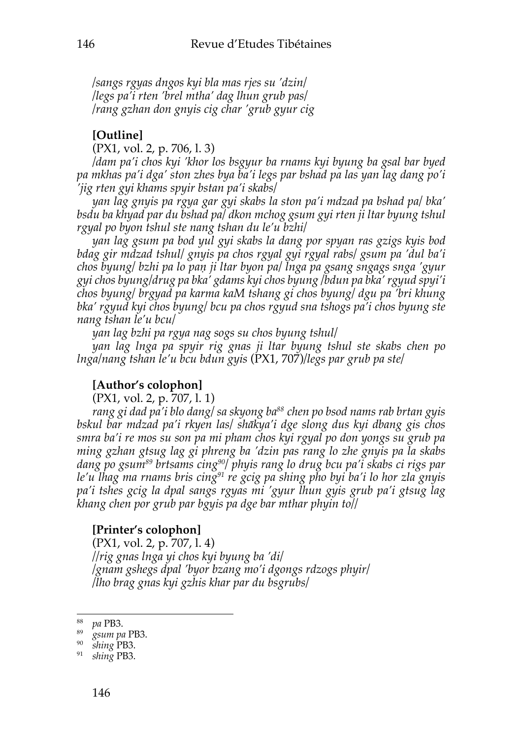*/sangs rgyas dngos kyi bla mas rjes su 'dzin/ /legs pa'i rten 'brel mtha' dag lhun grub pas/ /rang gzhan don gnyis cig char 'grub gyur cig*

## **[Outline]**

(PX1, vol. 2, p. 706, l. 3)

*/dam pa'i chos kyi 'khor los bsgyur ba rnams kyi byung ba gsal bar byed pa mkhas pa'i dga' ston zhes bya ba'i legs par bshad pa las yan lag dang po'i 'jig rten gyi khams spyir bstan pa'i skabs/*

*yan lag gnyis pa rgya gar gyi skabs la ston pa'i mdzad pa bshad pa/ bka' bsdu ba khyad par du bshad pa/ dkon mchog gsum gyi rten ji ltar byung tshul rgyal po byon tshul ste nang tshan du le'u bzhi/*

*yan lag gsum pa bod yul gyi skabs la dang por spyan ras gzigs kyis bod bdag gir mdzad tshul/ gnyis pa chos rgyal gyi rgyal rabs/ gsum pa 'dul ba'i chos byung/ bzhi pa lo paṇ ji ltar byon pa/ lnga pa gsang sngags snga 'gyur gyi chos byung/drug pa bka' gdams kyi chos byung /bdun pa bka' rgyud spyi'i chos byung/ brgyad pa karma kaM tshang gi chos byung/ dgu pa 'bri khung bka' rgyud kyi chos byung/ bcu pa chos rgyud sna tshogs pa'i chos byung ste nang tshan le'u bcu/*

*yan lag bzhi pa rgya nag sogs su chos byung tshul/*

*yan lag lnga pa spyir rig gnas ji ltar byung tshul ste skabs chen po lnga/nang tshan le'u bcu bdun gyis* (PX1, 707)*/legs par grub pa ste/*

## **[Author's colophon]**

(PX1, vol. 2, p. 707, l. 1)

*rang gi dad pa'i blo dang/ sa skyong ba88 chen po bsod nams rab brtan gyis bskul bar mdzad pa'i rkyen las/ shākya'i dge slong dus kyi dbang gis chos smra ba'i re mos su son pa mi pham chos kyi rgyal po don yongs su grub pa ming gzhan gtsug lag gi phreng ba 'dzin pas rang lo zhe gnyis pa la skabs dang po gsum89 brtsams cing90/ phyis rang lo drug bcu pa'i skabs ci rigs par le'u lhag ma rnams bris cing91 re gcig pa shing pho byi ba'i lo hor zla gnyis pa'i tshes gcig la dpal sangs rgyas mi 'gyur lhun gyis grub pa'i gtsug lag khang chen por grub par bgyis pa dge bar mthar phyin to//*

## **[Printer's colophon]**

(PX1, vol. 2, p. 707, l. 4) *//rig gnas lnga yi chos kyi byung ba 'di/ /gnam gshegs dpal 'byor bzang mo'i dgongs rdzogs phyir/ /lho brag gnas kyi gzhis khar par du bsgrubs/*

<sup>88</sup> *pa* PB3.

<sup>89</sup> *gsum pa* PB3.

<sup>90</sup> *shing* PB3.

<sup>91</sup> *shing* PB3.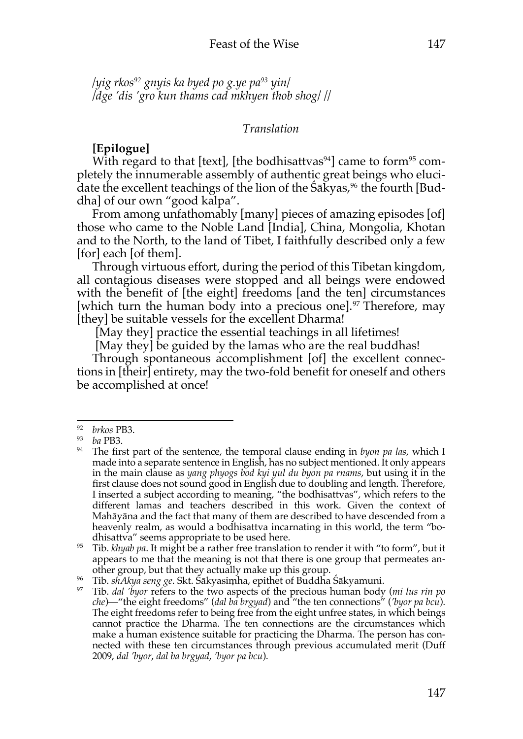*/yig rkos92 gnyis ka byed po g.ye pa93 yin/ /dge 'dis 'gro kun thams cad mkhyen thob shog/ //*

### *Translation*

## **[Epilogue]**

With regard to that [text], [the bodhisattvas $94$ ] came to form $95$  completely the innumerable assembly of authentic great beings who elucidate the excellent teachings of the lion of the Śākyas, <sup>96</sup> the fourth [Buddha] of our own "good kalpa".

From among unfathomably [many] pieces of amazing episodes [of] those who came to the Noble Land [India], China, Mongolia, Khotan and to the North, to the land of Tibet, I faithfully described only a few [for] each [of them].

Through virtuous effort, during the period of this Tibetan kingdom, all contagious diseases were stopped and all beings were endowed with the benefit of [the eight] freedoms [and the ten] circumstances [which turn the human body into a precious one]. <sup>97</sup> Therefore, may [they] be suitable vessels for the excellent Dharma!

[May they] practice the essential teachings in all lifetimes!

[May they] be guided by the lamas who are the real buddhas!

Through spontaneous accomplishment [of] the excellent connections in [their] entirety, may the two-fold benefit for oneself and others be accomplished at once!

<sup>92</sup> *brkos* PB3.

<sup>93</sup> *ba* PB3.

<sup>94</sup> The first part of the sentence, the temporal clause ending in *byon pa las*, which I made into a separate sentence in English, has no subject mentioned. It only appears in the main clause as *yang phyogs bod kyi yul du byon pa rnams*, but using it in the first clause does not sound good in English due to doubling and length. Therefore, I inserted a subject according to meaning, "the bodhisattvas", which refers to the different lamas and teachers described in this work. Given the context of Mahāyāna and the fact that many of them are described to have descended from a heavenly realm, as would a bodhisattva incarnating in this world, the term "bodhisattva" seems appropriate to be used here.

<sup>&</sup>lt;sup>95</sup> Tib. *khyab pa*. It might be a rather free translation to render it with "to form", but it appears to me that the meaning is not that there is one group that permeates another group, but that they actually make up this group.

<sup>96</sup> Tib. *shAkya seng ge*. Skt. Śākyasiṃha, epithet of Buddha Śākyamuni.

<sup>97</sup> Tib. *dal 'byor* refers to the two aspects of the precious human body (*mi lus rin po che*)—"the eight freedoms" (*dal ba brgyad*) and "the ten connections" (*'byor pa bcu*). The eight freedoms refer to being free from the eight unfree states, in which beings cannot practice the Dharma. The ten connections are the circumstances which make a human existence suitable for practicing the Dharma. The person has connected with these ten circumstances through previous accumulated merit (Duff 2009, *dal 'byor*, *dal ba brgyad*, *'byor pa bcu*).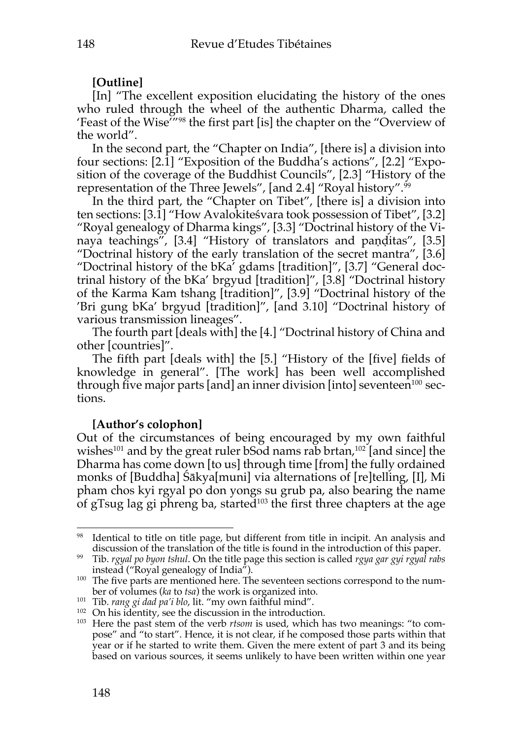## **[Outline]**

[In] "The excellent exposition elucidating the history of the ones who ruled through the wheel of the authentic Dharma, called the 'Feast of the Wise'"98 the first part [is] the chapter on the "Overview of the world".

In the second part, the "Chapter on India", [there is] a division into four sections: [2.1] "Exposition of the Buddha's actions", [2.2] "Exposition of the coverage of the Buddhist Councils", [2.3] "History of the representation of the Three Jewels", [and 2.4] "Royal history". 99

In the third part, the "Chapter on Tibet", [there is] a division into ten sections: [3.1] "How Avalokiteśvara took possession of Tibet", [3.2] "Royal genealogy of Dharma kings", [3.3] "Doctrinal history of the Vinaya teachings", [3.4] "History of translators and paṇḍitas", [3.5] "Doctrinal history of the early translation of the secret mantra", [3.6] "Doctrinal history of the bKa' gdams [tradition]", [3.7] "General doctrinal history of the bKa' brgyud [tradition]", [3.8] "Doctrinal history of the Karma Kam tshang [tradition]", [3.9] "Doctrinal history of the 'Bri gung bKa' brgyud [tradition]", [and 3.10] "Doctrinal history of various transmission lineages".

The fourth part [deals with] the [4.] "Doctrinal history of China and other [countries]".

The fifth part [deals with] the [5.] "History of the [five] fields of knowledge in general". [The work] has been well accomplished through five major parts [and] an inner division [into] seventeen<sup>100</sup> sections.

## **[Author's colophon]**

Out of the circumstances of being encouraged by my own faithful wishes $^{101}$  and by the great ruler bSod nams rab brtan, $^{102}$  [and since] the Dharma has come down [to us] through time [from] the fully ordained monks of [Buddha] Śākya[muni] via alternations of [re]telling, [I], Mi pham chos kyi rgyal po don yongs su grub pa, also bearing the name of gTsug lag gi phreng ba, started<sup>103</sup> the first three chapters at the age

<sup>&</sup>lt;sup>98</sup> Identical to title on title page, but different from title in incipit. An analysis and discussion of the translation of the title is found in the introduction of this paper.

<sup>99</sup> Tib. *rgyal po byon tshul*. On the title page this section is called *rgya gar gyi rgyal rabs* instead ("Royal genealogy of India").

<sup>&</sup>lt;sup>100</sup> The five parts are mentioned here. The seventeen sections correspond to the number of volumes (*ka* to *tsa*) the work is organized into.

<sup>101</sup> Tib. *rang gi dad pa'i blo*, lit. "my own faithful mind".

<sup>&</sup>lt;sup>102</sup> On his identity, see the discussion in the introduction.

<sup>103</sup> Here the past stem of the verb *rtsom* is used, which has two meanings: "to compose" and "to start". Hence, it is not clear, if he composed those parts within that year or if he started to write them. Given the mere extent of part 3 and its being based on various sources, it seems unlikely to have been written within one year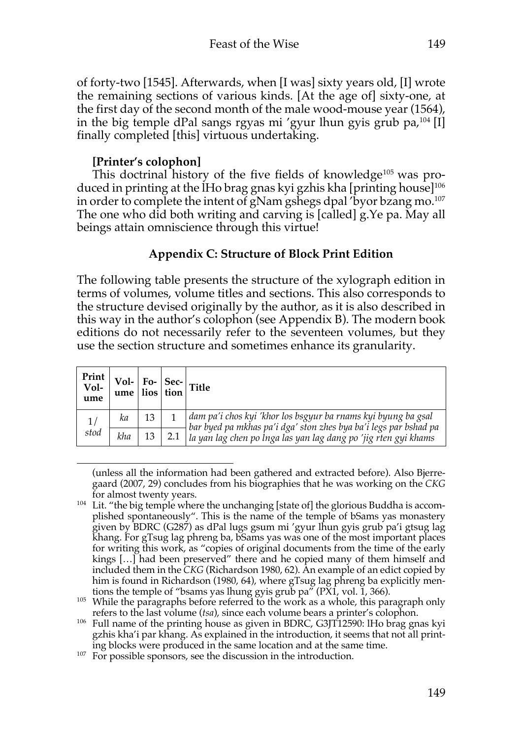of forty-two [1545]. Afterwards, when [I was] sixty years old, [I] wrote the remaining sections of various kinds. [At the age of] sixty-one, at the first day of the second month of the male wood-mouse year (1564), in the big temple dPal sangs rgyas mi 'gyur lhun gyis grub pa, <sup>104</sup> [I] finally completed [this] virtuous undertaking.

## **[Printer's colophon]**

This doctrinal history of the five fields of knowledge<sup>105</sup> was produced in printing at the lHo brag gnas kyi gzhis kha [printing house]106 in order to complete the intent of gNam gshegs dpal 'byor bzang mo. 107 The one who did both writing and carving is [called] g.Ye pa. May all beings attain omniscience through this virtue!

## **Appendix C: Structure of Block Print Edition**

The following table presents the structure of the xylograph edition in terms of volumes, volume titles and sections. This also corresponds to the structure devised originally by the author, as it is also described in this way in the author's colophon (see Appendix B). The modern book editions do not necessarily refer to the seventeen volumes, but they use the section structure and sometimes enhance its granularity.

| $\begin{array}{c c c} \textbf{Print} & \textbf{Vol-} & \textbf{Fo-} & \textbf{Sec-} \\ \textbf{Vol-} & \textbf{ume} & \textbf{lios} & \textbf{tion} \end{array} \begin{array}{c} \textbf{Title} \\ \end{array}$ |     |    |                                                                                                                                   |
|-----------------------------------------------------------------------------------------------------------------------------------------------------------------------------------------------------------------|-----|----|-----------------------------------------------------------------------------------------------------------------------------------|
| 1/<br>stod                                                                                                                                                                                                      | ka  | 13 | dam pa'i chos kyi 'khor los bsgyur ba rnams kyi byung ba gsal<br>bar byed pa mkhas pa'i dga' ston zhes bya ba'i legs par bshad pa |
|                                                                                                                                                                                                                 | kha |    | la yan lag chen po lnga las yan lag dang po 'jig rten gyi khams                                                                   |

<sup>(</sup>unless all the information had been gathered and extracted before). Also Bjerregaard (2007, 29) concludes from his biographies that he was working on the *CKG* for almost twenty years.

 $104$  Lit. "the big temple where the unchanging [state of] the glorious Buddha is accomplished spontaneously". This is the name of the temple of bSams yas monastery given by BDRC (G287) as dPal lugs gsum mi 'gyur lhun gyis grub pa'i gtsug lag khang. For gTsug lag phreng ba, bSams yas was one of the most important places for writing this work, as "copies of original documents from the time of the early kings […] had been preserved" there and he copied many of them himself and included them in the *CKG* (Richardson 1980, 62). An example of an edict copied by him is found in Richardson (1980, 64), where gTsug lag phreng ba explicitly mentions the temple of "bsams yas lhung gyis grub pa" (PX1, vol. 1, 366).

<sup>&</sup>lt;sup>105</sup> While the paragraphs before referred to the work as a whole, this paragraph only

refers to the last volume (*tsa*), since each volume bears a printer's colophon. 106 Full name of the printing house as given in BDRC, G3JT12590: lHo brag gnas kyi gzhis kha'i par khang. As explained in the introduction, it seems that not all printing blocks were produced in the same location and at the same time.

 $107$  For possible sponsors, see the discussion in the introduction.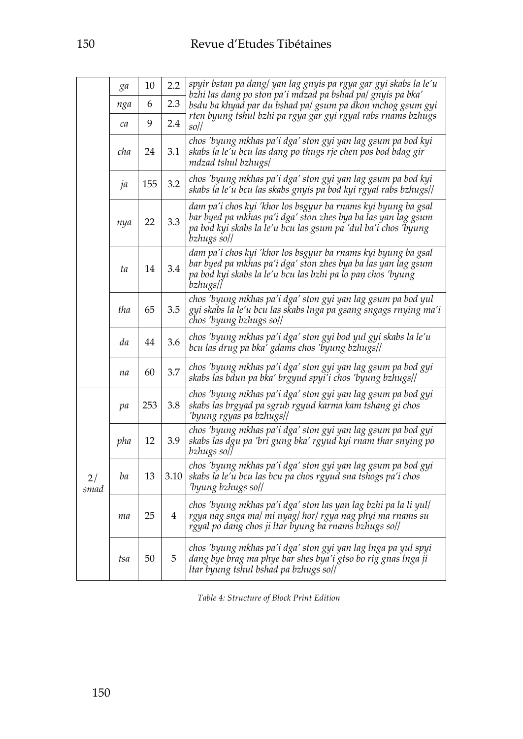|            | ga  | 10  | 2.2  | spyir bstan pa dang/ yan lag gnyis pa rgya gar gyi skabs la le'u                                                                                                                                              |
|------------|-----|-----|------|---------------------------------------------------------------------------------------------------------------------------------------------------------------------------------------------------------------|
|            | nga | 6   | 2.3  | bzhi las dang po ston pa'i mdzad pa bshad pa/gnyis pa bka'<br>bsdu ba khyad par du bshad pa/ gsum pa dkon mchog gsum gyi                                                                                      |
|            | ca  | 9   | 2.4  | rten byung tshul bzhi pa rgya gar gyi rgyal rabs rnams bzhugs<br>$\frac{1}{20}$                                                                                                                               |
|            | cha | 24  | 3.1  | chos 'byung mkhas pa'i dga' ston gyi yan lag gsum pa bod kyi<br>skabs la le'u bcu las dang po thugs rje chen pos bod bdag gir<br>mdzad tshul bzhugs/                                                          |
|            | ja  | 155 | 3.2  | chos 'byung mkhas pa'i dga' ston gyi yan lag gsum pa bod kyi<br>skabs la le'u bcu las skabs gnyis pa bod kyi rgyal rabs bzhugs//                                                                              |
|            | nya | 22  | 3.3  | dam pa'i chos kyi 'khor los bsgyur ba rnams kyi byung ba gsal<br>bar byed pa mkhas pa'i dga' ston zhes bya ba las yan lag gsum<br>pa bod kyi skabs la le'u bcu las gsum pa 'dul ba'i chos 'byung<br>bzhugs so |
|            | ta  | 14  | 3.4  | dam pa'i chos kyi 'khor los bsgyur ba rnams kyi byung ba gsal<br>bar byed pa mkhas pa'i dga' ston zhes bya ba las yan lag gsum<br>pa bod kyi skabs la le'u bcu las bzhi pa lo pan chos 'byung<br>bzhugs       |
|            | tha | 65  | 3.5  | chos 'byung mkhas pa'i dga' ston gyi yan lag gsum pa bod yul<br>gyi skabs la le'u bcu las skabs Inga pa gsang sngags rnying ma'i<br>chos 'byung bzhugs so//                                                   |
|            | da  | 44  | 3.6  | chos 'byung mkhas pa'i dga' ston gyi bod yul gyi skabs la le'u<br>bcu las drug pa bka' gdams chos 'byung bzhugs//                                                                                             |
|            | na  | 60  | 3.7  | chos 'byung mkhas pa'i dga' ston gyi yan lag gsum pa bod gyi<br>skabs las bdun pa bka' brgyud spyi'i chos 'byung bzhugs                                                                                       |
|            | pa  | 253 | 3.8  | chos 'byung mkhas pa'i dga' ston gyi yan lag gsum pa bod gyi<br>skabs las brgyad pa sgrub rgyud karma kam tshang gi chos<br>'byung rgyas pa bzhugs                                                            |
|            | pha | 12  | 3.9  | chos 'byung mkhas pa'i dga' ston gyi yan lag gsum pa bod gyi<br>skabs las dgu pa 'bri gung bka' rgyud kyi rnam thar snying po<br>bzhugs so/]                                                                  |
| 2/<br>smad | ba  | 13  | 3.10 | chos 'byung mkhas pa'i dga' ston gyi yan lag gsum pa bod gyi<br>skabs la le'u bcu las bcu pa chos rgyud sna tshogs pa'i chos<br>'byung bzhugs so//                                                            |
|            | ma  | 25  | 4    | chos 'byung mkhas pa'i dga' ston las yan lag bzhi pa la li yul/<br>rgya nag snga ma/ mi nyag/ hor/ rgya nag phyi ma rnams su<br>rgyal po dang chos ji ltar byung ba rnams bzhugs so//                         |
|            | tsa | 50  | 5    | chos 'byung mkhas pa'i dga' ston gyi yan lag lnga pa yul spyi<br>dang bye brag ma phye bar shes bya'i gtso bo rig gnas lnga ji<br>ltar byung tshul bshad pa bzhugs soll                                       |

*Table 4: Structure of Block Print Edition*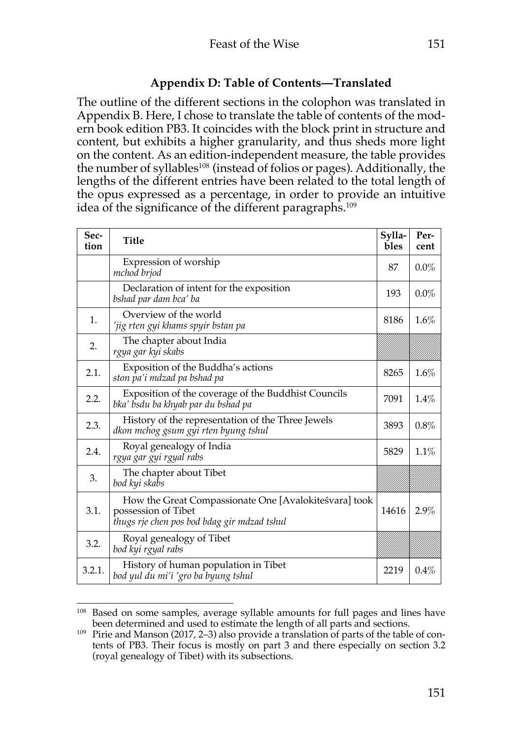# **Appendix D: Table of Contents—Translated**

The outline of the different sections in the colophon was translated in Appendix B. Here, I chose to translate the table of contents of the modern book edition PB3. It coincides with the block print in structure and content, but exhibits a higher granularity, and thus sheds more light on the content. As an edition-independent measure, the table provides the number of syllables<sup>108</sup> (instead of folios or pages). Additionally, the lengths of the different entries have been related to the total length of the opus expressed as a percentage, in order to provide an intuitive idea of the significance of the different paragraphs.<sup>109</sup>

| Sec-<br>tion | Title                                                                                                                       | Sylla-<br>bles | Per-<br>cent |
|--------------|-----------------------------------------------------------------------------------------------------------------------------|----------------|--------------|
|              | Expression of worship<br>mchod brjod                                                                                        | 87             | $0.0\%$      |
|              | Declaration of intent for the exposition<br>bshad par dam bca' ba                                                           | 193            | $0.0\%$      |
| 1.           | Overview of the world<br>'jig rten gyi khams spyir bstan pa                                                                 | 8186           | 1.6%         |
| 2.           | The chapter about India<br>rgya gar kyi skabs                                                                               |                |              |
| 2.1.         | Exposition of the Buddha's actions<br>ston pa'i mdzad pa bshad pa                                                           | 8265           | 1.6%         |
| 2.2.         | Exposition of the coverage of the Buddhist Councils<br>bka' bsdu ba khyab par du bshad pa                                   | 7091           | 1.4%         |
| 2.3.         | History of the representation of the Three Jewels<br>dkon mchog gsum gyi rten byung tshul                                   | 3893           | 0.8%         |
| 2.4.         | Royal genealogy of India<br>rgya gar gyi rgyal rabs                                                                         | 5829           | 1.1%         |
| 3.           | The chapter about Tibet<br>bod kyi skabs                                                                                    |                |              |
| 3.1.         | How the Great Compassionate One [Avalokiteśvara] took<br>possession of Tibet<br>thugs rje chen pos bod bdag gir mdzad tshul | 14616          | 2.9%         |
| 3.2.         | Royal genealogy of Tibet<br>bod kyi rgyal rabs                                                                              |                |              |
| 3.2.1.       | History of human population in Tibet<br>bod yul du mi'i 'gro ba byung tshul                                                 | 2219           | 0.4%         |

<sup>&</sup>lt;sup>108</sup> Based on some samples, average syllable amounts for full pages and lines have been determined and used to estimate the length of all parts and sections.

<sup>109</sup> Pirie and Manson (2017, 2–3) also provide a translation of parts of the table of contents of PB3. Their focus is mostly on part 3 and there especially on section 3.2 (royal genealogy of Tibet) with its subsections.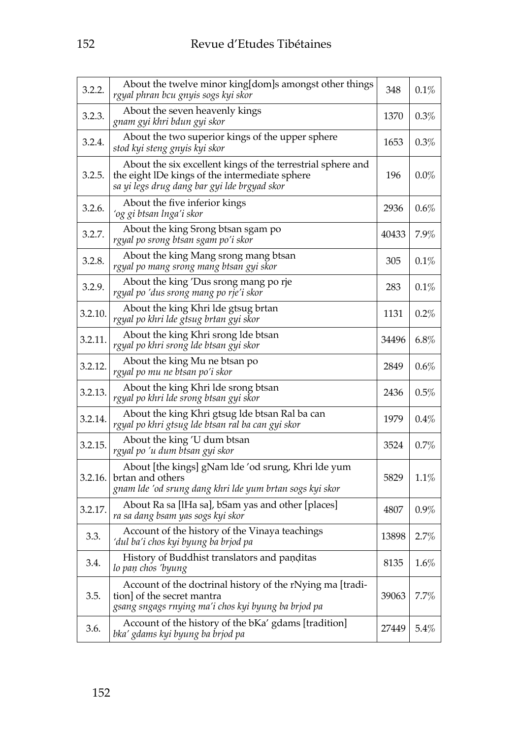| 3.2.2.  | About the twelve minor king[dom]s amongst other things<br>rgyal phran bcu gnyis sogs kyi skor                                                                 | 348   | 0.1%    |
|---------|---------------------------------------------------------------------------------------------------------------------------------------------------------------|-------|---------|
| 3.2.3.  | About the seven heavenly kings<br>gnam gyi khri bdun gyi skor                                                                                                 | 1370  | $0.3\%$ |
| 3.2.4.  | About the two superior kings of the upper sphere<br>stod kyi steng gnyis kyi skor                                                                             | 1653  | $0.3\%$ |
| 3.2.5.  | About the six excellent kings of the terrestrial sphere and<br>the eight IDe kings of the intermediate sphere<br>sa yi legs drug dang bar gyi lde brgyad skor | 196   | $0.0\%$ |
| 3.2.6.  | About the five inferior kings<br>ʻog gi btsan lnga'i skor                                                                                                     | 2936  | $0.6\%$ |
| 3.2.7.  | About the king Srong btsan sgam po<br>rgyal po srong btsan sgam po'i skor                                                                                     | 40433 | 7.9%    |
| 3.2.8.  | About the king Mang srong mang btsan<br>rgyal po mang srong mang btsan gyi skor                                                                               | 305   | $0.1\%$ |
| 3.2.9.  | About the king 'Dus srong mang po rje<br>rgyal po 'dus srong mang po rje'i skor                                                                               | 283   | 0.1%    |
| 3.2.10. | About the king Khri Ide gtsug brtan<br>rgyal po khri lde gtsug brtan gyi skor                                                                                 | 1131  | $0.2\%$ |
| 3.2.11. | About the king Khri srong Ide btsan<br>rgyal po khri srong lde btsan gyi skor                                                                                 | 34496 | $6.8\%$ |
| 3.2.12. | About the king Mu ne btsan po<br>rgyal po mu ne btsan po'i skor                                                                                               | 2849  | $0.6\%$ |
| 3.2.13. | About the king Khri Ide srong btsan<br>rgyal po khri lde srong btsan gyi skor                                                                                 | 2436  | $0.5\%$ |
| 3.2.14. | About the king Khri gtsug Ide btsan Ral ba can<br>rgyal po khri gtsug lde btsan ral ba can gyi skor                                                           | 1979  | $0.4\%$ |
| 3.2.15. | About the king 'U dum btsan<br>rgyal po 'u dum btsan gyi skor                                                                                                 | 3524  | 0.7%    |
| 3.2.16. | About [the kings] gNam lde 'od srung, Khri lde yum<br>brtan and others<br>gnam lde 'od srung dang khri lde yum brtan sogs kyi skor                            | 5829  | 1.1%    |
| 3.2.17. | About Ra sa [IHa sa], bSam yas and other [places]<br>ra sa dang bsam yas sogs kyi skor                                                                        | 4807  | $0.9\%$ |
| 3.3.    | Account of the history of the Vinaya teachings<br>ʻdul ba'i chos kyi byung ba brjod pa                                                                        | 13898 | 2.7%    |
| 3.4.    | History of Buddhist translators and panditas<br>lo paṇ chos 'byung                                                                                            | 8135  | $1.6\%$ |
| 3.5.    | Account of the doctrinal history of the rNying ma [tradi-<br>tion] of the secret mantra<br>gsang sngags rnying ma'i chos kyi byung ba brjod pa                | 39063 | 7.7%    |
| 3.6.    | Account of the history of the bKa' gdams [tradition]<br>bka' gdams kyi byung ba brjod pa                                                                      | 27449 | 5.4%    |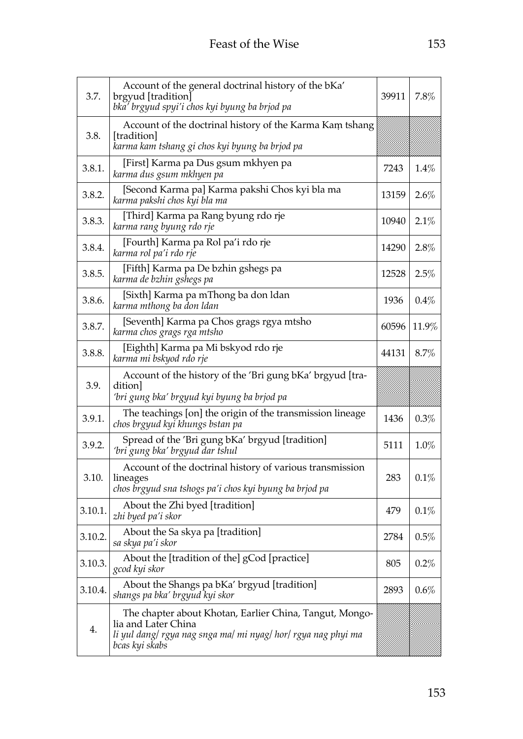| 3.7.    | Account of the general doctrinal history of the bKa'<br>brgyud [tradition]<br>bka' brgyud spyi'i chos kyi byung ba brjod pa                                       | 39911 | 7.8%    |
|---------|-------------------------------------------------------------------------------------------------------------------------------------------------------------------|-------|---------|
| 3.8.    | Account of the doctrinal history of the Karma Kam tshang<br>[tradition]<br>karma kam tshang gi chos kyi byung ba brjod pa                                         |       |         |
| 3.8.1.  | [First] Karma pa Dus gsum mkhyen pa<br>karma dus gsum mkhyen pa                                                                                                   | 7243  | 1.4%    |
| 3.8.2.  | [Second Karma pa] Karma pakshi Chos kyi bla ma<br>karma pakshi chos kyi bla ma                                                                                    | 13159 | 2.6%    |
| 3.8.3.  | [Third] Karma pa Rang byung rdo rje<br>karma rang byung rdo rje                                                                                                   | 10940 | 2.1%    |
| 3.8.4.  | [Fourth] Karma pa Rol pa'i rdo rje<br>karma rol pa'i rdo rje                                                                                                      | 14290 | 2.8%    |
| 3.8.5.  | [Fifth] Karma pa De bzhin gshegs pa<br>karma de bzhin gshegs pa                                                                                                   | 12528 | 2.5%    |
| 3.8.6.  | [Sixth] Karma pa mThong ba don Idan<br>karma mthong ba don Idan                                                                                                   | 1936  | 0.4%    |
| 3.8.7.  | [Seventh] Karma pa Chos grags rgya mtsho<br>karma chos grags rga mtsho                                                                                            | 60596 | 11.9%   |
| 3.8.8.  | [Eighth] Karma pa Mi bskyod rdo rje<br>karma mi bskyod rdo rje                                                                                                    | 44131 | 8.7%    |
| 3.9.    | Account of the history of the 'Bri gung bKa' brgyud [tra-<br>dition <br>ʻbri gung bka' brgyud kyi byung ba brjod pa                                               |       |         |
| 3.9.1.  | The teachings [on] the origin of the transmission lineage<br>chos brgyud kyi khungs bstan pa                                                                      | 1436  | 0.3%    |
| 3.9.2.  | Spread of the 'Bri gung bKa' brgyud [tradition]<br>'bri gung bka' brgyud dar tshul                                                                                | 5111  | 1.0%    |
| 3.10.   | Account of the doctrinal history of various transmission<br>lineages<br>chos brgyud sna tshogs pa'i chos kyi byung ba brjod pa                                    | 283   | 0.1%    |
| 3.10.1. | About the Zhi byed [tradition]<br>zhi byed pa'i skor                                                                                                              | 479   | 0.1%    |
| 3.10.2. | About the Sa skya pa [tradition]<br>sa skya pa'i skor                                                                                                             | 2784  | 0.5%    |
| 3.10.3. | About the [tradition of the] gCod [practice]<br>gcod kyi skor                                                                                                     | 805   | 0.2%    |
| 3.10.4. | About the Shangs pa bKa' brgyud [tradition]<br>shangs pa bka' brgyud kyi skor                                                                                     | 2893  | $0.6\%$ |
| 4.      | The chapter about Khotan, Earlier China, Tangut, Mongo-<br>lia and Later China<br>li yul dang/ rgya nag snga ma/ mi nyag/ hor/ rgya nag phyi ma<br>bcas kyi skabs |       |         |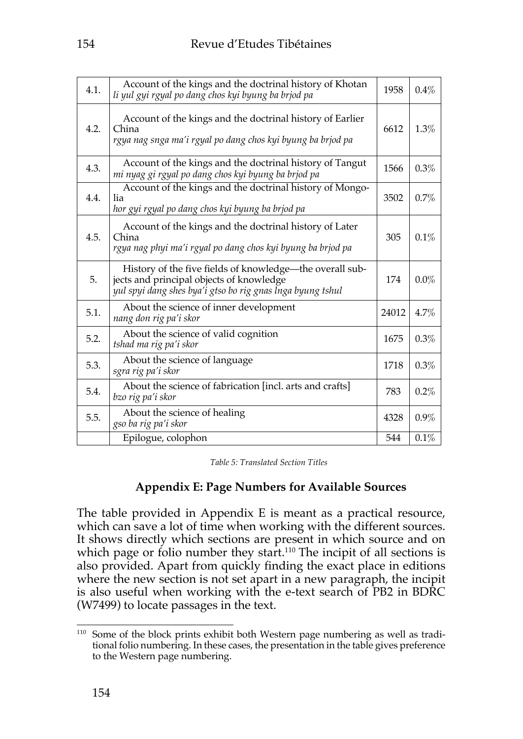| 4.1. | Account of the kings and the doctrinal history of Khotan<br>li yul gyi rgyal po dang chos kyi byung ba brjod pa                                                    | 1958  | 0.4%    |
|------|--------------------------------------------------------------------------------------------------------------------------------------------------------------------|-------|---------|
| 4.2. | Account of the kings and the doctrinal history of Earlier<br>China<br>rgya nag snga ma'i rgyal po dang chos kyi byung ba brjod pa                                  | 6612  | 1.3%    |
| 4.3. | Account of the kings and the doctrinal history of Tangut<br>mi nyag gi rgyal po dang chos kyi byung ba brjod pa                                                    | 1566  | 0.3%    |
| 4.4. | Account of the kings and the doctrinal history of Mongo-<br>lia<br>hor gyi rgyal po dang chos kyi byung ba brjod pa                                                | 3502  | 0.7%    |
| 4.5. | Account of the kings and the doctrinal history of Later<br>China<br>rgya nag phyi ma'i rgyal po dang chos kyi byung ba brjod pa                                    | 305   | 0.1%    |
| 5.   | History of the five fields of knowledge-the overall sub-<br>jects and principal objects of knowledge<br>yul spyi dang shes bya'i gtso bo rig gnas lnga byung tshul | 174   | $0.0\%$ |
| 5.1. | About the science of inner development<br>nang don rig pa'i skor                                                                                                   | 24012 | 4.7%    |
| 5.2. | About the science of valid cognition<br>tshad ma rig pa'i skor                                                                                                     | 1675  | 0.3%    |
| 5.3. | About the science of language<br>sgra rig pa'i skor                                                                                                                | 1718  | 0.3%    |
| 5.4. | About the science of fabrication [incl. arts and crafts]<br>bzo rig pa'i skor                                                                                      | 783   | 0.2%    |
| 5.5. | About the science of healing<br>gso ba rig pa'i skor                                                                                                               | 4328  | $0.9\%$ |
|      | Epilogue, colophon                                                                                                                                                 | 544   | 0.1%    |

*Table 5: Translated Section Titles*

# **Appendix E: Page Numbers for Available Sources**

The table provided in Appendix E is meant as a practical resource, which can save a lot of time when working with the different sources. It shows directly which sections are present in which source and on which page or folio number they start.<sup>110</sup> The incipit of all sections is also provided. Apart from quickly finding the exact place in editions where the new section is not set apart in a new paragraph, the incipit is also useful when working with the e-text search of PB2 in BDRC (W7499) to locate passages in the text.

<sup>110</sup> Some of the block prints exhibit both Western page numbering as well as traditional folio numbering. In these cases, the presentation in the table gives preference to the Western page numbering.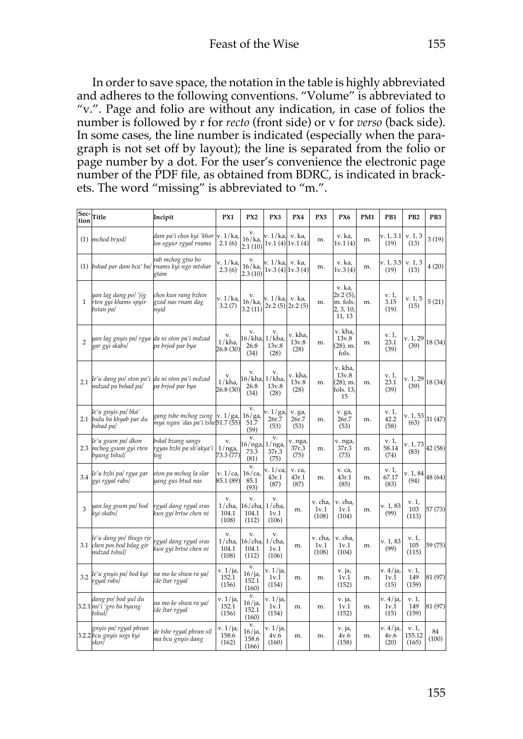In order to save space, the notation in the table is highly abbreviated and adheres to the following conventions. "Volume" is abbreviated to "v.". Page and folio are without any indication, in case of folios the number is followed by r for *recto* (front side) or v for *verso* (back side). In some cases, the line number is indicated (especially when the paragraph is not set off by layout); the line is separated from the folio or page number by a dot. For the user's convenience the electronic page number of the PDF file, as obtained from BDRC, is indicated in brackets. The word "missing" is abbreviated to "m.".

| Sec-<br>tion   | Title                                                               | Incipit                                                   | PX1                                | PX <sub>2</sub>                 | PX3                              | PX4                      | PX5                      | PX6                                                      | PM1 | PB1                      | PB <sub>2</sub>          | PB3         |
|----------------|---------------------------------------------------------------------|-----------------------------------------------------------|------------------------------------|---------------------------------|----------------------------------|--------------------------|--------------------------|----------------------------------------------------------|-----|--------------------------|--------------------------|-------------|
| (1)            | mchod brjod/                                                        | dam pa'i chos kyi 'khor<br>los sgyur rgyal rnams          | v. 1 / ka,<br>2.1(6)               | v.<br>16/ka<br>2.1(10)          | v. 1/ka, v. ka,                  | 1v.1(4) 1v.1(4)          | m.                       | v. ka,<br>1v.1(4)                                        | m.  | v. 1, 3.1<br>(19)        | v. 1, 3<br>(13)          | 3(19)       |
|                | $(1)$ bshad par dam bca' ba/                                        | rab mchog gtso bo<br>rnams kyi ngo mtshar<br>gtam         | v. 1/ka,<br>2.3(6)                 | v.<br>$16/ka$ ,<br>2.3(10)      | v. 1/ka, v. ka,                  | 1v.3(4) 1v.3(4)          | m.                       | v. ka,<br>1v.3(4)                                        | m.  | v. 1, 3.5<br>(19)        | v. 1, 3<br>(13)          | 4(20)       |
| 1              | yan lag dang po/ 'jig<br>rten gyi khams spyir<br>bstan pa/          | chos kun rang bzhin<br>gzod nas rnam dag<br>nyid          | v. 1/ka,<br>3.2(7)                 | v.<br>16/ka<br>3.2 (11)         | v. 1/ka, v. ka,                  | $2r.2(5)$ $2r.2(5)$      | m.                       | v. ka,<br>$2r.2(5)$ ,<br>m. fols.<br>2, 3, 10,<br>11, 13 | m.  | v. 1,<br>3.15<br>(19)    | v. 1, 5<br>(15)          | 5(21)       |
| $\overline{2}$ | yan lag gnyis pa  rgya  da ni ston pa'i mdzad<br>gar gyi skabs/     | pa brjod par bya                                          | v.<br>1/kha,<br>26.8 (30)          | v.<br>6/kha,<br>26.8<br>(34)    | v.<br>1/kha<br>13v.8<br>(28)     | v. kha,<br>13v.8<br>(28) | m.                       | v. kha,<br>13v.8<br>(28), m.<br>fols.                    | m.  | v. 1,<br>23.1<br>(39)    | v. 1, 29<br>(39)         | 18 (34)     |
| 2.1            | le'u dang po  ston pa'i da ni ston pa'i mdzad<br>mdzad pa bshad pa/ | pa brjod par bya                                          | v.<br>1/kha,<br>26.8 (30)          | v.<br>16/kha,<br>26.8<br>(34)   | v.<br>1/kha<br>13v.8<br>(28)     | v. kha.<br>13v.8<br>(28) | m.                       | v. kha,<br>13v.8<br>(28), m.<br>fols. 13,<br>15          | m.  | v. 1,<br>23.1<br>(39)    | v. 1, 29<br>(39)         | 18 (34)     |
| 2.1            | le'u gnyis pa  bka'<br>bsdu ba khyab par du<br>bshad pa/            | gang tshe mchog zung<br>mya ngan 'das pa'i tshe 51.7 (55) | v. 1/ga,                           | v.<br>16/ga<br>51.7<br>(59)     | v. 1 / ga,<br>26r.7<br>(53)      | v. ga,<br>26r.7<br>(53)  | m.                       | v. ga,<br>26r.7<br>(53)                                  | m.  | v. 1,<br>42.2<br>(58)    | v. 1, 53<br>(63)         | 31 (47)     |
| 2.3            | le'u gsum pa  dkon<br>mchog gsum gyi rten<br>byung tshul/           | bskal bzang sangs<br>rgyas bzhi pa sh'akya'i<br>tog       | v.<br>$1/nga$ ,<br>73.3 (77)       | v.<br>.6/nga,<br>73.3<br>(81)   | v.<br>$1/nga$ ,<br>37r.3<br>(75) | v. nga,<br>37r.3<br>(75) | m.                       | v. nga,<br>37r.3<br>(73)                                 | m.  | v. 1,<br>58.14<br>(74)   | v. 1, 73<br>(83)         | 42 (58)     |
| 3.4            | le'u bzhi pa  rgya gar<br>gyi rgyal rabs]                           | ston pa mchog la slar<br>yang gus btud nas                | v. 1/ca,<br>85.1 (89)              | v.<br>$16$ /ca,<br>85.1<br>(93) | v. 1 / ca,<br>43r.1<br>(87)      | v. ca,<br>43r.1<br>(87)  | m.                       | v. ca,<br>43r.1<br>(85)                                  | m.  | v. 1,<br>67.17<br>(83)   | v. 1, 84<br>(94)         | 48 (64)     |
| 3              | yan lag gsum pa/ bod<br>kyi skabs/                                  | rgyal dang rgyal sras<br>kun gyi brtse chen ni            | v.<br>$1$ / cha,<br>104.1<br>(108) | v.<br>16/cha,<br>104.1<br>(112) | v.<br>$1$ /cha,<br>1v.1<br>(106) | m.                       | v. cha,<br>1v.1<br>(108) | v. cha,<br>1v.1<br>(104)                                 | m.  | v. 1, 83<br>(99)         | v. 1,<br>103<br>(113)    | 57 (73)     |
| 3.1            | le'u dang po/ thugs rje<br>chen pos bod bdag gir<br>mdzad tshul/    | rgyal dang rgyal sras<br>kun gyi brtse chen ni            | v.<br>$1$ /cha,<br>104.1<br>(108)  | v.<br>16/cha,<br>104.1<br>(112) | v.<br>$1/$ cha,<br>1v.1<br>(106) | m.                       | v. cha,<br>1v.1<br>(108) | v. cha.<br>1v.1<br>(104)                                 | m.  | v. 1, 83<br>(99)         | v. 1,<br>105<br>(115)    | 59 (75)     |
| 3.2            | le'u gnyis pa/ bod kyi<br>rgyal rabs/                               | na mo ke shwa ra ya/<br>/de ltar rgyal                    | v. 1/ja,<br>152.1<br>(156)         | v.<br>16/ja<br>152.1<br>(160)   | v. 1 / ja,<br>1v.1<br>(154)      | m.                       | m.                       | v. ja,<br>1v.1<br>(152)                                  | m.  | v. 4/ja,<br>1v.1<br>(15) | v. 1,<br>149<br>(159)    | 81 (97)     |
|                | dang po/ bod yul du<br>3.2.1 mi'i 'gro ba byung<br>tshul∫           | na mo ke shwa ra ya/<br>de ltar rgyal                     | v. 1/ja,<br>152.1<br>(156)         | v.<br>16/ja,<br>152.1<br>(160)  | v. 1/ja,<br>1v.1<br>(154)        | m.                       | m.                       | v. ja,<br>1v.1<br>(152)                                  | m.  | v. 4/ja,<br>1v.1<br>(15) | v. 1,<br>149<br>(159)    | 81 (97)     |
|                | gnyis pa  rgyal phran<br>3.2.2 bcu gnyis sogs kyi<br>skor]          | de tshe rgyal phran sil<br>ma bcu gnyis dang              | v. 1/ja,<br>158.6<br>(162)         | v.<br>16/ja<br>158.6<br>(166)   | v. 1/ja,<br>4v.6<br>(160)        | m.                       | m.                       | v. ja,<br>4v.6<br>(158)                                  | m.  | v. 4/ja,<br>4v.6<br>(20) | v. 1,<br>155.12<br>(165) | 84<br>(100) |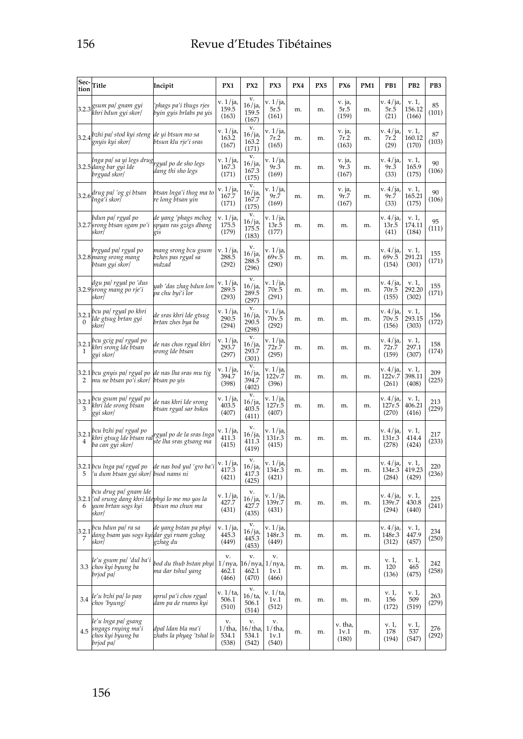| Sec-<br>tion | Title                                                                                                     | Incipit                                                                                  | PX1                                    | PX <sub>2</sub>                    | PX3                           | PX4 | PX5 | PX6                      | PM1 | PB1                         | PB <sub>2</sub>          | PB3          |
|--------------|-----------------------------------------------------------------------------------------------------------|------------------------------------------------------------------------------------------|----------------------------------------|------------------------------------|-------------------------------|-----|-----|--------------------------|-----|-----------------------------|--------------------------|--------------|
|              | 3.2.3 gsum pa/ gnam gyi<br>khri bdun gyi skor/                                                            | 'phags pa'i thugs rjes<br>byin gyis brlabs pa yis                                        | v. 1/ja,<br>159.5<br>(163)             | v.<br>16/ja,<br>159.5<br>(167)     | v. 1 / ja,<br>5r.5<br>(161)   | m.  | m.  | v. ja,<br>5r.5<br>(159)  | m.  | v. 4/ja,<br>5r.5<br>(21)    | v. 1,<br>156.12<br>(166) | 85<br>(101)  |
| 3.2.4        | bzhi pa/ stod kyi steng ¦de yi btsun mo sa<br>gnyis kyi skor/                                             | btsun klu rje′i sras                                                                     | v. 1/ja,<br>163.2<br>(167)             | v.<br>16/ja,<br>163.2<br>(171)     | v. 1 / ja,<br>7r.2<br>(165)   | m.  | m.  | v. ja,<br>7r.2<br>(163)  | m.  | v. 4/ja,<br>7r.2<br>(29)    | v. 1,<br>160.12<br>(170) | 87<br>(103)  |
|              | lnga pa  sa yi legs drug<br>3.2.5 dang bar gyi lde<br>brgyad skor/                                        | rgyal po de sho legs<br>dang thi sho legs                                                | v. 1/ja,<br>167.3<br>(171)             | v.<br>16/ja,<br>167.3<br>(175)     | v. 1 / ja,<br>9r.3<br>(169)   | m.  | m.  | v. ja,<br>9r.3<br>(167)  | m.  | v. 4/ja,<br>9r.3<br>(33)    | v. 1,<br>165.9<br>(175)  | 90<br>(106)  |
| 3.2.6        | drug pa/ ′og gi btsan<br>lnga'i skor/                                                                     | btsan lnga'i thog ma to<br>re long btsan yin                                             | v. 1/ja,<br>167.7<br>(171)             | v.<br>16/ja,<br>167.7<br>(175)     | v. 1/ja,<br>9r.7<br>(169)     | m.  | m.  | v. ja,<br>9r.7<br>(167)  | m.  | v. 4/ja,<br>9r.7<br>(33)    | v. 1,<br>165.21<br>(175) | 90<br>(106)  |
|              | bdun pa/ rgyal po<br>3.2.7 srong btsan sgam po'i<br>skor/                                                 | de yang 'phags mchog<br>spyan ras gzigs dbang<br>gis                                     | v. 1/ja,<br>175.5<br>(179)             | v.<br>$16/$ ja,<br>175.5<br>(183)  | v. 1 / ja,<br>13r.5<br>(177)  | m.  | m.  | m.                       | m.  | v. 4/ja,<br>13r.5<br>(41)   | v. 1,<br>174.11<br>(184) | 95<br>(111)  |
|              | brgyad pa/ rgyal po<br>3.2.8 mang srong mang<br>btsan gyi skor/                                           | mang srong bcu gsum<br>bzhes pas rgyal sa<br>mdzad                                       | v. 1/ja,<br>288.5<br>(292)             | v.<br>16/ja,<br>288.5<br>(296)     | v. 1 / ja,<br>69v.5<br>(290)  | m.  | m.  | m.                       | m.  | v. 4/ja,<br>69v.5<br>(154)  | v. 1,<br>291.21<br>(301) | 155<br>(171) |
|              | dgu pa  rgyal po ′dus<br>3.2.9 srong mang po rje'i<br>skor/                                               | yab 'das zhag bdun lon<br>pa chu byi'i lor                                               | v. 1/ja,<br>289.5<br>(293)             | v.<br>16/ja,<br>289.5<br>(297)     | v. 1 / ja,<br>70r.5<br>(291)  | m.  | m.  | m.                       | m.  | v. 4/ja,<br>70r.5<br>(155)  | v. 1,<br>292.20<br>(302) | 155<br>(171) |
| 3.2.1<br>0   | bcu pa/ rgyal po khri<br>lde gtsug brtan gyi<br>skor/                                                     | de sras khri lde gtsug<br>brtan zhes bya ba                                              | v. 1/ja,<br>290.5<br>(294)             | v.<br>16/ja,<br>290.5<br>(298)     | v. 1 / ja,<br>70v.5<br>(292)  | m.  | m.  | m.                       | m.  | v. 4/ja,<br>70v.5<br>(156)  | v. 1,<br>293.15<br>(303) | 156<br>(172) |
| 3.2.1<br>1   | bcu gcig pa/ rgyal po<br>khri srong lde btsan<br>gyi skor/                                                | de nas chos rgyal khri<br>srong lde btsan                                                | v. 1/ja,<br>293.7<br>(297)             | v.<br>16/ja,<br>293.7<br>(301)     | v. 1 / ja,<br>72r.7<br>(295)  | m.  | m.  | m.                       | m.  | v. 4/ja,<br>72r.7<br>(159)  | v. 1,<br>297.1<br>(307)  | 158<br>(174) |
| 2            | 3.2.1bcu gnyis pa  rgyal po  de nas lha sras mu tig<br>mu ne bisan po'i skor/hbisan po yis                |                                                                                          | v. 1/ja,<br>394.7<br>(398)             | v.<br>16/ja,<br>394.7<br>(402)     | v. 1 / ja,<br>122v.7<br>(396) | m.  | m.  | m.                       | m.  | v. 4/ja,<br>122v.7<br>(261) | v. 1,<br>398.11<br>(408) | 209<br>(225) |
| 3.2.1<br>3   | bcu gsum pa/ rgyal po<br>khri lde srong btsan<br>gyi skor/                                                | de nas khri lde srong<br>btsan rgyal sar bskos                                           | v. 1/ja,<br>403.5<br>(407)             | v.<br>16/ja,<br>403.5<br>(411)     | v. 1/ja,<br>127r.5<br>(407)   | m.  | m.  | m.                       | m.  | v. 4/ja,<br>127r.5<br>(270) | v. 1,<br>406.21<br>(416) | 213<br>(229) |
| 3.2.1<br>4   | bcu bzhi pa  rgyal po<br>ba can gyi skor/                                                                 | khri gtsug lde btsan ral <mark>rgyal po de la sras Inga</mark><br>ste lha sras gtsang ma | v. 1/ja,<br>411.3<br>(415)             | v.<br>$16/ja$ ,<br>411.3<br>(419)  | v. 1 / ja,<br>131r.3<br>(415) | m.  | m.  | m.                       | m.  | v. 4/ja,<br>131r.3<br>(278) | v. 1,<br>414.4<br>(424)  | 217<br>(233) |
| 5            | 3.2.1 bcu Inga pa/ rgyal po<br>'u dum btsan gyi skor/ bsod nams ni                                        | de nas bod yul 'gro ba'i                                                                 | v. 1/ja,<br>417.3<br>(421)             | v.<br>16/ja,<br>417.3<br>(425)     | v. 1 / ja,<br>134r.3<br>(421) | m.  | m.  | m.                       | m.  | v. 4/ja,<br>134r.3<br>(284) | v. 1,<br>419.23<br>(429) | 220<br>(236) |
| 6            | bcu drug pa/ gnam lde<br>3.2.1 ¦od srung dang khri ldephyi lo me mo yos la<br>yum brtan sogs kyi<br>skor/ | btsun mo chun ma                                                                         | v. 1/ja,<br>427.7<br>(431)             | v.<br>16/ja,<br>427.7<br>(435)     | v. 1 / ja,<br>139r.7<br>(431) | m.  | m.  | m.                       | m.  | v. 4/ja,<br>139r.7<br>(294) | v. 1,<br>430.8<br>(440)  | 225<br>(241) |
| 3.2.1<br>7   | bcu bdun pa  ra sa<br>dang bsam yas sogs kyi¦dar gyi rnam gzhag<br>skor/                                  | de yang bstan pa phyi<br>gzhag du                                                        | v. 1/ja,<br>445.3<br>(449)             | v.<br>16/ja,<br>445.3<br>(453)     | v. 1 / ja,<br>148r.3<br>(449) | m.  | m.  | m.                       | m.  | v. 4/ja,<br>148r.3<br>(312) | v. 1,<br>447.9<br>(457)  | 234<br>(250) |
|              | le'u gsum pa/ 'dul ba'i<br>3.3 chos kyi byung ba<br>brjod pa/                                             | bod du thub bstan phyi<br>ma dar tshul yang                                              | v.<br>1/nya,<br>462.1<br>(466)         | v.<br>$16/nya$ ,<br>462.1<br>(470) | v.<br>1/nya,<br>1v.1<br>(466) | m.  | m.  | m.                       | m.  | v. 1,<br>120<br>(136)       | v. 1,<br>465<br>(475)    | 242<br>(258) |
| 3.4          | le'u bzhi pa/ lo paṇ<br>chos 'byung/                                                                      | sprul pa'i chos rgyal<br>dam pa de rnams kyi                                             | v. 1/ta,<br>506.1<br>(510)             | v.<br>16/ta<br>506.1<br>(514)      | v. 1/ta,<br>1v.1<br>(512)     | m.  | m.  | m.                       | m.  | v. 1,<br>156<br>(172)       | v. 1,<br>509<br>(519)    | 263<br>(279) |
| 4.5          | le'u lnga pa  gsang<br>sngags rnying ma'i<br>chos kyi byung ba<br>brjod pa/                               | dpal ldan bla ma'i<br>zhabs la phyag 'tshal lo                                           | v.<br>$1/\text{tha}$<br>534.1<br>(538) | v.<br>16/tha,<br>534.1<br>(542)    | v.<br>1/tha,<br>1v.1<br>(540) | m.  | m.  | v. tha,<br>1v.1<br>(180) | m.  | v. 1,<br>178<br>(194)       | v. 1,<br>537<br>(547)    | 276<br>(292) |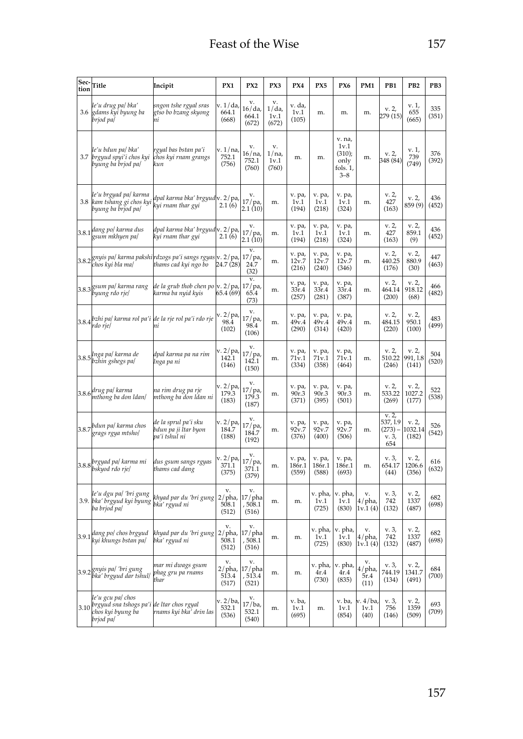| Sec-<br>tion | Title                                                                                            | Incipit                                                                                                                      | PX1                                      | PX <sub>2</sub>                     | PX3                             | PX4                       | PX5                       | PX6                                                        | PM1                          | PB <sub>1</sub>                              | PB <sub>2</sub>           | PB3          |
|--------------|--------------------------------------------------------------------------------------------------|------------------------------------------------------------------------------------------------------------------------------|------------------------------------------|-------------------------------------|---------------------------------|---------------------------|---------------------------|------------------------------------------------------------|------------------------------|----------------------------------------------|---------------------------|--------------|
| 3.6          | le'u drug pa  bka'<br>gdams kyi byung ba<br>brjod pa/                                            | sngon tshe rgyal sras<br>gtso bo bzang skyong<br>пi                                                                          | v. 1/da,<br>664.1<br>(668)               | v.<br>16/da<br>664.1<br>(672)       | v.<br>$1/da$ ,<br>1v.1<br>(672) | v. da,<br>1v.1<br>(105)   | m.                        | m.                                                         | m.                           | v. 2,<br>279 (15)                            | v. 1,<br>655<br>(665)     | 335<br>(351) |
| 3.7          | le'u bdun pa/ bka'<br>brgyud spyi'i chos kyi<br>byung ba brjod pa/                               | rgyal bas bstan pa'i<br>chos kyi rnam grangs<br>kun                                                                          | v. 1/na<br>752.1<br>(756)                | v.<br>16/na<br>752.1<br>(760)       | v.<br>1/na<br>1v.1<br>(760)     | m.                        | m.                        | v. na,<br>1v.1<br>(310);<br>only<br>fols. $1$ ,<br>$3 - 8$ | m.                           | v. 2,<br>348 (84)                            | v. 1,<br>739<br>(749)     | 376<br>(392) |
| 3.8          | le'u brgyad pa  karma<br>kam tshang gi chos kyi<br>byung ba brjod pa/                            | dpal karma bka' brgyud<br>kyi rnam thar gyi                                                                                  | v. 2/pa,<br>2.1(6)                       | v.<br>17/pa,<br>2.1(10)             | m.                              | v. pa,<br>1v.1<br>(194)   | v. pa,<br>1v.1<br>(218)   | v. pa,<br>1v.1<br>(324)                                    | m.                           | v. 2,<br>427<br>(163)                        | v. 2,<br>859 (9)          | 436<br>(452) |
|              | 3.8.1 dang po/ karma dus<br>gsum mkhyen pa/                                                      | dpal karma bka' brgyud<br>kyi rnam thar gyi                                                                                  | v. 2/pa,<br>2.1(6)                       | v.<br>17/pa,<br>2.1(10)             | m.                              | v. pa,<br>1v.1<br>(194)   | v. pa,<br>1v.1<br>(218)   | v. pa,<br>1v.1<br>(324)                                    | m.                           | v. 2,<br>427<br>(163)                        | v. 2,<br>859.1<br>(9)     | 436<br>(452) |
|              | chos kyi bla ma/                                                                                 | $3.8.2$ gnyis pa/ karma pakshi $\left  r \right $ azogs pa'i sangs rgyas $\left  v. 2 / p a \right $<br>thams cad kyi ngo bo | 24.7 (28)                                | v.<br>$17/$ pa,<br>24.7<br>(32)     | m.                              | v. pa,<br>12v.7<br>(216)  | v. pa,<br>12v.7<br>(240)  | v. pa,<br>12v.7<br>(346)                                   | m.                           | v. 2,<br>440.25<br>(176)                     | v. 2,<br>880.9<br>(30)    | 447<br>(463) |
|              | 3.8.3 gsum pa/ karma rang<br>byung rdo rje/                                                      | de la grub thob chen po<br>karma ba nyid kyis                                                                                | v. 2/pa<br>65.4 (69)                     | v.<br>$17/pa$ ,<br>65.4<br>(73)     | m.                              | v. pa,<br>33r.4<br>(257)  | v. pa,<br>33r.4<br>(281)  | v. pa,<br>33r.4<br>(387)                                   | m.                           | v. 2,<br>464.14<br>(200)                     | v. 2,<br>918.12<br>(68)   | 466<br>(482) |
| 3.8.4        | rdo rje/                                                                                         | bzhi pa  karma rol pa'i de la rje rol pa'i rdo rje<br>ni                                                                     | v. 2 / pa<br>98.4<br>(102)               | v.<br>$17$ /pa,<br>98.4<br>(106)    | m.                              | v. pa,<br>49v.4<br>(290)  | v. pa,<br>49v.4<br>(314)  | v. pa,<br>49v.4<br>(420)                                   | m.                           | v. 2,<br>484.15<br>(220)                     | v. 2,<br>950.1<br>(100)   | 483<br>(499) |
| 3.8.5        | Inga pa/ karma de<br>bzhin gshegs pa/                                                            | dpal karma pa na rim<br>lnga pa ni                                                                                           | v. 2 / pa,<br>142.1<br>(146)             | v.<br>17/pa,<br>142.1<br>(150)      | m.                              | v. pa,<br>71v.1<br>(334)  | v. pa,<br>71v.1<br>(358)  | v. pa,<br>71v.1<br>(464)                                   | m.                           | v. 2,<br>510.22<br>(246)                     | v. 2,<br>991.1.8<br>(141) | 504<br>(520) |
|              | 3.8.6 drug pa/karma<br>mthong ba don ldan/                                                       | na rim drug pa rje<br>mthong ba don ldan ni                                                                                  | v. 2/pa<br>179.3<br>(183)                | v.<br>$17/pa$ ,<br>179.3<br>(187)   | m.                              | v. pa,<br>90r.3<br>(371)  | v. pa,<br>90r.3<br>(395)  | v. pa,<br>90r.3<br>(501)                                   | m.                           | v. 2,<br>533.22<br>(269)                     | v. 2,<br>1027.2<br>(177)  | 522<br>(538) |
| 3.8.7        | bdun pa/ karma chos<br>grags rgya mtsho/                                                         | de la sprul pa'i sku<br>bdun pa ji İtar byon<br>pa'i tshul ni                                                                | v. 2/pa<br>184.7<br>(188)                | v.<br>$17/pa$ ,<br>184.7<br>(192)   | m.                              | v. pa,<br>92v.7<br>(376)  | v. pa,<br>92v.7<br>(400)  | v. pa,<br>92v.7<br>(506)                                   | m.                           | v.2<br>537, 1.9<br>$(273) -$<br>v. 3,<br>654 | v. 2,<br>1032.14<br>(182) | 526<br>(542) |
|              | 3.8.8 <i>brgyad pa  karma mi</i><br>bskyod rdo rje/                                              | dus gsum sangs rgyas<br>thams cad dang                                                                                       | v. 2/pa<br>371.1<br>(375)                | v.<br>17 / pa,<br>371.1<br>(379)    | m.                              | v. pa,<br>186r.1<br>(559) | v. pa,<br>186r.1<br>(588) | v. pa,<br>186r.1<br>(693)                                  | m.                           | v. 3,<br>654.17<br>(44)                      | v. 2,<br>1206.6<br>(356)  | 616<br>(632) |
| 3.9.         | le'u dgu pa  'bri gung<br>bka' brgyud kyi byung<br>ba brjod pa/                                  | khyad par du 'bri gung<br>bka' rgyud ni                                                                                      | v.<br>$2/\text{pha}$ ,<br>508.1<br>(512) | v.<br>17/pha<br>, 508.1<br>(516)    | m.                              | m.                        | v. pha,<br>1v.1<br>(725)  | v. pha,<br>1v.1<br>(830)                                   | v.<br>4/pha,<br>1v.1(4)      | v. 3,<br>742<br>(132)                        | v. 2,<br>1337<br>(487)    | 682<br>(698) |
| 3.9.1        | dang po/ chos brgyud<br>kyi khungs bstan pa/                                                     | khyad par du 'bri gung<br>bka' rgyud ni                                                                                      | v.<br>2/pha,<br>508.1<br>(512)           | v.<br>17/pha<br>, 508.1<br>(516)    | m.                              | m.                        | v. pha,<br>1v.1<br>(725)  | v. pha,<br>1v.1<br>(830)                                   | v.<br>4/pha,<br>1v.1(4)      | v. 3,<br>742<br>(132)                        | v. 2,<br>1337<br>(487)    | 682<br>(698) |
|              | 3.9.2 gnyis pa/ 'bri gung<br>bka' brgyud dar tshul/                                              | mar mi dwags gsum<br>phag gru pa rnams<br>thar                                                                               | v.<br>$2/\text{pha}$ ,<br>513.4<br>(517) | v.<br>$17$ /pha<br>, 513.4<br>(521) | m.                              | m.                        | v. pha,<br>4r.4<br>(730)  | v. pha,<br>4r.4<br>(835)                                   | v.<br>4/pha,<br>5r.4<br>(11) | v. 3,<br>744.19<br>(134)                     | v. 2,<br>1341.7<br>(491)  | 684<br>(700) |
| 3.10         | le'u gcu pa  chos<br>brgyud sna tshogs pa'i de ltar chos rgyal<br>chos kyi byung ba<br>brjod pa/ | rnams kyi bka' drin las                                                                                                      | v. 2/ba,<br>532.1<br>(536)               | v.<br>17/ba,<br>532.1<br>(540)      | m.                              | v. ba,<br>1v.1<br>(695)   | m.                        | v. ba,<br>1v.1<br>(854)                                    | v. 4/ba,<br>1v.1<br>(40)     | v. 3,<br>756<br>(146)                        | v. 2,<br>1359<br>(509)    | 693<br>(709) |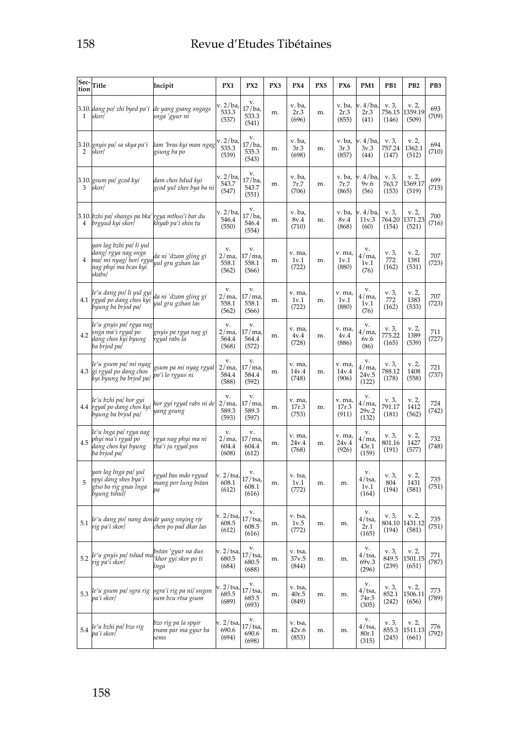| Sec-<br>tion | Title                                                                                                      | Incipit                                            | PX1                              | PX <sub>2</sub>                    | PX3 | PX4                       | PX5 | PX6                      | PM1                                | PB1                      | PB <sub>2</sub>           | PB3          |
|--------------|------------------------------------------------------------------------------------------------------------|----------------------------------------------------|----------------------------------|------------------------------------|-----|---------------------------|-----|--------------------------|------------------------------------|--------------------------|---------------------------|--------------|
| 1            | 3.10. dang po/ zhi byed pa'i de yang gsang sngags<br>skor/                                                 | snga 'gyur ni                                      | v. 2/ba<br>533.3<br>(537)        | v.<br>17/ba,<br>533.3<br>(541)     | m.  | v. ba,<br>2r.3<br>(696)   | m.  | v. ba,<br>2r.3<br>(855)  | <sup>7.4/ba,</sup><br>2r.3<br>(41) | v. 3,<br>756.15<br>(146) | v. 2,<br>1359.19<br>(509) | 693<br>(709) |
| 2            | 3.10. gnyis pa/ sa skya pa'i<br>skorl                                                                      | lam 'bras kyi man ngag<br>gsung ba po              | v. 2/ba,<br>535.3<br>(539)       | v.<br>17/ba,<br>535.3<br>(543)     | m.  | v. ba,<br>3r.3<br>(698)   | m.  | v. ba,<br>3r.3<br>(857)  | v. 4/ba,<br>3v.3<br>(44)           | v. 3,<br>757.24<br>(147) | v. 2,<br>1362.1<br>(512)  | 694<br>(710) |
| 3            | 3.10. gsum pa/ gcod kyi<br>skor/                                                                           | dam chos bdud kyi<br>gcod yul zhes bya ba ni       | v. 2/ba<br>543.7<br>(547)        | v.<br>17/ba,<br>543.7<br>(551)     | m.  | v. ba,<br>7r.7<br>(706)   | m.  | v. ba,<br>7r.7<br>(865)  | v. 4/ba,<br>9v.6<br>(56)           | v. 3,<br>763.7<br>(153)  | v. 2,<br>1369.17<br>(519) | 699<br>(715) |
| 4            | 3.10. bzhi pa/ shangs pa bka′<br>brgyud kyi skor/                                                          | rgya mthso'i bar du<br>khyab pa'i shin tu          | v. 2/ba,<br>546.4<br>(550)       | v.<br>17/ba,<br>546.4<br>(554)     | m.  | v. ba,<br>8v.4<br>(710)   | m.  | v. ba,<br>8v.4<br>(868)  | v. 4/ba,<br>11v.3<br>(60)          | v. 3,<br>764.20<br>(154) | v. 2,<br>1371.23<br>(521) | 700<br>(716) |
| 4            | yan lag bzhi pa/ li yul<br>dang/ rgya nag snga<br>ma  mi nyag  hor  rgya<br>nag phyi ma bcas kyi<br>skabs/ | da ni 'dzam gling gi<br>yul gru gzhan las          | v.<br>2/ma<br>558.1<br>(562)     | v.<br>17 / ma,<br>558.1<br>(566)   | m.  | v. ma,<br>1v.1<br>(722)   | m.  | v. ma,<br>1v.1<br>(880)  | v.<br>4 / ma,<br>1v.1<br>(76)      | v. 3,<br>772<br>(162)    | v. 2,<br>1381<br>(531)    | 707<br>(723) |
| 4.1          | le'u dang po/ li yul gyi<br>rgyal po dang chos kyi<br>byung ba brjod pa/                                   | da ni 'dzam gling gi<br>yul gru gzhan las          | v.<br>2/ma<br>558.1<br>(562)     | v.<br>17/ma<br>558.1<br>(566)      | m.  | v. ma,<br>1v.1<br>(722)   | m.  | v. ma,<br>1v.1<br>(880)  | v.<br>4 / ma,<br>1v.1<br>(76)      | v. 3,<br>772<br>(162)    | v. 2,<br>1383<br>(533)    | 707<br>(723) |
| 4.2          | le'u gnyis pa  rgya nag<br>snga ma'i rgyal po<br>dang chos kyi byung<br>ba brjod pa/                       | gnyis pa rgya nag gi<br>rgyal rabs la              | v.<br>2/ma<br>564.4<br>(568)     | v.<br>17 / ma,<br>564.4<br>(572)   | m.  | v. ma,<br>4v.4<br>(728)   | m.  | v. ma,<br>4v.4<br>(886)  | v.<br>4 / ma,<br>6v.6<br>(86)      | v. 3,<br>775.22<br>(165) | v. 2,<br>1389<br>(539)    | 711<br>(727) |
| 4.3          | le'u gsum pa/ mi nyag<br>gi rgyal po dang chos<br>kyi byung ba brjod pa/                                   | gsum pa mi nyag rgyal<br>po′i lo rgyus ni          | v.<br>$2/ma$ ,<br>584.4<br>(588) | v.<br>17/ma,<br>584.4<br>(592)     | m.  | v. ma,<br>14v.4<br>(748)  | m.  | v. ma,<br>14v.4<br>(906) | v.<br>4 / ma,<br>24v.5<br>(122)    | v. 3,<br>788.12<br>(178) | v. 2,<br>1408<br>(558)    | 721<br>(737) |
| 4.4          | le'u bzhi pa/ hor gyi<br>rgyal po dang chos kyi<br>byung ba brjod pa/                                      | hor gyi rgyal rabs ni de<br>yang gsung             | v.<br>2/ma<br>589.3<br>(593)     | v.<br>17 / ma,<br>589.3<br>(597)   | m.  | v. ma,<br>17r.3<br>(753)  | m.  | v. ma,<br>17r.3<br>(911) | v.<br>4 / ma,<br>29v.2<br>(132)    | v. 3,<br>791.17<br>(181) | v. 2,<br>1412<br>(562)    | 724<br>(742) |
| 4.5          | le'u lnga pa  rgya nag<br>phyi ma'i rgyal po<br>dang chos kyi byung<br>ba brjod pa/                        | rgya nag phyi ma ni<br>tha'i ju rgyal pos          | v.<br>2/ma<br>604.4<br>(608)     | v.<br>17 / ma,<br>604.4<br>(612)   | m.  | v. ma,<br>24v.4<br>(768)  | m.  | v. ma,<br>24v.4<br>(926) | v.<br>4 / ma,<br>43r.1<br>(159)    | v. 3,<br>801.16<br>(191) | v. 2,<br>1427<br>(577)    | 732<br>(748) |
| 5            | yan lag lnga pa  yul<br>spyi dang shes bya'i<br>gtso bo rig gnas lnga<br>byung tshul/                      | rgyal bas mdo rgyud<br>mang por lung bstan<br>pa   | v. 2/tsa<br>608.1<br>(612)       | v.<br>17/tsa,<br>608.1<br>(616)    | m.  | v. tsa,<br>1v.1<br>(772)  | m.  | m.                       | v.<br>4/tsa,<br>1v.1<br>(164)      | v. 3,<br>804<br>(194)    | v. 2,<br>1431<br>(581)    | 735<br>(751) |
| 5.1          | le'u dang po/ nang don'de yang snying rje<br>rig pa'i skor/                                                | chen po pad dkar las                               | v. 2/tsa<br>608.5<br>(612)       | v.<br>17/tsa,<br>608.5<br>(616)    | m.  | v. tsa,<br>1v.5<br>(772)  | m.  | m.                       | v.<br>4/tsa,<br>2r.1<br>(165)      | v. 3,<br>804.10<br>(194) | v. 2,<br>1431.12<br>(581) | 735<br>(751) |
| 5.2          | le'u gnyis pa  tshad ma<br>rig pa'i skor/                                                                  | bstan 'gyur na dus<br>'khor gyi skor po ti<br>Inga | v. 2/tsa<br>680.5<br>(684)       | v.<br>$17$ /tsa,<br>680.5<br>(688) | m.  | v. tsa,<br>37v.5<br>(844) | m.  | m.                       | v.<br>4/tsa,<br>69v.3<br>(296)     | v. 3,<br>849.5<br>(239)  | v. 2,<br>1501.15<br>(651) | 771<br>(787) |
| 5.3          | le'u gsum pa  sgra rig<br>pa'i skor/                                                                       | sgra'i rig pa ni  sngon<br>sum bcu rtsa gsum       | v. 2/tsa<br>685.5<br>(689)       | v.<br>17/tsa,<br>685.5<br>(693)    | m.  | v. tsa,<br>40r.5<br>(849) | m.  | m.                       | v.<br>4/tsa,<br>74r.5<br>(305)     | v. 3,<br>852.1<br>(242)  | v. 2,<br>1506.11<br>(656) | 773<br>(789) |
| 5.4          | le'u bzhi pa/ bzo rig<br>pa'i skor/                                                                        | bzo rig pa la spyir<br>rnam par ma gyur ba<br>sems | v. 2/tsa<br>690.6<br>(694)       | v.<br>$17$ /tsa,<br>690.6<br>(698) | m.  | v. tsa,<br>42v.6<br>(853) | m.  | m.                       | v.<br>4/tsa,<br>80r.1<br>(315)     | v. 3,<br>855.3<br>(245)  | v. 2,<br>1511.13<br>(661) | 776<br>(792) |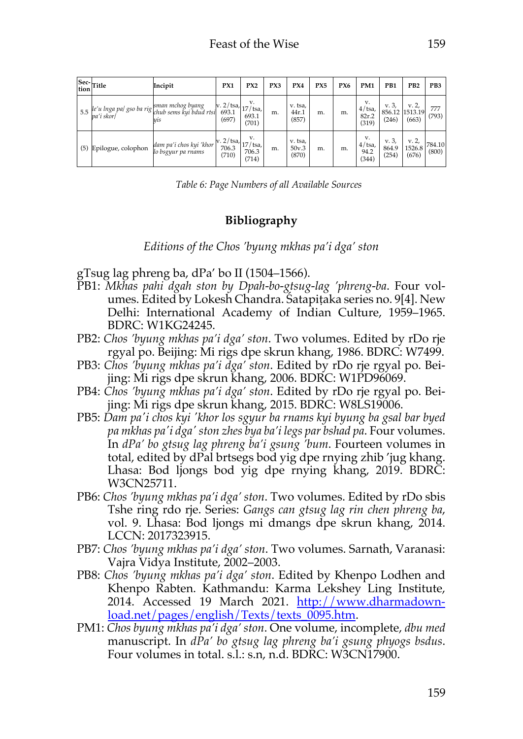|     | Sec-<br>tion<br>Title | Incipit                                                                          | PX1                                                   | PX <sub>2</sub>      | PX3 | PX4                       | PX5 | PX6 | PM <sub>1</sub>                   | PB1                     | P <sub>B2</sub>                  | PB3             |
|-----|-----------------------|----------------------------------------------------------------------------------|-------------------------------------------------------|----------------------|-----|---------------------------|-----|-----|-----------------------------------|-------------------------|----------------------------------|-----------------|
| 5.5 | pa'i skor/            | $\left e'u\right _{real}$ pa/ gso ba rig sman mchog byang v. 2/tsa<br><b>Vis</b> | $ v. 2/tsa$ , $ 17/tsa$ ,<br>(697)                    | v.<br>693.1<br>(701) | m.  | v. tsa,<br>44r.1<br>(857) | m.  | m.  | v.<br>$4$ /tsa,<br>82r.2<br>(319) | v. 3,<br>(246)          | v. 2,<br>856.12 1513.19<br>(663) | 777<br>(793)    |
| (5) | Epilogue, colophon    | dam pa'i chos kyi 'khor<br>lo bsgyur pa rnams                                    | $ v. 2/\text{tsa},  17/\text{tsa} $<br>706.3<br>(710) | 706.3<br>(714)       | m.  | v. tsa,<br>50v.3<br>(870) | m.  | m.  | v.<br>$4$ /tsa,<br>94.2<br>(344)  | v. 3,<br>864.9<br>(254) | v. 2,<br>1526.8<br>(676)         | 784.10<br>(800) |

*Table 6: Page Numbers of all Available Sources*

# **Bibliography**

*Editions of the Chos 'byung mkhas pa'i dga' ston*

gTsug lag phreng ba, dPa' bo II (1504–1566).

- PB1: *Mkhas pahi dgah ston by Dpah-bo-gtsug-lag 'phreng-ba*. Four volumes. Edited by Lokesh Chandra. Śatapiṭaka series no. 9[4]. New Delhi: International Academy of Indian Culture, 1959–1965. BDRC: W1KG24245.
- PB2: *Chos 'byung mkhas pa'i dga' ston*. Two volumes. Edited by rDo rje rgyal po. Beijing: Mi rigs dpe skrun khang, 1986. BDRC: W7499.
- PB3: *Chos 'byung mkhas pa'i dga' ston*. Edited by rDo rje rgyal po. Beijing: Mi rigs dpe skrun khang, 2006. BDRC: W1PD96069.
- PB4: *Chos 'byung mkhas pa'i dga' ston*. Edited by rDo rje rgyal po. Beijing: Mi rigs dpe skrun khang, 2015. BDRC: W8LS19006.
- PB5: *Dam pa'i chos kyi 'khor los sgyur ba rnams kyi byung ba gsal bar byed pa mkhas pa'i dga' ston zhes bya ba'i legs par bshad pa*. Four volumes. In *dPa' bo gtsug lag phreng ba'i gsung 'bum*. Fourteen volumes in total, edited by dPal brtsegs bod yig dpe rnying zhib 'jug khang. Lhasa: Bod ljongs bod yig dpe rnying khang, 2019. BDRC: W3CN25711.
- PB6: *Chos 'byung mkhas pa'i dga' ston*. Two volumes. Edited by rDo sbis Tshe ring rdo rje. Series: *Gangs can gtsug lag rin chen phreng ba*, vol. 9. Lhasa: Bod ljongs mi dmangs dpe skrun khang, 2014. LCCN: 2017323915.
- PB7: *Chos 'byung mkhas pa'i dga' ston*. Two volumes. Sarnath, Varanasi: Vajra Vidya Institute, 2002–2003.
- PB8: *Chos 'byung mkhas pa'i dga' ston*. Edited by Khenpo Lodhen and Khenpo Rabten. Kathmandu: Karma Lekshey Ling Institute, 2014. Accessed 19 March 2021. http://www.dharmadownload.net/pages/english/Texts/texts\_0095.htm.
- PM1: *Chos byung mkhas pa'i dga' ston*. One volume, incomplete, *dbu med* manuscript. In *dPa' bo gtsug lag phreng ba'i gsung phyogs bsdus*. Four volumes in total. s.l.: s.n, n.d. BDRC: W3CN17900.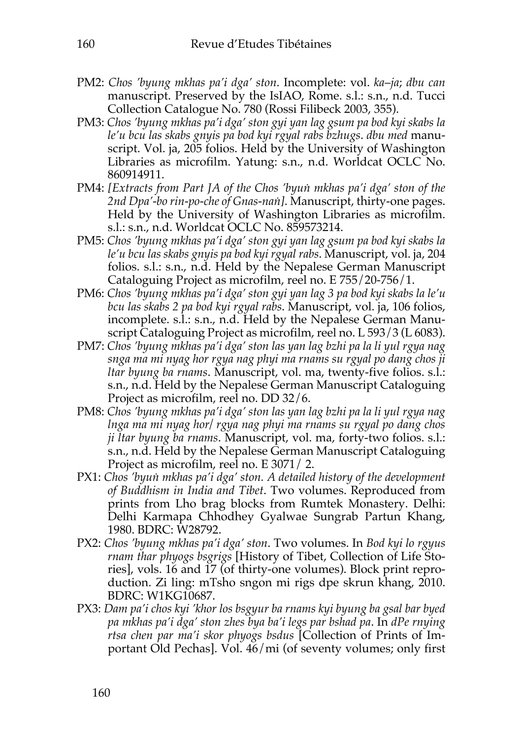- PM2: *Chos 'byung mkhas pa'i dga' ston*. Incomplete: vol. *ka*–*ja*; *dbu can* manuscript. Preserved by the IsIAO, Rome. s.l.: s.n., n.d. Tucci Collection Catalogue No. 780 (Rossi Filibeck 2003, 355).
- PM3: *Chos 'byung mkhas pa'i dga' ston gyi yan lag gsum pa bod kyi skabs la le'u bcu las skabs gnyis pa bod kyi rgyal rabs bzhugs*. *dbu med* manuscript. Vol. ja, 205 folios. Held by the University of Washington Libraries as microfilm. Yatung: s.n., n.d. Worldcat OCLC No. 860914911.
- PM4: *[Extracts from Part JA of the Chos 'byuṅ mkhas pa'i dga' ston of the 2nd Dpa'-bo rin-po-che of Gnas-naṅ]*. Manuscript, thirty-one pages. Held by the University of Washington Libraries as microfilm. s.l.: s.n., n.d. Worldcat OCLC No. 859573214.
- PM5: *Chos 'byung mkhas pa'i dga' ston gyi yan lag gsum pa bod kyi skabs la le'u bcu las skabs gnyis pa bod kyi rgyal rabs*. Manuscript, vol. ja, 204 folios. s.l.: s.n., n.d. Held by the Nepalese German Manuscript Cataloguing Project as microfilm, reel no. E 755/20-756/1.
- PM6: *Chos 'byung mkhas pa'i dga' ston gyi yan lag 3 pa bod kyi skabs la le'u bcu las skabs 2 pa bod kyi rgyal rabs*. Manuscript, vol. ja, 106 folios, incomplete. s.l.: s.n., n.d. Held by the Nepalese German Manuscript Cataloguing Project as microfilm, reel no. L 593/3 (L 6083).
- PM7: *Chos 'byung mkhas pa'i dga' ston las yan lag bzhi pa la li yul rgya nag snga ma mi nyag hor rgya nag phyi ma rnams su rgyal po dang chos ji ltar byung ba rnams*. Manuscript, vol. ma, twenty-five folios. s.l.: s.n., n.d. Held by the Nepalese German Manuscript Cataloguing Project as microfilm, reel no. DD 32/6.
- PM8: *Chos 'byung mkhas pa'i dga' ston las yan lag bzhi pa la li yul rgya nag lnga ma mi nyag hor/ rgya nag phyi ma rnams su rgyal po dang chos ji ltar byung ba rnams*. Manuscript, vol. ma, forty-two folios. s.l.: s.n., n.d. Held by the Nepalese German Manuscript Cataloguing Project as microfilm, reel no. E 3071/ 2.
- PX1: *Chos 'byuṅ mkhas pa'i dga' ston. A detailed history of the development of Buddhism in India and Tibet*. Two volumes. Reproduced from prints from Lho brag blocks from Rumtek Monastery. Delhi: Delhi Karmapa Chhodhey Gyalwae Sungrab Partun Khang, 1980. BDRC: W28792.
- PX2: *Chos 'byung mkhas pa'i dga' ston*. Two volumes. In *Bod kyi lo rgyus rnam thar phyogs bsgrigs* [History of Tibet, Collection of Life Stories], vols. 16 and 17 (of thirty-one volumes). Block print reproduction. Zi ling: mTsho sngon mi rigs dpe skrun khang, 2010. BDRC: W1KG10687.
- PX3: *Dam pa'i chos kyi 'khor los bsgyur ba rnams kyi byung ba gsal bar byed pa mkhas pa'i dga' ston zhes bya ba'i legs par bshad pa*. In *dPe rnying rtsa chen par ma'i skor phyogs bsdus* [Collection of Prints of Important Old Pechas]. Vol. 46/mi (of seventy volumes; only first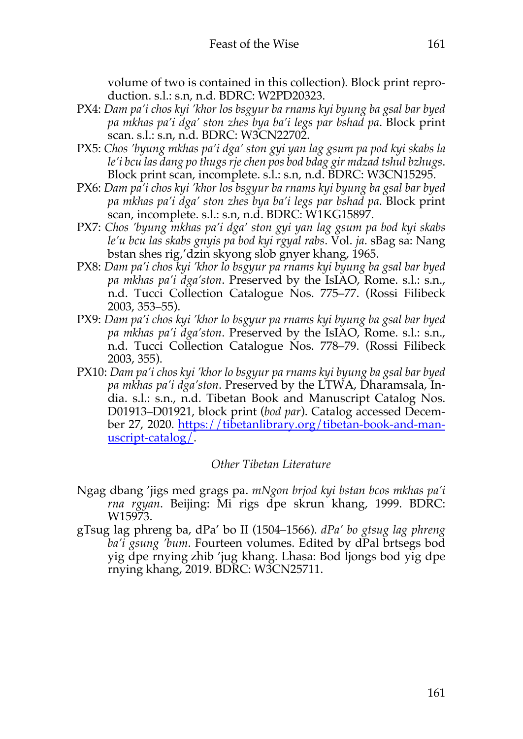volume of two is contained in this collection). Block print reproduction. s.l.: s.n, n.d. BDRC: W2PD20323.

- PX4: *Dam pa'i chos kyi 'khor los bsgyur ba rnams kyi byung ba gsal bar byed pa mkhas pa'i dga' ston zhes bya ba'i legs par bshad pa*. Block print scan. s.l.: s.n, n.d. BDRC: W3CN22702.
- PX5: *Chos 'byung mkhas pa'i dga' ston gyi yan lag gsum pa pod kyi skabs la le'i bcu las dang po thugs rje chen pos bod bdag gir mdzad tshul bzhugs*. Block print scan, incomplete. s.l.: s.n, n.d. BDRC: W3CN15295.
- PX6: *Dam pa'i chos kyi 'khor los bsgyur ba rnams kyi byung ba gsal bar byed pa mkhas pa'i dga' ston zhes bya ba'i legs par bshad pa*. Block print scan, incomplete. s.l.: s.n, n.d. BDRC: W1KG15897.
- PX7: *Chos 'byung mkhas pa'i dga' ston gyi yan lag gsum pa bod kyi skabs le'u bcu las skabs gnyis pa bod kyi rgyal rabs*. Vol. *ja*. sBag sa: Nang bstan shes rig''dzin skyong slob gnyer khang, 1965.
- PX8: *Dam pa'i chos kyi 'khor lo bsgyur pa rnams kyi byung ba gsal bar byed pa mkhas pa'i dga'ston*. Preserved by the IsIAO, Rome. s.l.: s.n., n.d. Tucci Collection Catalogue Nos. 775–77. (Rossi Filibeck 2003, 353–55).
- PX9: *Dam pa'i chos kyi 'khor lo bsgyur pa rnams kyi byung ba gsal bar byed pa mkhas pa'i dga'ston*. Preserved by the IsIAO, Rome. s.l.: s.n., n.d. Tucci Collection Catalogue Nos. 778–79. (Rossi Filibeck 2003, 355).
- PX10: *Dam pa'i chos kyi 'khor lo bsgyur pa rnams kyi byung ba gsal bar byed pa mkhas pa'i dga'ston*. Preserved by the LTWA, Dharamsala, India. s.l.: s.n., n.d. Tibetan Book and Manuscript Catalog Nos. D01913–D01921, block print (*bod par*). Catalog accessed December 27, 2020. https://tibetanlibrary.org/tibetan-book-and-manuscript-catalog/.

## *Other Tibetan Literature*

- Ngag dbang 'jigs med grags pa. *mNgon brjod kyi bstan bcos mkhas pa'i rna rgyan*. Beijing: Mi rigs dpe skrun khang, 1999. BDRC: W15973.
- gTsug lag phreng ba, dPa' bo II (1504–1566). *dPa' bo gtsug lag phreng ba'i gsung 'bum*. Fourteen volumes. Edited by dPal brtsegs bod yig dpe rnying zhib 'jug khang. Lhasa: Bod ljongs bod yig dpe rnying khang, 2019. BDRC: W3CN25711.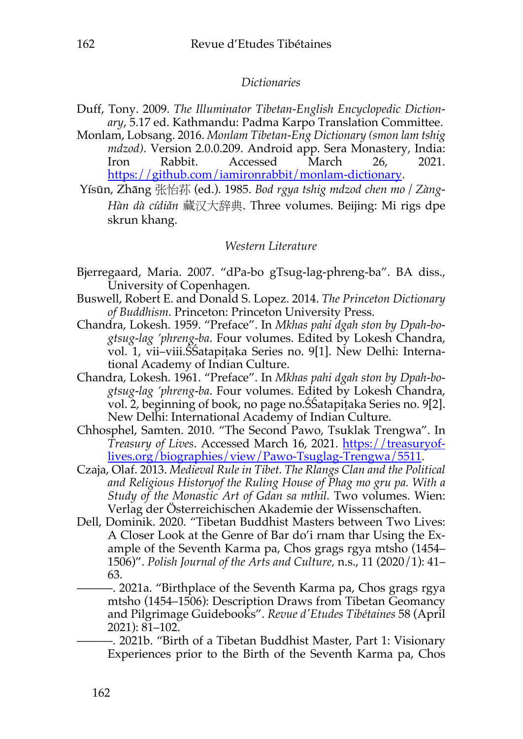## *Dictionaries*

- Duff, Tony. 2009. *The Illuminator Tibetan-English Encyclopedic Dictionary*, 5.17 ed. Kathmandu: Padma Karpo Translation Committee.
- Monlam, Lobsang. 2016. *Monlam Tibetan-Eng Dictionary (smon lam tshig mdzod)*. Version 2.0.0.209. Android app. Sera Monastery, India: Iron Rabbit. Accessed March 26, 2021. https://github.com/iamironrabbit/monlam-dictionary.
- Yísūn, Zhāng 张怡荪 (ed.). 1985. *Bod rgya tshig mdzod chen mo / Zàng-Hàn dà cídiǎn* 藏汉大辞典. Three volumes. Beijing: Mi rigs dpe skrun khang.

## *Western Literature*

- Bjerregaard, Maria. 2007. "dPa-bo gTsug-lag-phreng-ba". BA diss., University of Copenhagen.
- Buswell, Robert E. and Donald S. Lopez. 2014. *The Princeton Dictionary of Buddhism*. Princeton: Princeton University Press.
- Chandra, Lokesh. 1959. "Preface". In *Mkhas pahi dgah ston by Dpah-bogtsug-lag 'phreng-ba*. Four volumes. Edited by Lokesh Chandra, vol. 1, vii–viii.ŚŚatapiṭaka Series no. 9[1]. New Delhi: International Academy of Indian Culture.
- Chandra, Lokesh. 1961. "Preface". In *Mkhas pahi dgah ston by Dpah-bogtsug-lag 'phreng-ba*. Four volumes. Edited by Lokesh Chandra, vol. 2, beginning of book, no page no.ŚŚatapiṭaka Series no. 9[2]. New Delhi: International Academy of Indian Culture.
- Chhosphel, Samten. 2010. "The Second Pawo, Tsuklak Trengwa". In *Treasury of Lives*. Accessed March 16, 2021. https://treasuryoflives.org/biographies/view/Pawo-Tsuglag-Trengwa/5511.
- Czaja, Olaf. 2013. *Medieval Rule in Tibet. The Rlangs Clan and the Political and Religious Historyof the Ruling House of Phag mo gru pa. With a Study of the Monastic Art of Gdan sa mthil.* Two volumes. Wien: Verlag der Österreichischen Akademie der Wissenschaften.
- Dell, Dominik. 2020. "Tibetan Buddhist Masters between Two Lives: A Closer Look at the Genre of Bar do'i rnam thar Using the Example of the Seventh Karma pa, Chos grags rgya mtsho (1454– 1506)". *Polish Journal of the Arts and Culture,* n.s., 11 (2020/1): 41– 63.
	- ———. 2021a. "Birthplace of the Seventh Karma pa, Chos grags rgya mtsho (1454–1506): Description Draws from Tibetan Geomancy and Pilgrimage Guidebooks". *Revue d'Etudes Tibétaines* 58 (April 2021): 81–102.

———. 2021b. "Birth of a Tibetan Buddhist Master, Part 1: Visionary Experiences prior to the Birth of the Seventh Karma pa, Chos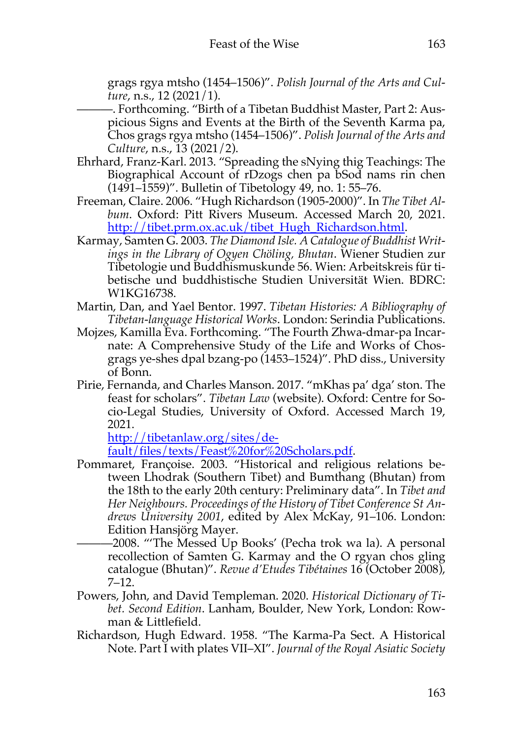grags rgya mtsho (1454–1506)". *Polish Journal of the Arts and Culture*, n.s., 12 (2021/1).

- ———. Forthcoming. "Birth of a Tibetan Buddhist Master, Part 2: Auspicious Signs and Events at the Birth of the Seventh Karma pa, Chos grags rgya mtsho (1454–1506)". *Polish Journal of the Arts and Culture*, n.s., 13 (2021/2).
- Ehrhard, Franz-Karl. 2013. "Spreading the sNying thig Teachings: The Biographical Account of rDzogs chen pa bSod nams rin chen (1491–1559)". Bulletin of Tibetology 49, no. 1: 55–76.
- Freeman, Claire. 2006. "Hugh Richardson (1905-2000)". In *The Tibet Album*. Oxford: Pitt Rivers Museum. Accessed March 20, 2021. http://tibet.prm.ox.ac.uk/tibet\_Hugh\_Richardson.html.
- Karmay, Samten G. 2003. *The Diamond Isle. A Catalogue of Buddhist Writings in the Library of Ogyen Chöling, Bhutan*. Wiener Studien zur Tibetologie und Buddhismuskunde 56. Wien: Arbeitskreis für tibetische und buddhistische Studien Universität Wien. BDRC: W1KG16738.
- Martin, Dan, and Yael Bentor. 1997. *Tibetan Histories: A Bibliography of Tibetan-language Historical Works*. London: Serindia Publications.
- Mojzes, Kamilla Eva. Forthcoming. "The Fourth Zhwa-dmar-pa Incarnate: A Comprehensive Study of the Life and Works of Chosgrags ye-shes dpal bzang-po (1453–1524)". PhD diss., University of Bonn.
- Pirie, Fernanda, and Charles Manson. 2017. "mKhas pa' dga' ston. The feast for scholars". *Tibetan Law* (website). Oxford: Centre for Socio-Legal Studies, University of Oxford. Accessed March 19, 2021.

http://tibetanlaw.org/sites/default/files/texts/Feast%20for%20Scholars.pdf.

- Pommaret, Françoise. 2003. "Historical and religious relations between Lhodrak (Southern Tibet) and Bumthang (Bhutan) from the 18th to the early 20th century: Preliminary data". In *Tibet and Her Neighbours. Proceedings of the History of Tibet Conference St Andrews University 2001*, edited by Alex McKay, 91–106. London: Edition Hansjörg Mayer.
- ———2008. "'The Messed Up Books' (Pecha trok wa la). A personal recollection of Samten G. Karmay and the O rgyan chos gling catalogue (Bhutan)". *Revue d'Etudes Tibétaines* 16 (October 2008), 7–12.
- Powers, John, and David Templeman. 2020. *Historical Dictionary of Tibet. Second Edition*. Lanham, Boulder, New York, London: Rowman & Littlefield.
- Richardson, Hugh Edward. 1958. "The Karma-Pa Sect. A Historical Note. Part I with plates VII–XI". *Journal of the Royal Asiatic Society*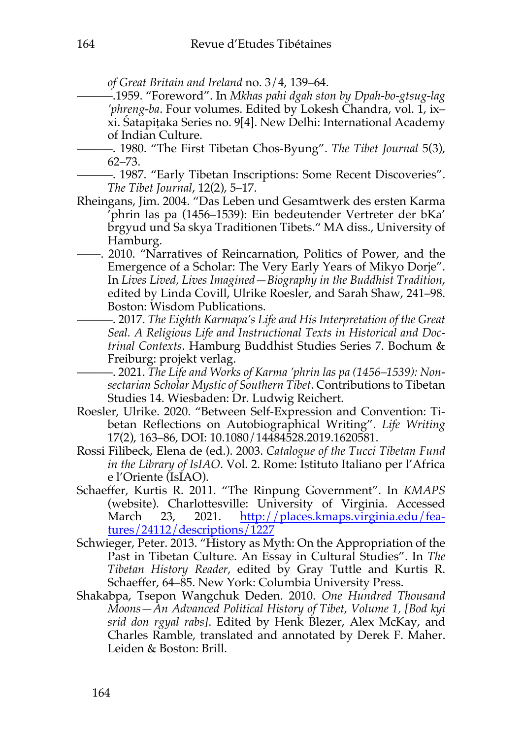*of Great Britain and Ireland* no. 3/4, 139–64.

- ———.1959. "Foreword". In *Mkhas pahi dgah ston by Dpah-bo-gtsug-lag 'phreng-ba*. Four volumes. Edited by Lokesh Chandra, vol. 1, ix– xi. Śatapiṭaka Series no. 9[4]. New Delhi: International Academy of Indian Culture.
- ———. 1980. "The First Tibetan Chos-Byung". *The Tibet Journal* 5(3), 62–73.
- ———. 1987. "Early Tibetan Inscriptions: Some Recent Discoveries". *The Tibet Journal*, 12(2), 5–17.
- Rheingans, Jim. 2004. "Das Leben und Gesamtwerk des ersten Karma 'phrin las pa (1456–1539): Ein bedeutender Vertreter der bKa' brgyud und Sa skya Traditionen Tibets." MA diss., University of Hamburg.
- ——. 2010. "Narratives of Reincarnation, Politics of Power, and the Emergence of a Scholar: The Very Early Years of Mikyo Dorje". In *Lives Lived, Lives Imagined—Biography in the Buddhist Tradition*, edited by Linda Covill, Ulrike Roesler, and Sarah Shaw, 241–98. Boston: Wisdom Publications.
	- ———. 2017. *The Eighth Karmapa's Life and His Interpretation of the Great Seal. A Religious Life and Instructional Texts in Historical and Doctrinal Contexts*. Hamburg Buddhist Studies Series 7. Bochum & Freiburg: projekt verlag.
	- ———. 2021. *The Life and Works of Karma 'phrin las pa (1456–1539): Nonsectarian Scholar Mystic of Southern Tibet*. Contributions to Tibetan Studies 14. Wiesbaden: Dr. Ludwig Reichert.
- Roesler, Ulrike. 2020. "Between Self-Expression and Convention: Tibetan Reflections on Autobiographical Writing". *Life Writing* 17(2), 163–86, DOI: 10.1080/14484528.2019.1620581.
- Rossi Filibeck, Elena de (ed.). 2003. *Catalogue of the Tucci Tibetan Fund in the Library of IsIAO*. Vol. 2. Rome: Istituto Italiano per l'Africa e l'Oriente (IsIAO).
- Schaeffer, Kurtis R. 2011. "The Rinpung Government". In *KMAPS* (website). Charlottesville: University of Virginia. Accessed March 23, 2021. http://places.kmaps.virginia.edu/features/24112/descriptions/1227
- Schwieger, Peter. 2013. "History as Myth: On the Appropriation of the Past in Tibetan Culture. An Essay in Cultural Studies". In *The Tibetan History Reader*, edited by Gray Tuttle and Kurtis R. Schaeffer, 64–85. New York: Columbia University Press.
- Shakabpa, Tsepon Wangchuk Deden. 2010. *One Hundred Thousand Moons—An Advanced Political History of Tibet, Volume 1, [Bod kyi srid don rgyal rabs]*. Edited by Henk Blezer, Alex McKay, and Charles Ramble, translated and annotated by Derek F. Maher. Leiden & Boston: Brill.